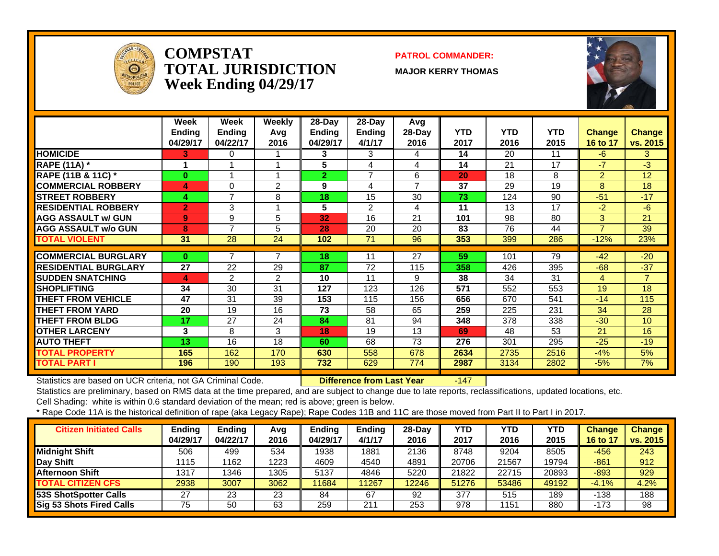

#### **COMPSTATTOTAL JURISDICTIONWeek Ending 04/29/17**

#### **PATROL COMMANDER:**

**MAJOR KERRY THOMAS**



|                               | Week<br><b>Ending</b><br>04/29/17 | Week<br><b>Ending</b><br>04/22/17 | Weekly<br>Avg<br>2016 | $28-Dav$<br>Ending<br>04/29/17 | 28-Day<br>Ending<br>4/1/17 | Avg<br>28-Day<br>2016 | <b>YTD</b><br>2017 | <b>YTD</b><br>2016 | <b>YTD</b><br>2015 | <b>Change</b><br>16 to 17 | <b>Change</b><br>vs. 2015 |
|-------------------------------|-----------------------------------|-----------------------------------|-----------------------|--------------------------------|----------------------------|-----------------------|--------------------|--------------------|--------------------|---------------------------|---------------------------|
| <b>HOMICIDE</b>               | 3.                                | 0                                 |                       | 3                              | 3                          | 4                     | 14                 | 20                 | 11                 | $-6$                      | 3                         |
| <b>RAPE (11A)</b> *           |                                   | $\overline{\mathbf{A}}$           |                       | $5\phantom{.0}$                | 4                          | 4                     | 14                 | 21                 | 17                 | $-7$                      | $-3$                      |
| <b>RAPE (11B &amp; 11C)</b> * | $\bf{0}$                          |                                   |                       | $\mathbf{2}$                   | $\overline{7}$             | 6                     | 20                 | 18                 | 8                  | $\overline{2}$            | 12                        |
| <b>COMMERCIAL ROBBERY</b>     | 4                                 | 0                                 | 2                     | 9                              | 4                          | $\overline{7}$        | 37                 | 29                 | 19                 | 8                         | 18                        |
| <b>STREET ROBBERY</b>         | 4                                 | $\overline{7}$                    | 8                     | 18                             | 15                         | 30                    | 73                 | 124                | 90                 | $-51$                     | $-17$                     |
| <b>RESIDENTIAL ROBBERY</b>    | $\overline{2}$                    | 3                                 |                       | 5                              | 2                          | 4                     | 11                 | 13                 | 17                 | $-2$                      | $-6$                      |
| <b>AGG ASSAULT w/ GUN</b>     | $\mathbf{9}$                      | 9                                 | 5                     | 32                             | 16                         | 21                    | 101                | 98                 | 80                 | 3                         | 21                        |
| <b>AGG ASSAULT w/o GUN</b>    | 8                                 | $\overline{7}$                    | 5                     | 28                             | 20                         | 20                    | 83                 | 76                 | 44                 | 7                         | 39                        |
| <b>TOTAL VIOLENT</b>          | 31                                | 28                                | 24                    | 102                            | 71                         | 96                    | 353                | 399                | 286                | $-12%$                    | 23%                       |
|                               |                                   |                                   | 7                     |                                |                            |                       |                    |                    |                    |                           |                           |
| <b>COMMERCIAL BURGLARY</b>    | $\bf{0}$                          | 7                                 |                       | 18                             | 11                         | 27                    | 59                 | 101                | 79                 | $-42$                     | $-20$                     |
| <b>RESIDENTIAL BURGLARY</b>   | 27                                | 22                                | 29                    | 87                             | 72                         | 115                   | 358                | 426                | 395                | $-68$                     | $-37$                     |
| <b>SUDDEN SNATCHING</b>       | 4                                 | $\overline{2}$                    | $\overline{2}$        | 10                             | 11                         | 9                     | 38                 | 34                 | 31                 | 4                         | $\overline{7}$            |
| <b>SHOPLIFTING</b>            | 34                                | 30                                | 31                    | 127                            | 123                        | 126                   | 571                | 552                | 553                | 19                        | 18                        |
| <b>THEFT FROM VEHICLE</b>     | 47                                | 31                                | 39                    | 153                            | 115                        | 156                   | 656                | 670                | 541                | $-14$                     | 115                       |
| <b>THEFT FROM YARD</b>        | 20                                | 19                                | 16                    | 73                             | 58                         | 65                    | 259                | 225                | 231                | 34                        | 28                        |
| <b>THEFT FROM BLDG</b>        | 17                                | 27                                | 24                    | 84                             | 81                         | 94                    | 348                | 378                | 338                | $-30$                     | 10 <sup>1</sup>           |
| <b>OTHER LARCENY</b>          | 3                                 | 8                                 | 3                     | 18                             | 19                         | 13                    | 69                 | 48                 | 53                 | 21                        | 16                        |
| <b>AUTO THEFT</b>             | 13                                | 16                                | 18                    | 60                             | 68                         | 73                    | 276                | 301                | 295                | $-25$                     | $-19$                     |
| <b>TOTAL PROPERTY</b>         | 165                               | 162                               | 170                   | 630                            | 558                        | 678                   | 2634               | 2735               | 2516               | $-4%$                     | 5%                        |
| <b>TOTAL PART I</b>           | 196                               | 190                               | 193                   | 732                            | 629                        | 774                   | 2987               | 3134               | 2802               | $-5%$                     | 7%                        |

Statistics are based on UCR criteria, not GA Criminal Code. **Difference from Last Year** -147

Statistics are preliminary, based on RMS data at the time prepared, and are subject to change due to late reports, reclassifications, updated locations, etc.

Cell Shading: white is within 0.6 standard deviation of the mean; red is above; green is below.

| <b>Citizen Initiated Calls</b> | Ending<br>04/29/17 | <b>Ending</b><br>04/22/17 | Avg<br>2016 | <b>Ending</b><br>04/29/17 | <b>Ending</b><br>4/1/17 | 28-Day<br>2016 | YTD<br>2017 | <b>YTD</b><br>2016 | <b>YTD</b><br>2015 | <b>Change</b><br>16 to 17 | <b>Change</b><br>vs. 2015 |
|--------------------------------|--------------------|---------------------------|-------------|---------------------------|-------------------------|----------------|-------------|--------------------|--------------------|---------------------------|---------------------------|
| <b>Midnight Shift</b>          | 506                | 499                       | 534         | 1938                      | 1881                    | 2136           | 8748        | 9204               | 8505               | -456                      | 243                       |
| Day Shift                      | 1115               | 1162                      | 1223        | 4609                      | 4540                    | 4891           | 20706       | 21567              | 19794              | $-861$                    | 912                       |
| <b>Afternoon Shift</b>         | 1317               | 1346                      | 1305        | 5137                      | 4846                    | 5220           | 21822       | 22715              | 20893              | $-893$                    | 929                       |
| <b>TOTAL CITIZEN CFS</b>       | 2938               | 3007                      | 3062        | 11684                     | 1267                    | 12246          | 51276       | 53486              | 49192              | $-4.1%$                   | 4.2%                      |
| <b>53S ShotSpotter Calls</b>   | 27                 | 23                        | 23          | 84                        | 67                      | 92             | 377         | 515                | 189                | $-138$                    | 188                       |
| Sig 53 Shots Fired Calls       | 75                 | 50                        | 63          | 259                       | 211                     | 253            | 978         | 1151               | 880                | $-173$                    | 98                        |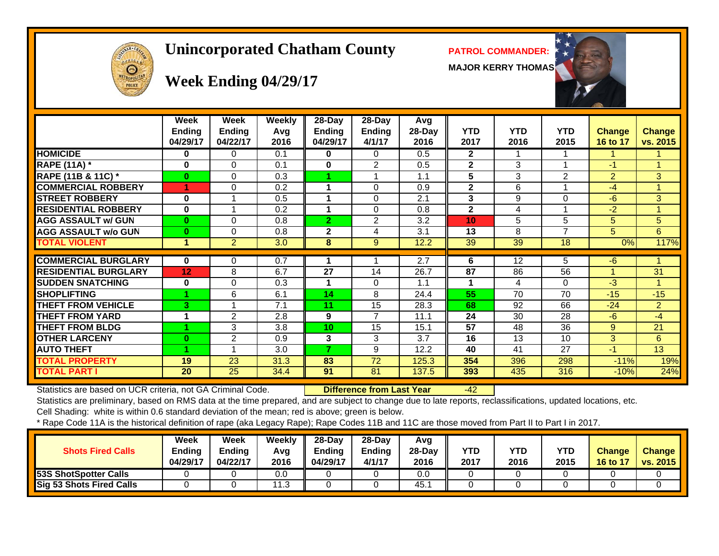

#### **Unincorporated Chatham County PATROL COMMANDER:**

**MAJOR KERRY THOMAS**



# **Week Ending 04/29/17**

|                             | Week<br><b>Ending</b> | Week<br><b>Ending</b> | <b>Weekly</b><br>Avg | $28 - Day$<br><b>Ending</b> | $28 - Day$<br>Ending | <b>Avg</b><br>28-Day | <b>YTD</b>      | <b>YTD</b>      | <b>YTD</b>              | <b>Change</b>   | Change         |
|-----------------------------|-----------------------|-----------------------|----------------------|-----------------------------|----------------------|----------------------|-----------------|-----------------|-------------------------|-----------------|----------------|
|                             | 04/29/17              | 04/22/17              | 2016                 | 04/29/17                    | 4/1/17               | 2016                 | 2017            | 2016            | 2015                    | <b>16 to 17</b> | vs. 2015       |
| <b>HOMICIDE</b>             | 0                     | 0                     | 0.1                  | 0                           | $\Omega$             | 0.5                  | $\mathbf{2}$    |                 |                         |                 | 1.             |
| <b>RAPE (11A) *</b>         | 0                     | $\Omega$              | 0.1                  | $\bf{0}$                    | 2                    | 0.5                  | $\mathbf{2}$    | 3               | $\overline{\mathbf{A}}$ | $-1$            | $\mathbf{1}$   |
| RAPE (11B & 11C) *          | $\bf{0}$              | $\Omega$              | 0.3                  |                             |                      | 1.1                  | 5               | 3               | 2                       | $\overline{2}$  | 3              |
| <b>COMMERCIAL ROBBERY</b>   |                       | $\Omega$              | 0.2                  |                             | $\Omega$             | 0.9                  | $\mathbf{2}$    | 6               | $\overline{A}$          | $-4$            | $\mathbf{1}$   |
| <b>STREET ROBBERY</b>       | $\bf{0}$              |                       | 0.5                  |                             | $\Omega$             | 2.1                  | 3               | 9               | $\Omega$                | $-6$            | 3              |
| <b>RESIDENTIAL ROBBERY</b>  | $\bf{0}$              |                       | 0.2                  |                             | $\Omega$             | 0.8                  | $\mathbf{2}$    | 4               |                         | $-2$            | 1              |
| <b>AGG ASSAULT w/ GUN</b>   | $\bf{0}$              | $\Omega$              | 0.8                  | $\overline{2}$              | 2                    | 3.2                  | 10              | 5               | 5                       | 5               | 5              |
| <b>AGG ASSAULT w/o GUN</b>  | $\bf{0}$              | 0                     | 0.8                  | $\mathbf{2}$                | 4                    | 3.1                  | 13              | 8               | 7                       | 5.              | 6              |
| <b>TOTAL VIOLENT</b>        | 1                     | $\overline{2}$        | 3.0                  | 8                           | 9                    | 12.2                 | 39              | $\overline{39}$ | 18                      | 0%              | 117%           |
|                             |                       |                       |                      |                             |                      |                      |                 |                 |                         |                 |                |
| <b>COMMERCIAL BURGLARY</b>  | 0                     | 0                     | 0.7                  |                             |                      | 2.7                  | 6               | 12              | 5                       | $-6$            |                |
| <b>RESIDENTIAL BURGLARY</b> | 12                    | 8                     | 6.7                  | 27                          | 14                   | 26.7                 | 87              | 86              | 56                      |                 | 31             |
| <b>SUDDEN SNATCHING</b>     | 0                     | 0                     | 0.3                  |                             | $\Omega$             | 1.1                  |                 | 4               | 0                       | $-3$            | 1.             |
| <b>SHOPLIFTING</b>          |                       | 6                     | 6.1                  | 14                          | 8                    | 24.4                 | 55              | 70              | 70                      | $-15$           | $-15$          |
| <b>THEFT FROM VEHICLE</b>   | 3                     |                       | 7.1                  | 11                          | 15                   | 28.3                 | 68              | 92              | 66                      | $-24$           | $\overline{2}$ |
| <b>THEFT FROM YARD</b>      | 1                     | 2                     | 2.8                  | 9                           | $\overline{7}$       | 11.1                 | 24              | 30              | 28                      | $-6$            | $-4$           |
| <b>THEFT FROM BLDG</b>      |                       | 3                     | 3.8                  | 10                          | 15                   | 15.1                 | $\overline{57}$ | 48              | 36                      | 9               | 21             |
| <b>OTHER LARCENY</b>        | 0                     | 2                     | 0.9                  | 3                           | 3                    | 3.7                  | 16              | 13              | 10                      | 3               | 6              |
| <b>AUTO THEFT</b>           |                       |                       | 3.0                  | 7                           | 9                    | 12.2                 | 40              | 41              | 27                      | $-1$            | 13             |
| <b>TOTAL PROPERTY</b>       | 19                    | 23                    | 31.3                 | 83                          | 72                   | 125.3                | 354             | 396             | 298                     | $-11%$          | 19%            |
| <b>TOTAL PART I</b>         | 20                    | 25                    | 34.4                 | 91                          | 81                   | 137.5                | 393             | 435             | 316                     | $-10%$          | 24%            |

Statistics are based on UCR criteria, not GA Criminal Code. **Difference from Last Year** -42

Statistics are preliminary, based on RMS data at the time prepared, and are subject to change due to late reports, reclassifications, updated locations, etc.

Cell Shading: white is within 0.6 standard deviation of the mean; red is above; green is below.

| <b>Shots Fired Calls</b>        | Week<br>Ending<br>04/29/17 | Week<br><b>Ending</b><br>04/22/17 | Weekly<br>Avg<br>2016 | $28-Dav$<br>Ending<br>04/29/17 | $28-Dav$<br><b>Endina</b><br>4/1/17 | Avg<br>$28-Dav$<br>2016 | <b>YTD</b><br>2017 | YTD<br>2016 | YTD<br>2015 | <b>Change</b><br>16 to 17 | <b>Change</b><br>vs. 2015 |
|---------------------------------|----------------------------|-----------------------------------|-----------------------|--------------------------------|-------------------------------------|-------------------------|--------------------|-------------|-------------|---------------------------|---------------------------|
| 53S ShotSpotter Calls           |                            |                                   | 0.0                   |                                |                                     | 0.0                     |                    |             |             |                           |                           |
| <b>Sig 53 Shots Fired Calls</b> |                            |                                   | 1.3                   |                                |                                     | 45.                     |                    |             |             |                           |                           |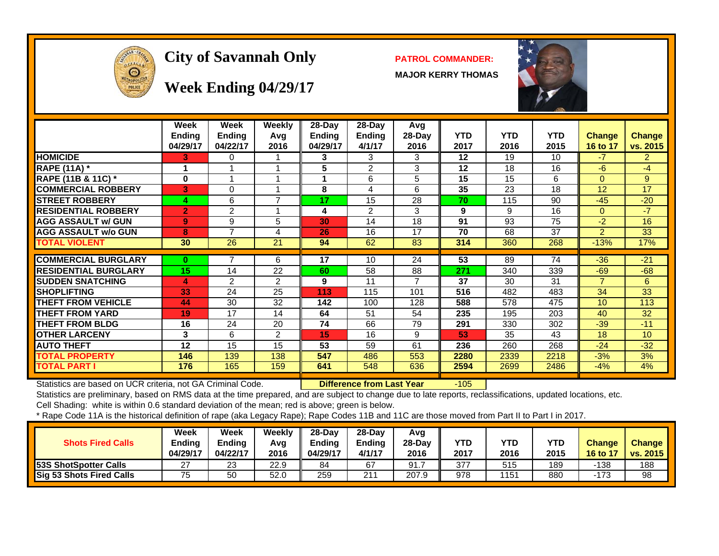

## **City of Savannah Only PATROL COMMANDER:**

**MAJOR KERRY THOMAS**



**Week Ending 04/29/17**

|                             | Week<br><b>Ending</b><br>04/29/17 | Week<br><b>Ending</b><br>04/22/17 | Weekly<br>Avq<br>2016 | $28$ -Day<br><b>Ending</b><br>04/29/17 | $28-Day$<br><b>Ending</b><br>4/1/17 | Avg<br>$28-Day$<br>2016 | <b>YTD</b><br>2017 | <b>YTD</b><br>2016 | <b>YTD</b><br>2015 | <b>Change</b><br>16 to 17 | <b>Change</b><br>vs. 2015 |
|-----------------------------|-----------------------------------|-----------------------------------|-----------------------|----------------------------------------|-------------------------------------|-------------------------|--------------------|--------------------|--------------------|---------------------------|---------------------------|
| <b>HOMICIDE</b>             | 3                                 | 0                                 |                       | 3.                                     | 3                                   | 3                       | $12 \,$            | 19                 | 10                 | $-7$                      | $\overline{2}$            |
| <b>RAPE (11A) *</b>         | 1                                 |                                   | $\overline{ }$        | 5                                      | $\overline{2}$                      | 3                       | 12                 | 18                 | 16                 | $-6$                      | $-4$                      |
| RAPE (11B & 11C) *          | $\bf{0}$                          |                                   | 1                     |                                        | 6                                   | 5                       | 15                 | 15                 | 6                  | $\Omega$                  | 9                         |
| <b>COMMERCIAL ROBBERY</b>   | 3                                 | 0                                 |                       | 8                                      | 4                                   | 6                       | 35                 | 23                 | 18                 | 12                        | 17                        |
| <b>STREET ROBBERY</b>       | 4                                 | 6                                 | $\overline{7}$        | 17                                     | 15                                  | 28                      | 70                 | 115                | 90                 | $-45$                     | $-20$                     |
| <b>RESIDENTIAL ROBBERY</b>  | $\overline{2}$                    | 2                                 | 4                     | 4                                      | 2                                   | 3                       | 9                  | 9                  | 16                 | $\Omega$                  | $-7$                      |
| <b>AGG ASSAULT w/ GUN</b>   | $\mathbf{9}$                      | 9                                 | 5                     | 30                                     | 14                                  | 18                      | 91                 | 93                 | 75                 | $-2$                      | 16                        |
| <b>AGG ASSAULT w/o GUN</b>  | 8                                 | 7                                 | 4                     | 26                                     | 16                                  | 17                      | 70                 | 68                 | 37                 | $\mathfrak{p}$            | 33                        |
| <b>TOTAL VIOLENT</b>        | 30                                | 26                                | 21                    | 94                                     | 62                                  | 83                      | 314                | 360                | 268                | $-13%$                    | 17%                       |
|                             |                                   |                                   |                       |                                        |                                     |                         |                    |                    |                    |                           |                           |
| <b>COMMERCIAL BURGLARY</b>  | 0                                 |                                   | 6                     | 17                                     | 10                                  | 24                      | 53                 | 89                 | 74                 | $-36$                     | $-21$                     |
| <b>RESIDENTIAL BURGLARY</b> | 15                                | 14                                | 22                    | 60                                     | 58                                  | 88                      | 271                | 340                | 339                | $-69$                     | $-68$                     |
| <b>SUDDEN SNATCHING</b>     | 4                                 | $\mathcal{P}$                     | $\mathfrak{p}$        | 9                                      | 11                                  |                         | 37                 | 30                 | 31                 | $\overline{7}$            | 6                         |
| <b>SHOPLIFTING</b>          | 33                                | 24                                | 25                    | 113                                    | 115                                 | 101                     | 516                | 482                | 483                | 34                        | 33                        |
| <b>THEFT FROM VEHICLE</b>   | 44                                | 30                                | 32                    | 142                                    | 100                                 | 128                     | 588                | 578                | 475                | 10                        | 113                       |
| <b>THEFT FROM YARD</b>      | 19                                | 17                                | 14                    | 64                                     | 51                                  | 54                      | 235                | 195                | 203                | 40                        | 32                        |
| <b>THEFT FROM BLDG</b>      | 16                                | 24                                | 20                    | 74                                     | 66                                  | 79                      | 291                | 330                | 302                | $-39$                     | $-11$                     |
| <b>OTHER LARCENY</b>        | 3                                 | 6                                 | 2                     | 15                                     | 16                                  | 9                       | 53                 | 35                 | 43                 | 18                        | 10                        |
| <b>AUTO THEFT</b>           | 12                                | 15                                | 15                    | 53                                     | 59                                  | 61                      | 236                | 260                | 268                | $-24$                     | $-32$                     |
| TOTAL PROPERTY              | 146                               | 139                               | 138                   | 547                                    | 486                                 | 553                     | 2280               | 2339               | 2218               | $-3%$                     | 3%                        |
| <b>TOTAL PART I</b>         | 176                               | 165                               | 159                   | 641                                    | 548                                 | 636                     | 2594               | 2699               | 2486               | $-4%$                     | 4%                        |

Statistics are based on UCR criteria, not GA Criminal Code. **Difference from Last Year** -105

Statistics are preliminary, based on RMS data at the time prepared, and are subject to change due to late reports, reclassifications, updated locations, etc.

Cell Shading: white is within 0.6 standard deviation of the mean; red is above; green is below.

| <b>Shots Fired Calls</b>     | Week<br>Ending<br>04/29/17 | Week<br>Endina<br>04/22/17 | Weekly<br>Avq<br>2016 | $28$ -Dav<br><b>Endina</b><br>04/29/17 | 28-Dav<br><b>Endina</b><br>4/1/17 | Avg<br>28-Dav<br>2016 | <b>YTD</b><br>2017 | YTD<br>2016 | <b>YTD</b><br>2015 | <b>Change</b><br><b>16 to 17</b> | <b>Change</b><br>vs. 2015 |
|------------------------------|----------------------------|----------------------------|-----------------------|----------------------------------------|-----------------------------------|-----------------------|--------------------|-------------|--------------------|----------------------------------|---------------------------|
| <b>53S ShotSpotter Calls</b> | ົ<br>ے                     | 23                         | 22.9                  | 84                                     | 67                                | 91.                   | 377                | 515         | 189                | 138                              | 188                       |
| Sig 53 Shots Fired Calls     | 75                         | 50                         | 52.0                  | 259                                    | 211                               | 207.9                 | 978                | 151         | 880                | -173                             | 98                        |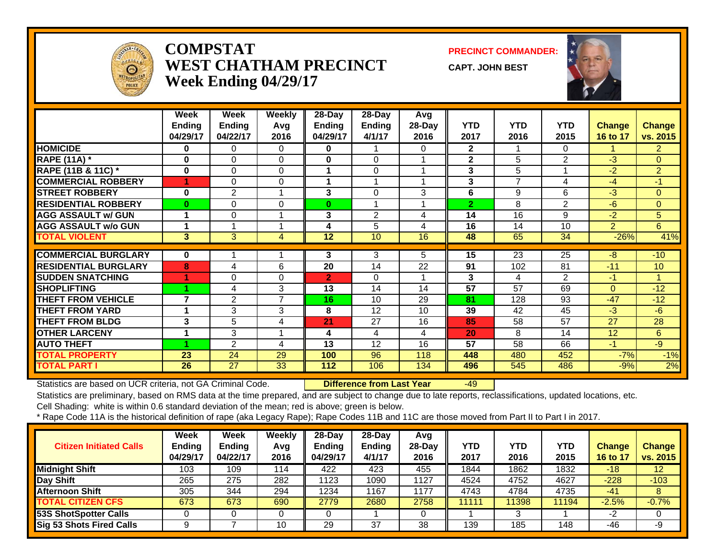

#### **COMPSTATWEST CHATHAM PRECINCTWeek Ending 04/29/17**

**PRECINCT COMMANDER:**

**CAPT. JOHN BEST**



|                             | Week<br><b>Ending</b><br>04/29/17 | Week<br><b>Ending</b><br>04/22/17 | <b>Weekly</b><br>Avg<br>2016 | 28-Day<br>Ending<br>04/29/17 | 28-Day<br><b>Ending</b><br>4/1/17 | Avg<br>28-Day<br>2016 | <b>YTD</b><br>2017 | <b>YTD</b><br>2016 | <b>YTD</b><br>2015 | <b>Change</b><br>16 to 17 | <b>Change</b><br>vs. 2015 |
|-----------------------------|-----------------------------------|-----------------------------------|------------------------------|------------------------------|-----------------------------------|-----------------------|--------------------|--------------------|--------------------|---------------------------|---------------------------|
| <b>HOMICIDE</b>             | 0                                 | 0                                 | 0                            | $\bf{0}$                     |                                   | 0                     | $\mathbf{2}$       |                    | $\Omega$           |                           | $\overline{2}$            |
| <b>RAPE (11A) *</b>         | 0                                 | $\Omega$                          | $\Omega$                     | $\bf{0}$                     | $\Omega$                          |                       | $\mathbf{2}$       | 5                  | 2                  | $-3$                      | $\overline{0}$            |
| RAPE (11B & 11C) *          | $\bf{0}$                          | $\Omega$                          | $\Omega$                     |                              | $\Omega$                          |                       | 3                  | 5                  | 4                  | $-2$                      | $\overline{2}$            |
| <b>COMMERCIAL ROBBERY</b>   |                                   | 0                                 | $\Omega$                     |                              |                                   |                       | 3                  | 7                  | 4                  | $-4$                      | $-1$                      |
| <b>STREET ROBBERY</b>       | $\bf{0}$                          | $\overline{2}$                    |                              | 3                            | 0                                 | 3                     | 6                  | 9                  | 6                  | $-3$                      | $\overline{0}$            |
| <b>RESIDENTIAL ROBBERY</b>  | 0                                 | $\Omega$                          | $\Omega$                     | $\bf{0}$                     |                                   |                       | $\overline{2}$     | 8                  | $\overline{2}$     | $-6$                      | $\Omega$                  |
| <b>AGG ASSAULT w/ GUN</b>   | 1                                 | $\Omega$                          | ◢                            | 3                            | 2                                 | 4                     | 14                 | 16                 | 9                  | $-2$                      | 5                         |
| <b>AGG ASSAULT w/o GUN</b>  | 1                                 |                                   |                              | 4                            | 5                                 | 4                     | 16                 | 14                 | 10                 | $\overline{2}$            | 6                         |
| <b>TOTAL VIOLENT</b>        | 3                                 | 3                                 | 4                            | 12                           | 10                                | 16                    | 48                 | 65                 | 34                 | $-26%$                    | 41%                       |
|                             |                                   |                                   |                              |                              |                                   |                       |                    |                    |                    |                           |                           |
| <b>COMMERCIAL BURGLARY</b>  | 0                                 |                                   |                              | 3                            | 3                                 | 5.                    | 15                 | 23                 | 25                 | $-8$                      | $-10$                     |
| <b>RESIDENTIAL BURGLARY</b> | 8                                 | 4                                 | 6                            | 20                           | 14                                | 22                    | 91                 | 102                | 81                 | $-11$                     | 10                        |
| <b>ISUDDEN SNATCHING</b>    |                                   | 0                                 | 0                            | $\overline{2}$               | 0                                 |                       | 3                  | 4                  | 2                  | -1                        | 1                         |
| <b>ISHOPLIFTING</b>         |                                   | 4                                 | 3                            | 13                           | 14                                | 14                    | 57                 | 57                 | 69                 | $\Omega$                  | $-12$                     |
| <b>THEFT FROM VEHICLE</b>   | $\overline{7}$                    | $\overline{2}$                    | $\overline{7}$               | 16                           | 10                                | 29                    | 81                 | 128                | 93                 | $-47$                     | $-12$                     |
| <b>THEFT FROM YARD</b>      | 1                                 | 3                                 | 3                            | 8                            | 12                                | 10                    | 39                 | 42                 | 45                 | $-3$                      | $-6$                      |
| <b>THEFT FROM BLDG</b>      | 3                                 | 5                                 | 4                            | 21                           | 27                                | 16                    | 85                 | 58                 | 57                 | 27                        | 28                        |
| <b>OTHER LARCENY</b>        | 1                                 | 3                                 | $\overline{ }$               | 4                            | 4                                 | 4                     | 20                 | 8                  | 14                 | 12                        | 6                         |
| <b>AUTO THEFT</b>           |                                   | $\overline{2}$                    | 4                            | 13                           | 12                                | 16                    | 57                 | 58                 | 66                 | $-1$                      | $-9$                      |
| <b>TOTAL PROPERTY</b>       | 23                                | 24                                | 29                           | 100                          | 96                                | 118                   | 448                | 480                | 452                | $-7%$                     | $-1%$                     |
| <b>TOTAL PART I</b>         | 26                                | 27                                | 33                           | 112                          | 106                               | 134                   | 496                | 545                | 486                | $-9%$                     | 2%                        |

Statistics are based on UCR criteria, not GA Criminal Code. **Difference from Last Year** -49

Statistics are preliminary, based on RMS data at the time prepared, and are subject to change due to late reports, reclassifications, updated locations, etc.

Cell Shading: white is within 0.6 standard deviation of the mean; red is above; green is below.

| <b>Citizen Initiated Calls</b>  | Week<br><b>Ending</b><br>04/29/17 | <b>Week</b><br>Ending<br>04/22/17 | Weekly<br>Avg<br>2016 | $28-Dav$<br><b>Ending</b><br>04/29/17 | $28$ -Day<br><b>Ending</b><br>4/1/17 | Avg<br>$28$ -Day<br>2016 | YTD<br>2017 | YTD<br>2016 | YTD<br>2015 | <b>Change</b><br>16 to 17 | <b>Change</b><br>vs. 2015 |
|---------------------------------|-----------------------------------|-----------------------------------|-----------------------|---------------------------------------|--------------------------------------|--------------------------|-------------|-------------|-------------|---------------------------|---------------------------|
| <b>Midnight Shift</b>           | 103                               | 109                               | 114                   | 422                                   | 423                                  | 455                      | 1844        | 1862        | 1832        | $-18$                     | 12 <sup>2</sup>           |
| Day Shift                       | 265                               | 275                               | 282                   | 1123                                  | 1090                                 | 1127                     | 4524        | 4752        | 4627        | $-228$                    | $-103$                    |
| Afternoon Shift                 | 305                               | 344                               | 294                   | 1234                                  | 167                                  | 1177                     | 4743        | 4784        | 4735        | $-41$                     | 8                         |
| <b>TOTAL CITIZEN CFS</b>        | 673                               | 673                               | 690                   | 2779                                  | 2680                                 | 2758                     | 11111       | 1398        | 11194       | $-2.5%$                   | $-0.7%$                   |
| 53S ShotSpotter Calls           |                                   |                                   |                       |                                       |                                      |                          |             | З           |             | $-2$                      |                           |
| <b>Sig 53 Shots Fired Calls</b> |                                   |                                   | 10                    | 29                                    | 37                                   | 38                       | 139         | 185         | 148         | $-46$                     | -9                        |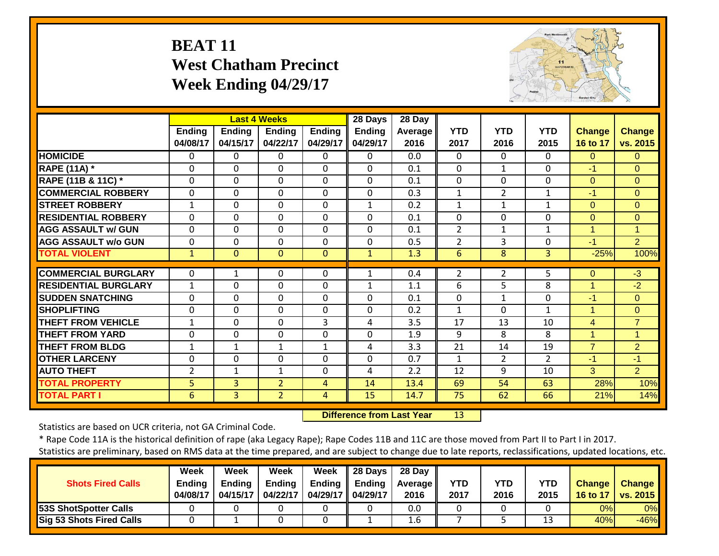#### **BEAT 11 West Chatham Precinct Week Ending 04/29/17**



|                             |                    |                           | <b>Last 4 Weeks</b>       |                           | 28 Days                   | 28 Day          |                    |                    |                    |                           |                           |
|-----------------------------|--------------------|---------------------------|---------------------------|---------------------------|---------------------------|-----------------|--------------------|--------------------|--------------------|---------------------------|---------------------------|
|                             | Ending<br>04/08/17 | <b>Ending</b><br>04/15/17 | <b>Ending</b><br>04/22/17 | <b>Ending</b><br>04/29/17 | <b>Ending</b><br>04/29/17 | Average<br>2016 | <b>YTD</b><br>2017 | <b>YTD</b><br>2016 | <b>YTD</b><br>2015 | <b>Change</b><br>16 to 17 | <b>Change</b><br>vs. 2015 |
| <b>HOMICIDE</b>             | 0                  | 0                         | $\Omega$                  | $\Omega$                  | 0                         | 0.0             | $\Omega$           | $\Omega$           | $\Omega$           | $\Omega$                  | $\Omega$                  |
| <b>RAPE (11A) *</b>         | 0                  | 0                         | $\Omega$                  | $\Omega$                  | $\Omega$                  | 0.1             | $\Omega$           | $\mathbf{1}$       | $\Omega$           | $-1$                      | $\Omega$                  |
| RAPE (11B & 11C) *          | $\Omega$           | 0                         | $\mathbf 0$               | $\Omega$                  | $\Omega$                  | 0.1             | $\mathbf{0}$       | 0                  | $\Omega$           | $\Omega$                  | $\Omega$                  |
| <b>COMMERCIAL ROBBERY</b>   | 0                  | 0                         | $\Omega$                  | $\Omega$                  | $\Omega$                  | 0.3             | $\mathbf{1}$       | $\overline{2}$     | $\mathbf{1}$       | $-1$                      | $\Omega$                  |
| <b>STREET ROBBERY</b>       | $\mathbf{1}$       | 0                         | $\mathbf 0$               | $\Omega$                  | $\mathbf{1}$              | 0.2             | $\mathbf{1}$       | $\mathbf{1}$       | $\mathbf{1}$       | $\Omega$                  | $\Omega$                  |
| <b>RESIDENTIAL ROBBERY</b>  | 0                  | 0                         | $\Omega$                  | $\Omega$                  | $\Omega$                  | 0.1             | 0                  | 0                  | 0                  | $\Omega$                  | $\Omega$                  |
| <b>AGG ASSAULT w/ GUN</b>   | 0                  | 0                         | $\mathbf 0$               | $\mathbf 0$               | 0                         | 0.1             | $\overline{2}$     | 1                  | 1                  | 1                         | 1                         |
| <b>AGG ASSAULT w/o GUN</b>  | 0                  | 0                         | $\mathbf 0$               | $\Omega$                  | $\Omega$                  | 0.5             | $\overline{2}$     | 3                  | $\Omega$           | $-1$                      | $\overline{2}$            |
| <b>TOTAL VIOLENT</b>        | $\mathbf{1}$       | $\overline{0}$            | $\mathbf{0}$              | $\Omega$                  | $\mathbf{1}$              | 1.3             | 6                  | 8                  | $\overline{3}$     | $-25%$                    | 100%                      |
|                             |                    |                           |                           |                           |                           |                 |                    |                    |                    |                           |                           |
| <b>COMMERCIAL BURGLARY</b>  | 0                  | 1                         | $\Omega$                  | $\Omega$                  | 1                         | 0.4             | $\overline{2}$     | $\overline{2}$     | 5                  | $\Omega$                  | $-3$                      |
| <b>RESIDENTIAL BURGLARY</b> | $\mathbf{1}$       | 0                         | $\mathbf 0$               | 0                         | $\mathbf{1}$              | 1.1             | 6                  | 5                  | 8                  | $\mathbf{1}$              | $-2$                      |
| <b>ISUDDEN SNATCHING</b>    | 0                  | 0                         | $\Omega$                  | $\Omega$                  | $\Omega$                  | 0.1             | 0                  | $\mathbf{1}$       | 0                  | $-1$                      | $\Omega$                  |
| <b>SHOPLIFTING</b>          | 0                  | 0                         | $\Omega$                  | $\Omega$                  | $\Omega$                  | 0.2             | $\mathbf{1}$       | $\Omega$           | $\mathbf{1}$       | 1                         | $\Omega$                  |
| <b>THEFT FROM VEHICLE</b>   | 1                  | 0                         | $\Omega$                  | 3                         | 4                         | 3.5             | 17                 | 13                 | 10                 | 4                         | $\overline{7}$            |
| <b>THEFT FROM YARD</b>      | 0                  | 0                         | $\mathbf 0$               | $\mathbf 0$               | 0                         | 1.9             | 9                  | 8                  | 8                  | 1                         | $\mathbf 1$               |
| <b>THEFT FROM BLDG</b>      | $\mathbf 1$        | $\mathbf{1}$              | $\mathbf{1}$              | $\mathbf{1}$              | 4                         | 3.3             | 21                 | 14                 | 19                 | $\overline{7}$            | $\overline{2}$            |
| <b>OTHER LARCENY</b>        | 0                  | $\Omega$                  | $\Omega$                  | 0                         | $\Omega$                  | 0.7             | 1                  | $\overline{2}$     | $\overline{2}$     | $-1$                      | $-1$                      |
| <b>AUTO THEFT</b>           | 2                  | 1                         | 1                         | 0                         | 4                         | 2.2             | 12                 | 9                  | 10                 | 3                         | $\overline{2}$            |
| <b>TOTAL PROPERTY</b>       | 5                  | 3                         | $\overline{2}$            | 4                         | 14                        | 13.4            | 69                 | 54                 | 63                 | 28%                       | 10%                       |
| <b>TOTAL PART I</b>         | 6                  | $\overline{3}$            | $\overline{2}$            | 4                         | 15                        | 14.7            | 75                 | 62                 | 66                 | 21%                       | 14%                       |

 **Difference from Last Year**13

Statistics are based on UCR criteria, not GA Criminal Code.

\* Rape Code 11A is the historical definition of rape (aka Legacy Rape); Rape Codes 11B and 11C are those moved from Part II to Part I in 2017.

|                                 | Week          | Week          | <b>Week</b>   | Week                | 28 Days | 28 Day     |            |      |            |               |                 |
|---------------------------------|---------------|---------------|---------------|---------------------|---------|------------|------------|------|------------|---------------|-----------------|
| <b>Shots Fired Calls</b>        | <b>Ending</b> | <b>Endina</b> | <b>Ending</b> | Ending              | Ending  | Average II | <b>YTD</b> | YTD  | <b>YTD</b> | <b>Change</b> | <b>Change</b>   |
|                                 | 04/08/17      | 04/15/17      | 04/22/17      | 04/29/17   04/29/17 |         | 2016       | 2017       | 2016 | 2015       | 16 to 17      | <b>vs. 2015</b> |
| <b>53S ShotSpotter Calls</b>    |               |               |               |                     |         | 0.0        |            |      |            | 0%            | 0%              |
| <b>Sig 53 Shots Fired Calls</b> |               |               |               |                     |         | 1.6        |            |      |            | 40%           | $-46%$          |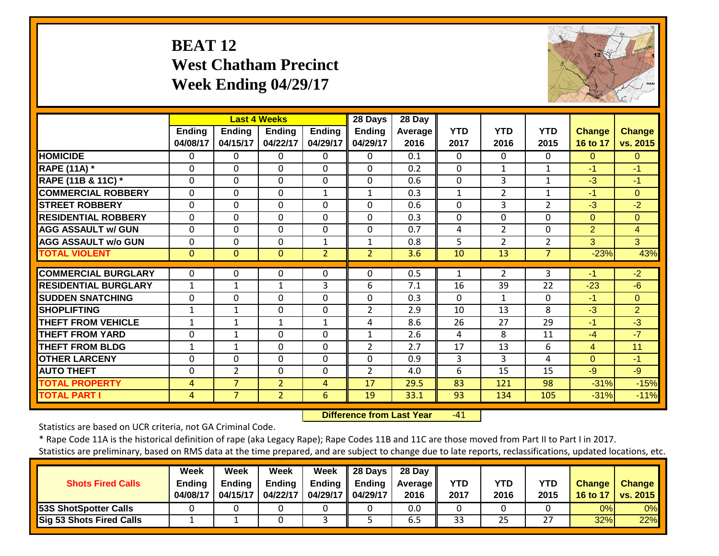## **BEAT 12 West Chatham Precinct Week Ending 04/29/17**



|                               |                           |                           | <b>Last 4 Weeks</b>       |                           | 28 Days                   | 28 Day          |                    |                    |                    |                                  |                    |
|-------------------------------|---------------------------|---------------------------|---------------------------|---------------------------|---------------------------|-----------------|--------------------|--------------------|--------------------|----------------------------------|--------------------|
|                               | <b>Ending</b><br>04/08/17 | <b>Ending</b><br>04/15/17 | <b>Ending</b><br>04/22/17 | <b>Ending</b><br>04/29/17 | <b>Ending</b><br>04/29/17 | Average<br>2016 | <b>YTD</b><br>2017 | <b>YTD</b><br>2016 | <b>YTD</b><br>2015 | <b>Change</b><br><b>16 to 17</b> | Change<br>vs. 2015 |
| <b>HOMICIDE</b>               | $\Omega$                  | 0                         | $\Omega$                  | 0                         | $\Omega$                  | 0.1             | 0                  | $\Omega$           | $\Omega$           | $\Omega$                         | $\Omega$           |
| <b>RAPE (11A) *</b>           | $\Omega$                  | $\Omega$                  | $\Omega$                  | $\Omega$                  | 0                         | 0.2             | $\Omega$           | $\mathbf{1}$       | $\mathbf{1}$       | $-1$                             | $-1$               |
| <b>RAPE (11B &amp; 11C) *</b> | $\mathbf 0$               | 0                         | $\mathbf 0$               | $\mathbf 0$               | $\mathbf 0$               | 0.6             | $\mathbf{0}$       | 3                  | $\mathbf{1}$       | $-3$                             | $-1$               |
| <b>COMMERCIAL ROBBERY</b>     | 0                         | $\Omega$                  | $\Omega$                  | $\mathbf{1}$              | $\mathbf{1}$              | 0.3             | $\mathbf{1}$       | $\overline{2}$     | $\mathbf{1}$       | $-1$                             | $\Omega$           |
| <b>STREET ROBBERY</b>         | $\Omega$                  | $\Omega$                  | $\Omega$                  | $\Omega$                  | $\Omega$                  | 0.6             | 0                  | 3                  | $\overline{2}$     | $-3$                             | $-2$               |
| <b>RESIDENTIAL ROBBERY</b>    | $\Omega$                  | $\Omega$                  | $\Omega$                  | $\Omega$                  | 0                         | 0.3             | 0                  | 0                  | $\Omega$           | $\Omega$                         | $\Omega$           |
| <b>AGG ASSAULT w/ GUN</b>     | 0                         | $\Omega$                  | $\Omega$                  | $\Omega$                  | 0                         | 0.7             | 4                  | $\overline{2}$     | $\Omega$           | $\overline{2}$                   | $\overline{4}$     |
| <b>AGG ASSAULT w/o GUN</b>    | 0                         | $\Omega$                  | $\Omega$                  | 1                         | $\mathbf{1}$              | 0.8             | 5                  | $\overline{2}$     | $\overline{2}$     | 3                                | 3                  |
| <b>TOTAL VIOLENT</b>          | $\mathbf{0}$              | $\Omega$                  | $\Omega$                  | $\overline{2}$            | $\overline{2}$            | 3.6             | 10                 | 13                 | $\overline{7}$     | $-23%$                           | 43%                |
| <b>COMMERCIAL BURGLARY</b>    | 0                         | 0                         | 0                         | 0                         | $\Omega$                  | 0.5             | 1                  | $\overline{2}$     | 3                  | -1                               | $-2$               |
| <b>RESIDENTIAL BURGLARY</b>   | 1                         | 1                         | 1                         | 3                         | 6                         | 7.1             | 16                 | 39                 | 22                 | $-23$                            | $-6$               |
| <b>SUDDEN SNATCHING</b>       | $\Omega$                  | $\Omega$                  | $\Omega$                  | $\Omega$                  | $\Omega$                  | 0.3             | $\Omega$           | $\mathbf{1}$       | $\Omega$           | $-1$                             | $\Omega$           |
| <b>SHOPLIFTING</b>            | 1                         | 1                         | $\Omega$                  | $\Omega$                  | $\overline{2}$            | 2.9             | 10                 | 13                 | 8                  | $-3$                             | $\overline{2}$     |
| <b>THEFT FROM VEHICLE</b>     | $\mathbf 1$               | 1                         | 1                         | $\mathbf{1}$              | 4                         | 8.6             | 26                 | 27                 | 29                 | $-1$                             | $-3$               |
| <b>THEFT FROM YARD</b>        | 0                         | $\mathbf{1}$              | $\Omega$                  | $\Omega$                  | $\mathbf{1}$              | 2.6             | 4                  | 8                  | 11                 | $-4$                             | $-7$               |
| <b>THEFT FROM BLDG</b>        | $\mathbf 1$               | 1                         | $\Omega$                  | $\Omega$                  | $\overline{2}$            | 2.7             | 17                 | 13                 | 6                  | 4                                | 11                 |
| <b>OTHER LARCENY</b>          | $\Omega$                  | $\Omega$                  | $\Omega$                  | 0                         | 0                         | 0.9             | 3                  | 3                  | 4                  | $\Omega$                         | $-1$               |
| <b>AUTO THEFT</b>             | $\Omega$                  | $\overline{2}$            | $\Omega$                  | 0                         | $\overline{2}$            | 4.0             | 6                  | 15                 | 15                 | $-9$                             | $-9$               |
| <b>TOTAL PROPERTY</b>         | 4                         | $\overline{7}$            | $\overline{2}$            | 4                         | 17                        | 29.5            | 83                 | 121                | 98                 | $-31%$                           | $-15%$             |
| <b>TOTAL PART I</b>           | 4                         | $\overline{7}$            | $\overline{2}$            | 6                         | 19                        | 33.1            | 93                 | 134                | 105                | $-31%$                           | $-11%$             |

 **Difference from Last Year** $-41$ 

Statistics are based on UCR criteria, not GA Criminal Code.

\* Rape Code 11A is the historical definition of rape (aka Legacy Rape); Rape Codes 11B and 11C are those moved from Part II to Part I in 2017.

|                                 | Week     | Week          | Week          | Week                | $\parallel$ 28 Days | 28 Day            |            |      |      |               |                 |
|---------------------------------|----------|---------------|---------------|---------------------|---------------------|-------------------|------------|------|------|---------------|-----------------|
| <b>Shots Fired Calls</b>        | Endina   | <b>Ending</b> | <b>Ending</b> | Endina              | <b>Ending</b>       | <b>Average</b> II | <b>YTD</b> | YTD  | YTD  | <b>Change</b> | <b>Change</b>   |
|                                 | 04/08/17 | 04/15/17      | 04/22/17      | 04/29/17   04/29/17 |                     | 2016              | 2017       | 2016 | 2015 | 16 to 17      | <b>vs. 2015</b> |
| <b>53S ShotSpotter Calls</b>    |          |               |               |                     |                     | 0.0               |            |      |      | 0%            | 0%              |
| <b>Sig 53 Shots Fired Calls</b> |          |               |               |                     |                     | 6.5               | 33         | 25   | วว   | 32%           | 22%             |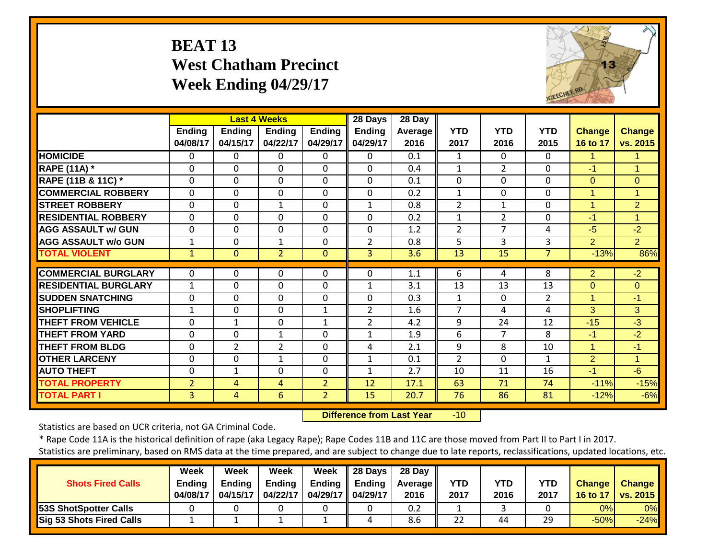## **BEAT 13 West Chatham Precinct Week Ending 04/29/17**



|                             |                           |                    | <b>Last 4 Weeks</b> |                           | 28 Days                   | 28 Day            |                    |                    |                    |                           |                           |
|-----------------------------|---------------------------|--------------------|---------------------|---------------------------|---------------------------|-------------------|--------------------|--------------------|--------------------|---------------------------|---------------------------|
|                             | <b>Ending</b><br>04/08/17 | Ending<br>04/15/17 | Endina<br>04/22/17  | <b>Ending</b><br>04/29/17 | <b>Ending</b><br>04/29/17 | Average I<br>2016 | <b>YTD</b><br>2017 | <b>YTD</b><br>2016 | <b>YTD</b><br>2015 | <b>Change</b><br>16 to 17 | <b>Change</b><br>vs. 2015 |
| <b>HOMICIDE</b>             | 0                         | $\Omega$           | $\Omega$            | $\Omega$                  | 0                         | 0.1               | 1                  | $\Omega$           | 0                  | 1.                        |                           |
| <b>RAPE (11A)</b> *         | 0                         | 0                  | $\mathbf 0$         | $\mathbf 0$               | $\mathbf 0$               | 0.4               | $\mathbf{1}$       | $\overline{2}$     | 0                  | $-1$                      | 4                         |
| RAPE (11B & 11C) *          | 0                         | 0                  | $\Omega$            | $\Omega$                  | $\Omega$                  | 0.1               | 0                  | $\Omega$           | 0                  | $\Omega$                  | $\overline{0}$            |
| <b>COMMERCIAL ROBBERY</b>   | 0                         | 0                  | $\mathbf 0$         | $\mathbf 0$               | $\Omega$                  | 0.2               | $\mathbf{1}$       | $\Omega$           | 0                  | 1                         | 4                         |
| <b>STREET ROBBERY</b>       | 0                         | 0                  | $\mathbf{1}$        | $\mathbf 0$               | $\mathbf{1}$              | 0.8               | $\overline{2}$     | $\mathbf{1}$       | 0                  | 1                         | $\overline{2}$            |
| <b>RESIDENTIAL ROBBERY</b>  | 0                         | 0                  | $\Omega$            | $\Omega$                  | $\Omega$                  | 0.2               | $\mathbf 1$        | 2                  | 0                  | -1                        | 4                         |
| <b>AGG ASSAULT w/ GUN</b>   | $\Omega$                  | $\Omega$           | $\Omega$            | $\Omega$                  | $\Omega$                  | 1.2               | $\overline{2}$     | 7                  | 4                  | $-5$                      | $-2$                      |
| <b>AGG ASSAULT w/o GUN</b>  | 1                         | 0                  | 1                   | $\Omega$                  | $\overline{2}$            | 0.8               | 5                  | 3                  | 3                  | $\overline{2}$            | $\overline{2}$            |
| <b>TOTAL VIOLENT</b>        | $\mathbf{1}$              | $\Omega$           | $\overline{2}$      | $\Omega$                  | 3                         | 3.6               | 13                 | 15                 | $\overline{7}$     | $-13%$                    | 86%                       |
| <b>COMMERCIAL BURGLARY</b>  | $\Omega$                  | 0                  | 0                   | $\Omega$                  | 0                         | 1.1               | 6                  | 4                  | 8                  | $\overline{2}$            | $-2$                      |
| <b>RESIDENTIAL BURGLARY</b> | $\mathbf{1}$              | 0                  | $\mathbf 0$         | $\Omega$                  | 1                         | 3.1               | 13                 | 13                 | 13                 | $\mathbf{0}$              | $\Omega$                  |
| <b>SUDDEN SNATCHING</b>     | 0                         | 0                  | $\Omega$            | $\Omega$                  | $\Omega$                  | 0.3               | 1                  | $\Omega$           | $\overline{2}$     | 1                         | $-1$                      |
| <b>SHOPLIFTING</b>          | 1                         | 0                  | $\Omega$            | $\mathbf{1}$              | $\overline{2}$            | 1.6               | $\overline{7}$     | 4                  | 4                  | 3                         | 3                         |
| <b>THEFT FROM VEHICLE</b>   | 0                         | $\mathbf{1}$       | $\mathbf 0$         | $\mathbf{1}$              | $\overline{2}$            | 4.2               | 9                  | 24                 | 12                 | $-15$                     | $-3$                      |
| <b>THEFT FROM YARD</b>      | $\Omega$                  | 0                  | $\mathbf{1}$        | $\Omega$                  | $\mathbf{1}$              | 1.9               | 6                  | 7                  | 8                  | $-1$                      | $-2$                      |
| <b>THEFT FROM BLDG</b>      | 0                         | 2                  | $\overline{2}$      | $\Omega$                  | 4                         | 2.1               | 9                  | 8                  | 10                 | 1                         | -1                        |
| <b>OTHER LARCENY</b>        | $\Omega$                  | $\Omega$           | $\mathbf{1}$        | $\Omega$                  | 1                         | 0.1               | $\overline{2}$     | $\Omega$           | 1                  | 2                         | 1                         |
| <b>AUTO THEFT</b>           | 0                         | $\mathbf{1}$       | $\mathbf 0$         | $\Omega$                  | 1                         | 2.7               | 10                 | 11                 | 16                 | -1                        | $-6$                      |
| <b>TOTAL PROPERTY</b>       | $\overline{2}$            | 4                  | 4                   | $\overline{2}$            | 12                        | 17.1              | 63                 | 71                 | 74                 | $-11%$                    | $-15%$                    |
| <b>TOTAL PART I</b>         | 3                         | 4                  | 6                   |                           | 15                        | 20.7              | 76                 | 86                 | 81                 |                           |                           |
|                             |                           |                    |                     | $\overline{2}$            |                           |                   |                    |                    |                    | $-12%$                    | $-6%$                     |

 **Difference from Last Year** $-10$ 

Statistics are based on UCR criteria, not GA Criminal Code.

\* Rape Code 11A is the historical definition of rape (aka Legacy Rape); Rape Codes 11B and 11C are those moved from Part II to Part I in 2017.

|                              | Week          | Week          | Week          | Week                 | 28 Days | 28 Day     |            |      |            |               |                     |
|------------------------------|---------------|---------------|---------------|----------------------|---------|------------|------------|------|------------|---------------|---------------------|
| <b>Shots Fired Calls</b>     | <b>Ending</b> | <b>Endina</b> | <b>Ending</b> | Ending               | Ending  | Average II | <b>YTD</b> | YTD  | <b>YTD</b> | <b>Change</b> | <b>Change</b>       |
|                              | 04/08/17      | 04/15/17      | 04/22/17      | 04/29/17    04/29/17 |         | 2016       | 2017       | 2016 | 2017       |               | 16 to 17   vs. 2015 |
| <b>53S ShotSpotter Calls</b> |               |               |               |                      |         | 0.2        |            |      |            | 0%I           | 0%                  |
| Sig 53 Shots Fired Calls     |               |               |               |                      |         | 8.6        | 22         | 44   | 29         | $-50%$        | $-24%$              |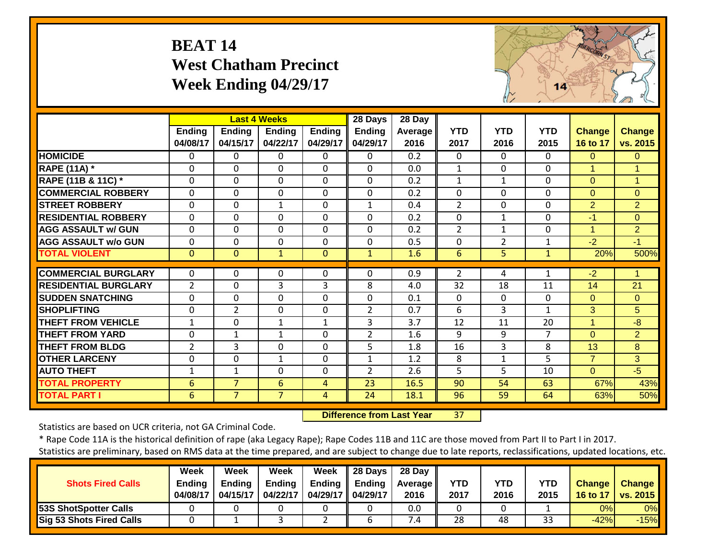## **BEAT 14 West Chatham Precinct Week Ending 04/29/17**



|                             |                    |                           | <b>Last 4 Weeks</b>       |                           | 28 Days                   | 28 Day                 |                    |                    |                    |                           |                      |
|-----------------------------|--------------------|---------------------------|---------------------------|---------------------------|---------------------------|------------------------|--------------------|--------------------|--------------------|---------------------------|----------------------|
|                             | Ending<br>04/08/17 | <b>Ending</b><br>04/15/17 | <b>Ending</b><br>04/22/17 | <b>Ending</b><br>04/29/17 | <b>Ending</b><br>04/29/17 | <b>Average</b><br>2016 | <b>YTD</b><br>2017 | <b>YTD</b><br>2016 | <b>YTD</b><br>2015 | <b>Change</b><br>16 to 17 | Change<br>vs. 2015   |
| <b>HOMICIDE</b>             | 0                  | 0                         | 0                         | 0                         | 0                         | 0.2                    | $\Omega$           | 0                  | $\Omega$           | $\Omega$                  | $\mathbf{0}$         |
| <b>RAPE (11A) *</b>         | $\Omega$           | 0                         | $\Omega$                  | $\Omega$                  | $\Omega$                  | 0.0                    | $\mathbf{1}$       | 0                  | $\Omega$           | 1                         | $\blacktriangleleft$ |
| RAPE (11B & 11C) *          | $\Omega$           | 0                         | $\Omega$                  | $\Omega$                  | $\Omega$                  | 0.2                    | 1                  | 1                  | $\Omega$           | $\Omega$                  | $\mathbf{1}$         |
| <b>COMMERCIAL ROBBERY</b>   | $\Omega$           | 0                         | $\mathbf 0$               | $\mathbf 0$               | $\mathbf 0$               | 0.2                    | $\mathbf{0}$       | 0                  | $\Omega$           | $\Omega$                  | $\overline{0}$       |
| <b>STREET ROBBERY</b>       | $\Omega$           | 0                         | $\mathbf{1}$              | $\Omega$                  | $\mathbf{1}$              | 0.4                    | $\overline{2}$     | 0                  | $\Omega$           | $\overline{2}$            | $\overline{2}$       |
| <b>RESIDENTIAL ROBBERY</b>  | $\Omega$           | $\Omega$                  | $\Omega$                  | $\mathbf 0$               | $\mathbf 0$               | 0.2                    | $\mathbf{0}$       | $\mathbf{1}$       | $\Omega$           | $-1$                      | $\Omega$             |
| <b>AGG ASSAULT w/ GUN</b>   | $\mathbf 0$        | 0                         | $\mathbf 0$               | $\mathbf 0$               | $\mathbf 0$               | 0.2                    | $\overline{2}$     | $\mathbf{1}$       | $\mathbf{0}$       | 1                         | $\overline{2}$       |
| <b>AGG ASSAULT w/o GUN</b>  | $\Omega$           | $\Omega$                  | $\mathbf 0$               | $\Omega$                  | $\mathbf{0}$              | 0.5                    | $\Omega$           | $\overline{2}$     | $\mathbf{1}$       | $-2$                      | $-1$                 |
| <b>TOTAL VIOLENT</b>        | $\mathbf{0}$       | $\overline{0}$            | $\mathbf{1}$              | $\mathbf{0}$              | $\mathbf{1}$              | 1.6                    | 6                  | 5                  | $\mathbf{1}$       | 20%                       | 500%                 |
|                             |                    |                           |                           |                           |                           |                        |                    |                    |                    |                           |                      |
| <b>COMMERCIAL BURGLARY</b>  | $\Omega$           | 0                         | 0                         | $\Omega$                  | $\Omega$                  | 0.9                    | $\overline{2}$     | 4                  | 1                  | $-2$                      | $\mathbf 1$          |
| <b>RESIDENTIAL BURGLARY</b> | $\overline{2}$     | 0                         | 3                         | 3                         | 8                         | 4.0                    | 32                 | 18                 | 11                 | 14                        | 21                   |
| <b>SUDDEN SNATCHING</b>     | $\mathbf 0$        | 0                         | $\mathbf 0$               | $\mathbf 0$               | $\mathbf 0$               | 0.1                    | $\mathbf{0}$       | 0                  | $\mathbf 0$        | $\overline{0}$            | $\Omega$             |
| <b>SHOPLIFTING</b>          | $\mathbf 0$        | $\overline{2}$            | $\mathbf 0$               | $\mathbf 0$               | $\overline{2}$            | 0.7                    | 6                  | $\overline{3}$     | $\mathbf{1}$       | 3                         | 5 <sup>5</sup>       |
| <b>THEFT FROM VEHICLE</b>   | $\mathbf{1}$       | 0                         | $\mathbf{1}$              | $\mathbf{1}$              | 3                         | 3.7                    | 12                 | 11                 | 20                 | $\mathbf{1}$              | $-8$                 |
| <b>THEFT FROM YARD</b>      | $\mathbf 0$        | $\mathbf{1}$              | $\mathbf{1}$              | $\mathbf 0$               | 2                         | 1.6                    | 9                  | 9                  | $\overline{7}$     | $\Omega$                  | $\overline{2}$       |
| <b>THEFT FROM BLDG</b>      | $\overline{2}$     | 3                         | $\Omega$                  | $\Omega$                  | 5                         | 1.8                    | 16                 | 3                  | 8                  | 13                        | 8                    |
| <b>OTHER LARCENY</b>        | $\mathbf 0$        | 0                         | $\mathbf{1}$              | $\Omega$                  | $\mathbf{1}$              | 1.2                    | 8                  | 1                  | 5                  | $\overline{7}$            | 3                    |
| <b>AUTO THEFT</b>           | 1                  | $\mathbf{1}$              | $\Omega$                  | $\Omega$                  | $\overline{2}$            | 2.6                    | 5                  | 5                  | 10                 | $\Omega$                  | $-5$                 |
| <b>TOTAL PROPERTY</b>       | 6                  | $\overline{7}$            | $6\phantom{1}$            | $\overline{4}$            | 23                        | 16.5                   | 90                 | 54                 | 63                 | 67%                       | 43%                  |
| <b>TOTAL PART I</b>         | 6                  | $\overline{7}$            | $\overline{7}$            | $\overline{4}$            | 24                        | 18.1                   | 96                 | 59                 | 64                 | 63%                       | 50%                  |

 **Difference from Last Year**37

Statistics are based on UCR criteria, not GA Criminal Code.

\* Rape Code 11A is the historical definition of rape (aka Legacy Rape); Rape Codes 11B and 11C are those moved from Part II to Part I in 2017.

|                                 | Week          | Week          | <b>Week</b>   | Week                | 28 Days | 28 Day     |            |      |      |               |                     |
|---------------------------------|---------------|---------------|---------------|---------------------|---------|------------|------------|------|------|---------------|---------------------|
| <b>Shots Fired Calls</b>        | <b>Ending</b> | <b>Endina</b> | <b>Ending</b> | Ending              | Ending  | Average II | <b>YTD</b> | YTD  | YTD  | <b>Change</b> | <b>Change</b>       |
|                                 | 04/08/17      | 04/15/17      | 04/22/17      | 04/29/17   04/29/17 |         | 2016       | 2017       | 2016 | 2015 |               | 16 to 17   vs. 2015 |
| <b>53S ShotSpotter Calls</b>    |               |               |               |                     |         | 0.0        |            |      |      | 0%I           | 0%                  |
| <b>Sig 53 Shots Fired Calls</b> |               |               |               |                     |         |            | 28         | 48   | 33   | $-42%$        | $-15%$              |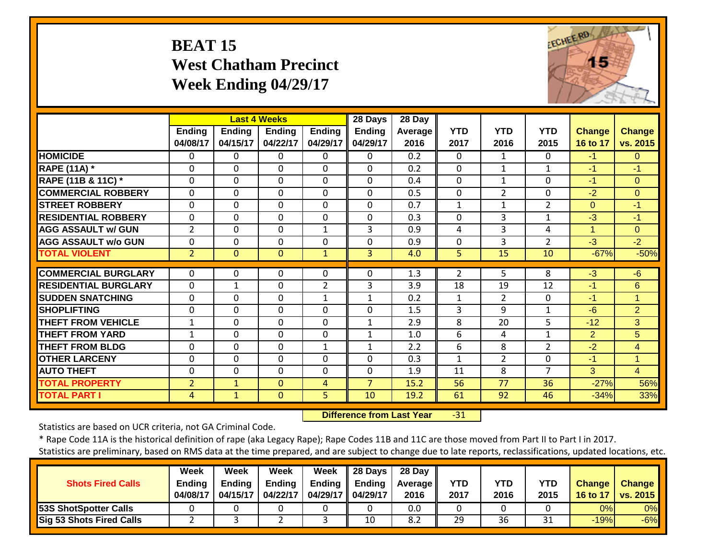## **BEAT 15 West Chatham Precinct Week Ending 04/29/17**



|                             |                           |                           | <b>Last 4 Weeks</b> |                           | 28 Days                   | 28 Day                 |                    |                    |                    |                           |                           |
|-----------------------------|---------------------------|---------------------------|---------------------|---------------------------|---------------------------|------------------------|--------------------|--------------------|--------------------|---------------------------|---------------------------|
|                             | <b>Ending</b><br>04/08/17 | <b>Ending</b><br>04/15/17 | Endina<br>04/22/17  | <b>Ending</b><br>04/29/17 | <b>Ending</b><br>04/29/17 | <b>Average</b><br>2016 | <b>YTD</b><br>2017 | <b>YTD</b><br>2016 | <b>YTD</b><br>2015 | <b>Change</b><br>16 to 17 | <b>Change</b><br>vs. 2015 |
| <b>HOMICIDE</b>             | $\Omega$                  | 0                         | $\Omega$            | 0                         | 0                         | 0.2                    | $\Omega$           | 1                  | $\Omega$           | $-1$                      | $\Omega$                  |
| <b>RAPE (11A)</b> *         | $\Omega$                  | $\Omega$                  | $\mathbf{0}$        | $\Omega$                  | $\Omega$                  | 0.2                    | $\Omega$           | $\mathbf{1}$       | 1                  | $-1$                      | $-1$                      |
| RAPE (11B & 11C) *          | $\Omega$                  | $\mathbf 0$               | $\mathbf 0$         | $\mathbf 0$               | $\Omega$                  | 0.4                    | $\mathbf{0}$       | $\mathbf{1}$       | $\mathbf{0}$       | $-1$                      | $\Omega$                  |
| <b>COMMERCIAL ROBBERY</b>   | $\Omega$                  | $\Omega$                  | $\mathbf{0}$        | $\Omega$                  | $\Omega$                  | 0.5                    | $\Omega$           | $\overline{2}$     | 0                  | $-2$                      | $\Omega$                  |
| <b>STREET ROBBERY</b>       | $\Omega$                  | $\Omega$                  | $\mathbf 0$         | $\mathbf 0$               | $\Omega$                  | 0.7                    | 1                  | 1                  | 2                  | $\Omega$                  | $-1$                      |
| <b>RESIDENTIAL ROBBERY</b>  | $\Omega$                  | $\Omega$                  | $\Omega$            | 0                         | $\Omega$                  | 0.3                    | $\Omega$           | 3                  | 1                  | $-3$                      | $-1$                      |
| <b>AGG ASSAULT w/ GUN</b>   | $\overline{2}$            | $\Omega$                  | $\mathbf 0$         | $\mathbf{1}$              | 3                         | 0.9                    | 4                  | 3                  | 4                  | 1                         | $\Omega$                  |
| <b>AGG ASSAULT w/o GUN</b>  | $\Omega$                  | $\Omega$                  | $\Omega$            | 0                         | $\Omega$                  | 0.9                    | $\Omega$           | 3                  | $\overline{2}$     | $-3$                      | $-2$                      |
| <b>TOTAL VIOLENT</b>        | $\overline{2}$            | $\Omega$                  | $\mathbf{0}$        | $\mathbf{1}$              | 3                         | 4.0                    | 5                  | 15                 | 10                 | $-67%$                    | $-50%$                    |
| <b>COMMERCIAL BURGLARY</b>  | $\Omega$                  | 0                         | $\mathbf{0}$        | $\Omega$                  | 0                         | 1.3                    | 2                  | 5.                 | 8                  | $-3$                      | -6                        |
| <b>RESIDENTIAL BURGLARY</b> | $\Omega$                  |                           | $\Omega$            | $\overline{2}$            | 3                         | 3.9                    | 18                 | 19                 | 12                 | $-1$                      | 6                         |
| <b>SUDDEN SNATCHING</b>     |                           | 1                         |                     |                           |                           |                        |                    |                    | $\Omega$           | $-1$                      |                           |
|                             | $\Omega$                  | $\Omega$                  | $\Omega$            | 1                         | 1                         | 0.2                    | 1                  | $\overline{2}$     |                    |                           | 1                         |
| <b>SHOPLIFTING</b>          | $\Omega$                  | 0                         | $\Omega$            | 0                         | 0                         | 1.5                    | 3                  | 9                  | 1                  | $-6$                      | $\overline{2}$            |
| <b>THEFT FROM VEHICLE</b>   | 1                         | $\Omega$                  | $\Omega$            | 0                         | 1                         | 2.9                    | 8                  | 20                 | 5                  | $-12$                     | 3                         |
| <b>THEFT FROM YARD</b>      | 1                         | 0                         | $\Omega$            | 0                         | 1                         | 1.0                    | 6                  | 4                  | 1                  | 2                         | 5                         |
| <b>THEFT FROM BLDG</b>      | 0                         | $\Omega$                  | 0                   | $\mathbf{1}$              | 1                         | 2.2                    | 6                  | 8                  | $\overline{2}$     | $-2$                      | 4                         |
| <b>OTHER LARCENY</b>        | $\Omega$                  | $\Omega$                  | $\mathbf{0}$        | $\Omega$                  | $\Omega$                  | 0.3                    | $\mathbf{1}$       | $\overline{2}$     | $\Omega$           | $-1$                      | $\mathbf{1}$              |
| <b>AUTO THEFT</b>           | 0                         | $\mathbf 0$               | $\mathbf{0}$        | $\Omega$                  | 0                         | 1.9                    | 11                 | 8                  | 7                  | 3                         | $\overline{4}$            |
| <b>TOTAL PROPERTY</b>       | $\overline{2}$            | $\mathbf{1}$              | $\overline{0}$      | 4                         | $\overline{7}$            | 15.2                   | 56                 | 77                 | 36                 | $-27%$                    | 56%                       |
| <b>TOTAL PART I</b>         | 4                         | $\mathbf{1}$              | $\mathbf{0}$        | 5                         | 10                        | 19.2                   | 61                 | 92                 | 46                 | $-34%$                    | 33%                       |

 **Difference from Last Year** $-31$ 

Statistics are based on UCR criteria, not GA Criminal Code.

\* Rape Code 11A is the historical definition of rape (aka Legacy Rape); Rape Codes 11B and 11C are those moved from Part II to Part I in 2017.

|                                 | Week          | Week     | Week          | Week                | $\parallel$ 28 Days | 28 Day            |            |            |            |               |                 |
|---------------------------------|---------------|----------|---------------|---------------------|---------------------|-------------------|------------|------------|------------|---------------|-----------------|
| <b>Shots Fired Calls</b>        | <b>Ending</b> | Endina   | <b>Ending</b> | Endina              | Ending              | <b>Average</b> II | <b>YTD</b> | <b>YTD</b> | <b>YTD</b> | <b>Change</b> | <b>Change</b>   |
|                                 | 04/08/17      | 04/15/17 | 04/22/17      | 04/29/17   04/29/17 |                     | 2016              | 2017       | 2016       | 2015       | 16 to 17      | <b>vs. 2015</b> |
| <b>53S ShotSpotter Calls</b>    |               |          |               |                     |                     | 0.0               |            |            |            | 0%            | 0%              |
| <b>Sig 53 Shots Fired Calls</b> |               |          |               |                     | 10                  | 8.2               | 29         | 36         | 31         | $-19%$        | $-6%$           |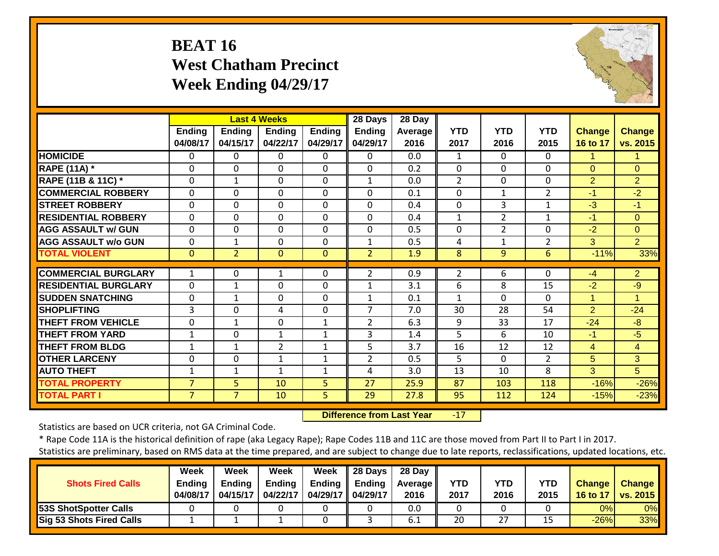## **BEAT 16 West Chatham Precinct Week Ending 04/29/17**



|                               |                           |                           | <b>Last 4 Weeks</b> |                    | 28 Days                   | 28 Day          |                    |                    |                    |                           |                           |
|-------------------------------|---------------------------|---------------------------|---------------------|--------------------|---------------------------|-----------------|--------------------|--------------------|--------------------|---------------------------|---------------------------|
|                               | <b>Ending</b><br>04/08/17 | <b>Ending</b><br>04/15/17 | Ending<br>04/22/17  | Ending<br>04/29/17 | <b>Ending</b><br>04/29/17 | Average<br>2016 | <b>YTD</b><br>2017 | <b>YTD</b><br>2016 | <b>YTD</b><br>2015 | <b>Change</b><br>16 to 17 | <b>Change</b><br>vs. 2015 |
| <b>HOMICIDE</b>               | 0                         | 0                         | $\Omega$            | $\Omega$           | 0                         | 0.0             | $\mathbf{1}$       | $\Omega$           | 0                  | 1                         |                           |
| <b>RAPE (11A) *</b>           | $\Omega$                  | $\Omega$                  | $\Omega$            | 0                  | $\Omega$                  | 0.2             | $\Omega$           | $\Omega$           | $\Omega$           | $\Omega$                  | $\Omega$                  |
| <b>RAPE (11B &amp; 11C)</b> * | 0                         | $\mathbf{1}$              | $\Omega$            | $\Omega$           | $\mathbf{1}$              | 0.0             | 2                  | $\Omega$           | $\Omega$           | 2                         | $\overline{2}$            |
| <b>COMMERCIAL ROBBERY</b>     | $\mathbf 0$               | $\Omega$                  | $\mathbf 0$         | $\Omega$           | $\Omega$                  | 0.1             | $\Omega$           | 1                  | $\overline{2}$     | $-1$                      | $-2$                      |
| <b>STREET ROBBERY</b>         | $\Omega$                  | 0                         | $\mathbf 0$         | 0                  | $\Omega$                  | 0.4             | $\mathbf 0$        | 3                  | $\mathbf{1}$       | $-3$                      | $-1$                      |
| <b>RESIDENTIAL ROBBERY</b>    | $\Omega$                  | 0                         | $\Omega$            | 0                  | $\Omega$                  | 0.4             | 1                  | $\overline{2}$     | $\mathbf{1}$       | $-1$                      | $\Omega$                  |
| <b>AGG ASSAULT w/ GUN</b>     | $\Omega$                  | 0                         | $\Omega$            | 0                  | $\Omega$                  | 0.5             | $\mathbf 0$        | $\overline{2}$     | $\Omega$           | $-2$                      | $\Omega$                  |
| <b>AGG ASSAULT w/o GUN</b>    | 0                         | 1                         | $\Omega$            | 0                  | 1                         | 0.5             | 4                  | 1                  | $\overline{2}$     | 3                         | $\overline{2}$            |
| <b>TOTAL VIOLENT</b>          | $\Omega$                  | $\overline{2}$            | $\mathbf{0}$        | $\Omega$           | $\overline{2}$            | 1.9             | 8                  | 9                  | 6                  | $-11%$                    | 33%                       |
| <b>COMMERCIAL BURGLARY</b>    | 1                         | 0                         | 1                   | 0                  | $\overline{2}$            | 0.9             | 2                  | 6                  | $\Omega$           | $-4$                      | $\overline{2}$            |
| <b>RESIDENTIAL BURGLARY</b>   | 0                         | 1                         | $\Omega$            | 0                  | 1                         | 3.1             | 6                  | 8                  | 15                 | $-2$                      | $-9$                      |
| <b>SUDDEN SNATCHING</b>       | $\Omega$                  | $\mathbf{1}$              | $\Omega$            | 0                  | 1                         | 0.1             | 1                  | $\Omega$           | $\Omega$           | 4                         | 1                         |
| <b>SHOPLIFTING</b>            | 3                         | 0                         | 4                   | 0                  | 7                         | 7.0             | 30                 | 28                 | 54                 | $\overline{2}$            | $-24$                     |
| <b>THEFT FROM VEHICLE</b>     | $\Omega$                  | 1                         | $\mathbf 0$         | $\mathbf{1}$       | $\overline{2}$            | 6.3             | 9                  | 33                 | 17                 | $-24$                     | $-8$                      |
| <b>THEFT FROM YARD</b>        | $\mathbf 1$               | 0                         | $\mathbf{1}$        | 1                  | 3                         | 1.4             | 5                  | 6                  | 10                 | $-1$                      | $-5$                      |
| <b>THEFT FROM BLDG</b>        | $\mathbf 1$               | 1                         | $\overline{2}$      | 1                  | 5                         | 3.7             | 16                 | 12                 | 12                 | 4                         | $\overline{4}$            |
| <b>OTHER LARCENY</b>          | 0                         | 0                         | $\mathbf{1}$        | 1                  | $\overline{2}$            | 0.5             | 5                  | $\Omega$           | $\overline{2}$     | 5                         | 3                         |
| <b>AUTO THEFT</b>             | 1                         | 1                         | $\mathbf{1}$        | $\mathbf{1}$       | 4                         | 3.0             | 13                 | 10                 | 8                  | 3                         | 5                         |
| <b>TOTAL PROPERTY</b>         | $\overline{7}$            | 5                         | 10                  | 5                  | 27                        | 25.9            | 87                 | 103                | 118                | $-16%$                    | $-26%$                    |
| <b>TOTAL PART I</b>           | $\overline{7}$            | $\overline{7}$            | 10                  | 5                  | 29                        | 27.8            | 95                 | 112                | 124                | $-15%$                    | $-23%$                    |
|                               |                           |                           |                     |                    |                           |                 |                    |                    |                    |                           |                           |

 **Difference from Last Year** $-17$ 

Statistics are based on UCR criteria, not GA Criminal Code.

|                              | Week          | Week          | Week          | Week                | $\parallel$ 28 Days | 28 Dav            |      |      |            |               |               |
|------------------------------|---------------|---------------|---------------|---------------------|---------------------|-------------------|------|------|------------|---------------|---------------|
| <b>Shots Fired Calls</b>     | <b>Ending</b> | <b>Endina</b> | <b>Ending</b> | Ending              | <b>Ending</b>       | <b>Average II</b> | YTD  | YTD  | <b>YTD</b> | <b>Change</b> | <b>Change</b> |
|                              | 04/08/17      | 04/15/17      | 04/22/17      | 04/29/17   04/29/17 |                     | 2016              | 2017 | 2016 | 2015       | 16 to 17      | vs. 2015      |
| <b>53S ShotSpotter Calls</b> |               |               |               |                     |                     | 0.0               |      |      |            | 0%            | 0%            |
| Sig 53 Shots Fired Calls     |               |               |               |                     |                     | 6.1               | 20   | 27   |            | $-26%$        | 33%           |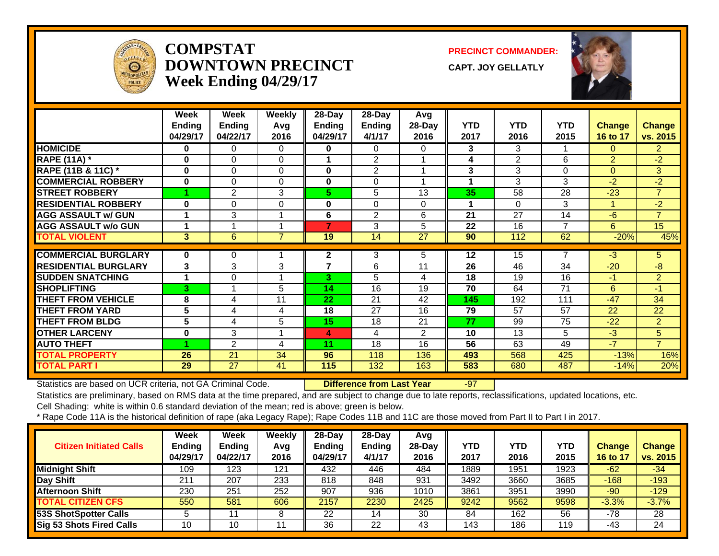

#### **COMPSTATDOWNTOWN PRECINCTWeek Ending 04/29/17**

**PRECINCT COMMANDER:**

**CAPT. JOY GELLATLY**



|                             | Week               | Week               | <b>Weekly</b>  | 28-Day                    | 28-Day                  | Avg            | <b>YTD</b> | <b>YTD</b> | <b>YTD</b> |                           |                    |
|-----------------------------|--------------------|--------------------|----------------|---------------------------|-------------------------|----------------|------------|------------|------------|---------------------------|--------------------|
|                             | Ending<br>04/29/17 | Ending<br>04/22/17 | Avg<br>2016    | <b>Ending</b><br>04/29/17 | <b>Ending</b><br>4/1/17 | 28-Day<br>2016 | 2017       | 2016       | 2015       | <b>Change</b><br>16 to 17 | Change<br>vs. 2015 |
| <b>HOMICIDE</b>             | 0                  | 0                  | 0              | 0                         | $\Omega$                | 0              | 3          | 3          |            | $\Omega$                  | $\overline{2}$     |
| <b>RAPE (11A) *</b>         | 0                  | 0                  | $\Omega$       |                           | 2                       |                | 4          | 2          | 6          | $\overline{2}$            | $-2$               |
| RAPE (11B & 11C) *          | $\bf{0}$           | 0                  | 0              | $\bf{0}$                  | $\overline{2}$          |                | 3          | 3          | $\Omega$   | $\Omega$                  | 3                  |
| <b>COMMERCIAL ROBBERY</b>   | 0                  | 0                  | $\Omega$       | 0                         | $\Omega$                |                | 1          | 3          | 3          | $-2$                      | $-2$               |
| <b>STREET ROBBERY</b>       |                    | 2                  | 3              | 5.                        | 5                       | 13             | 35         | 58         | 28         | $-23$                     | $\overline{7}$     |
| <b>RESIDENTIAL ROBBERY</b>  | 0                  | 0                  | 0              | 0                         | 0                       | 0              |            | $\Omega$   | 3          |                           | $-2$               |
| <b>AGG ASSAULT w/ GUN</b>   | 1                  | 3                  |                | 6                         | 2                       | 6              | 21         | 27         | 14         | $-6$                      | $\overline{7}$     |
| <b>AGG ASSAULT w/o GUN</b>  | 1                  |                    |                | 7                         | 3                       | 5              | 22         | 16         | 7          | 6.                        | 15                 |
| <b>TOTAL VIOLENT</b>        | 3                  | 6                  | $\overline{7}$ | 19                        | 14                      | 27             | 90         | 112        | 62         | $-20%$                    | 45%                |
|                             |                    |                    |                |                           |                         |                |            | 15         | 7          | $-3$                      |                    |
| <b>COMMERCIAL BURGLARY</b>  | $\bf{0}$           | 0                  |                | 2<br>7                    | 3                       | 5              | $12 \,$    |            |            |                           | 5                  |
| <b>RESIDENTIAL BURGLARY</b> | 3                  | 3                  | 3              |                           | 6                       | 11             | 26         | 46         | 34         | $-20$                     | $-8$               |
| <b>SUDDEN SNATCHING</b>     | 1                  | 0                  |                | 3.                        | 5                       | 4              | 18         | 19         | 16         | $-1$                      | $\overline{2}$     |
| <b>SHOPLIFTING</b>          | 3                  | $\overline{ }$     | 5              | 14                        | 16                      | 19             | 70         | 64         | 71         | 6                         | 47                 |
| <b>THEFT FROM VEHICLE</b>   | 8                  | 4                  | 11             | 22                        | 21                      | 42             | 145        | 192        | 111        | $-47$                     | 34                 |
| <b>THEFT FROM YARD</b>      | 5                  | 4                  | 4              | 18                        | 27                      | 16             | 79         | 57         | 57         | 22                        | 22                 |
| <b>THEFT FROM BLDG</b>      | 5                  | 4                  | 5              | 15                        | 18                      | 21             | 77         | 99         | 75         | $-22$                     | $\overline{2}$     |
| <b>OTHER LARCENY</b>        | 0                  | 3                  |                | 4                         | 4                       | 2              | 10         | 13         | 5          | $-3$                      | 5                  |
| <b>AUTO THEFT</b>           |                    | $\overline{2}$     | 4              | 11                        | 18                      | 16             | 56         | 63         | 49         | $-7$                      | $\overline{7}$     |
| <b>TOTAL PROPERTY</b>       | 26                 | 21                 | 34             | 96                        | 118                     | 136            | 493        | 568        | 425        | $-13%$                    | 16%                |
| <b>TOTAL PART I</b>         | 29                 | 27                 | 41             | 115                       | 132                     | 163            | 583        | 680        | 487        | $-14%$                    | 20%                |

Statistics are based on UCR criteria, not GA Criminal Code. **Difference from Last Year** -97

Statistics are preliminary, based on RMS data at the time prepared, and are subject to change due to late reports, reclassifications, updated locations, etc.

Cell Shading: white is within 0.6 standard deviation of the mean; red is above; green is below.

| <b>Citizen Initiated Calls</b>  | <b>Week</b><br><b>Ending</b><br>04/29/17 | <b>Week</b><br><b>Ending</b><br>04/22/17 | Weekly<br>Avg<br>2016 | $28-Dav$<br><b>Ending</b><br>04/29/17 | 28-Day<br><b>Ending</b><br>4/1/17 | Avg<br>$28$ -Day<br>2016 | YTD<br>2017 | YTD<br>2016 | <b>YTD</b><br>2015 | <b>Change</b><br>16 to 17 | <b>Change</b><br>vs. 2015 |
|---------------------------------|------------------------------------------|------------------------------------------|-----------------------|---------------------------------------|-----------------------------------|--------------------------|-------------|-------------|--------------------|---------------------------|---------------------------|
| <b>Midnight Shift</b>           | 109                                      | 123                                      | 121                   | 432                                   | 446                               | 484                      | 1889        | 1951        | $19\overline{23}$  | $-62$                     | $-34$                     |
| Day Shift                       | 211                                      | 207                                      | 233                   | 818                                   | 848                               | 931                      | 3492        | 3660        | 3685               | $-168$                    | $-193$                    |
| <b>Afternoon Shift</b>          | 230                                      | 251                                      | 252                   | 907                                   | 936                               | 1010                     | 3861        | 3951        | 3990               | $-90$                     | $-129$                    |
| <b>TOTAL CITIZEN CFS</b>        | 550                                      | 581                                      | 606                   | 2157                                  | 2230                              | 2425                     | 9242        | 9562        | 9598               | $-3.3%$                   | $-3.7%$                   |
| 53S ShotSpotter Calls           |                                          |                                          | o<br>O                | 22                                    | 14                                | 30                       | 84          | 162         | 56                 | -78                       | 28                        |
| <b>Sig 53 Shots Fired Calls</b> | 10                                       | 10                                       |                       | 36                                    | 22                                | 43                       | 143         | 186         | 119                | -43                       | 24                        |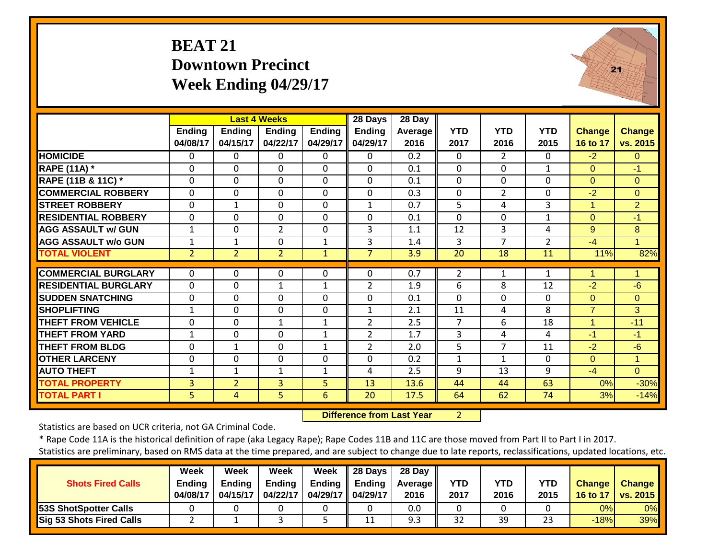## **BEAT 21 Downtown PrecinctWeek Ending 04/29/17**



|                             |                           |                           | <b>Last 4 Weeks</b>       |                           | 28 Days                   | 28 Day           |                    |                    |                    |                           |                           |
|-----------------------------|---------------------------|---------------------------|---------------------------|---------------------------|---------------------------|------------------|--------------------|--------------------|--------------------|---------------------------|---------------------------|
|                             | <b>Ending</b><br>04/08/17 | <b>Endina</b><br>04/15/17 | <b>Endina</b><br>04/22/17 | <b>Ending</b><br>04/29/17 | <b>Ending</b><br>04/29/17 | Average<br>2016  | <b>YTD</b><br>2017 | <b>YTD</b><br>2016 | <b>YTD</b><br>2015 | <b>Change</b><br>16 to 17 | <b>Change</b><br>vs. 2015 |
| <b>HOMICIDE</b>             | 0                         | 0                         | 0                         | $\Omega$                  | 0                         | $\overline{0.2}$ | $\Omega$           | $\overline{2}$     | $\Omega$           | $-2$                      | $\Omega$                  |
| <b>RAPE (11A)</b> *         | $\Omega$                  | $\Omega$                  | $\Omega$                  | $\Omega$                  | $\mathbf 0$               | 0.1              | $\mathbf{0}$       | 0                  | $\mathbf{1}$       | $\Omega$                  | $-1$                      |
| RAPE (11B & 11C) *          | $\Omega$                  | $\mathbf 0$               | $\mathbf 0$               | $\Omega$                  | $\mathbf 0$               | 0.1              | $\mathbf{0}$       | 0                  | $\mathbf{0}$       | $\Omega$                  | $\Omega$                  |
| <b>COMMERCIAL ROBBERY</b>   | $\Omega$                  | 0                         | $\Omega$                  | $\Omega$                  | 0                         | 0.3              | $\mathbf 0$        | $\overline{2}$     | $\Omega$           | $-2$                      | $\Omega$                  |
| <b>STREET ROBBERY</b>       | $\mathbf 0$               | 1                         | $\mathbf 0$               | $\Omega$                  | 1                         | 0.7              | 5                  | 4                  | 3                  | 1                         | $\overline{2}$            |
| <b>RESIDENTIAL ROBBERY</b>  | $\Omega$                  | 0                         | $\Omega$                  | $\Omega$                  | $\mathbf 0$               | 0.1              | $\Omega$           | 0                  | $\mathbf{1}$       | $\Omega$                  | $-1$                      |
| <b>AGG ASSAULT w/ GUN</b>   | $\mathbf{1}$              | $\Omega$                  | $\overline{2}$            | $\Omega$                  | 3                         | 1.1              | 12                 | 3                  | 4                  | 9                         | 8                         |
| <b>AGG ASSAULT w/o GUN</b>  | 1                         | 1                         | $\Omega$                  | 1                         | 3                         | 1.4              | 3                  | $\overline{7}$     | $\overline{2}$     | $-4$                      |                           |
| <b>TOTAL VIOLENT</b>        | $\overline{2}$            | $\overline{2}$            | $\overline{2}$            | $\mathbf{1}$              | $\overline{7}$            | 3.9              | 20                 | 18                 | 11                 | 11%                       | 82%                       |
| <b>COMMERCIAL BURGLARY</b>  | 0                         | 0                         | 0                         | 0                         | 0                         | 0.7              | $\overline{2}$     | 1                  | 1                  |                           |                           |
| <b>RESIDENTIAL BURGLARY</b> | $\Omega$                  | 0                         | 1                         | 1                         | $\overline{2}$            | 1.9              | 6                  | 8                  | 12                 | $-2$                      | $-6$                      |
| <b>SUDDEN SNATCHING</b>     | $\Omega$                  | 0                         | $\mathbf 0$               | 0                         | $\mathbf 0$               | 0.1              | $\Omega$           | 0                  | $\Omega$           | $\Omega$                  | $\Omega$                  |
| <b>SHOPLIFTING</b>          | 1                         | 0                         | $\mathbf 0$               | $\Omega$                  | $\mathbf{1}$              | 2.1              | 11                 | 4                  | 8                  | $\overline{7}$            | 3                         |
| <b>THEFT FROM VEHICLE</b>   | $\Omega$                  | 0                         | $\mathbf{1}$              | $\mathbf{1}$              | $\overline{2}$            | 2.5              | 7                  | 6                  | 18                 | 1                         | $-11$                     |
| <b>THEFT FROM YARD</b>      | 1                         | 0                         | $\Omega$                  | 1                         | $\overline{2}$            | 1.7              | 3                  | 4                  | 4                  | $-1$                      | $-1$                      |
| <b>THEFT FROM BLDG</b>      | 0                         | $\mathbf{1}$              | $\Omega$                  | 1                         | $\overline{2}$            | 2.0              | 5                  | $\overline{7}$     | 11                 | $-2$                      | $-6$                      |
| <b>OTHER LARCENY</b>        | $\Omega$                  | $\Omega$                  | $\Omega$                  | $\Omega$                  | $\Omega$                  | 0.2              | $\mathbf{1}$       | $\mathbf{1}$       | $\Omega$           | $\Omega$                  | $\blacktriangleleft$      |
| <b>AUTO THEFT</b>           | $\mathbf{1}$              | $\mathbf 1$               | $\mathbf{1}$              | $\mathbf{1}$              | 4                         | 2.5              | 9                  | 13                 | 9                  | $-4$                      | $\overline{0}$            |
| <b>TOTAL PROPERTY</b>       | 3                         | $\overline{2}$            | $\overline{3}$            | 5                         | 13                        | 13.6             | 44                 | 44                 | 63                 | 0%                        | $-30%$                    |
| <b>TOTAL PART I</b>         | 5                         | 4                         | 5                         | $6\phantom{1}$            | 20                        | 17.5             | 64                 | 62                 | 74                 | 3%                        | $-14%$                    |

 **Difference from Last Year**2

Statistics are based on UCR criteria, not GA Criminal Code.

\* Rape Code 11A is the historical definition of rape (aka Legacy Rape); Rape Codes 11B and 11C are those moved from Part II to Part I in 2017. Statistics are preliminary, based on RMS data at the time prepared, and are subject to change due to late reports, reclassifications, updated locations, etc.

**Week Week Week Week 28 Days 28 Day**

| Ending   | <b>Ending</b> | <b>Ending</b> | Endina   | <b>Ending</b> |           | <b>YTD</b> | <b>YTD</b>      | YTD      | <b>Change</b>        | <b>Change</b>   |
|----------|---------------|---------------|----------|---------------|-----------|------------|-----------------|----------|----------------------|-----------------|
| 04/08/17 |               | 04/22/17      | 04/29/17 | 04/29/17      | 2016      | 2017       | 2016            | 2015     | 16 to 17 $\parallel$ | <b>vs. 2015</b> |
|          |               |               |          |               | 0.0       |            |                 |          | 0%l                  | 0%              |
|          |               |               |          | ᆠᆂ            | Ω΄<br>כ.פ | ົ<br>--    | 30<br><b>JJ</b> | າາ<br>دے | $-18%$               | 39%             |
|          |               | 04/15/17      |          |               |           |            | Average II      |          |                      |                 |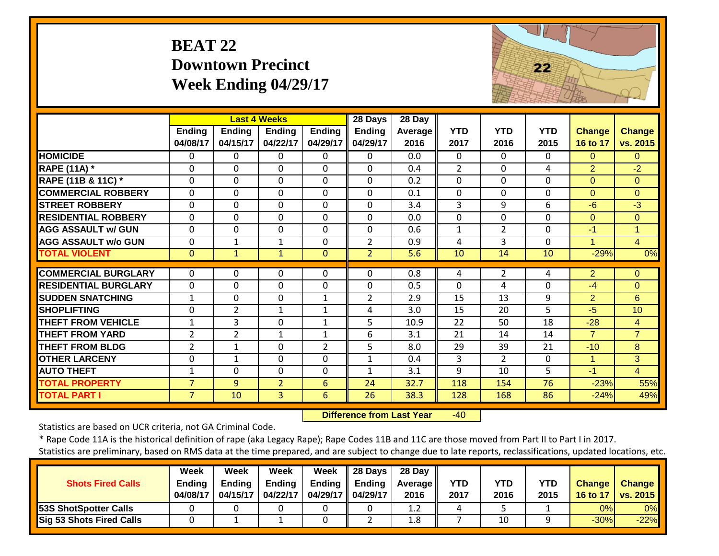## **BEAT 22 Downtown PrecinctWeek Ending 04/29/17**



|                             |                           |                           | <b>Last 4 Weeks</b>       |                           | 28 Days                   | 28 Day                 |                    |                    |                    |                                  |                           |
|-----------------------------|---------------------------|---------------------------|---------------------------|---------------------------|---------------------------|------------------------|--------------------|--------------------|--------------------|----------------------------------|---------------------------|
|                             | <b>Ending</b><br>04/08/17 | <b>Ending</b><br>04/15/17 | <b>Ending</b><br>04/22/17 | <b>Ending</b><br>04/29/17 | <b>Ending</b><br>04/29/17 | <b>Average</b><br>2016 | <b>YTD</b><br>2017 | <b>YTD</b><br>2016 | <b>YTD</b><br>2015 | <b>Change</b><br><b>16 to 17</b> | <b>Change</b><br>vs. 2015 |
| <b>HOMICIDE</b>             | $\Omega$                  | 0                         | $\Omega$                  | $\Omega$                  | 0                         | 0.0                    | $\Omega$           | $\Omega$           | $\Omega$           | $\Omega$                         | $\Omega$                  |
| <b>RAPE (11A)</b> *         | $\Omega$                  | $\Omega$                  | $\Omega$                  | $\Omega$                  | $\Omega$                  | 0.4                    | $\overline{2}$     | $\Omega$           | 4                  | 2                                | $-2$                      |
| RAPE (11B & 11C) *          | $\mathbf 0$               | $\Omega$                  | $\Omega$                  | $\mathbf 0$               | $\Omega$                  | 0.2                    | $\Omega$           | $\mathbf 0$        | $\Omega$           | $\Omega$                         | $\overline{0}$            |
| <b>COMMERCIAL ROBBERY</b>   | $\Omega$                  | 0                         | $\Omega$                  | $\Omega$                  | $\Omega$                  | 0.1                    | $\Omega$           | $\Omega$           | $\Omega$           | $\Omega$                         | $\Omega$                  |
| <b>STREET ROBBERY</b>       | $\Omega$                  | 0                         | $\Omega$                  | $\Omega$                  | $\Omega$                  | 3.4                    | 3                  | 9                  | 6                  | $-6$                             | $-3$                      |
| <b>RESIDENTIAL ROBBERY</b>  | $\Omega$                  | $\Omega$                  | $\Omega$                  | $\Omega$                  | $\Omega$                  | 0.0                    | $\Omega$           | $\Omega$           | $\Omega$           | $\Omega$                         | $\Omega$                  |
| <b>AGG ASSAULT w/ GUN</b>   | $\Omega$                  | 0                         | $\Omega$                  | $\Omega$                  | 0                         | 0.6                    | 1                  | $\overline{2}$     | $\Omega$           | $-1$                             | $\blacktriangleleft$      |
| <b>AGG ASSAULT w/o GUN</b>  | $\Omega$                  | $\mathbf{1}$              | $\mathbf{1}$              | $\Omega$                  | $\overline{2}$            | 0.9                    | 4                  | $\overline{3}$     | $\Omega$           | 1                                | $\overline{4}$            |
| <b>TOTAL VIOLENT</b>        | $\mathbf{0}$              | $\mathbf{1}$              | $\mathbf{1}$              | $\Omega$                  | $\overline{2}$            | 5.6                    | 10                 | 14                 | 10                 | $-29%$                           | 0%                        |
|                             |                           |                           |                           |                           |                           |                        |                    |                    |                    |                                  |                           |
| <b>COMMERCIAL BURGLARY</b>  | $\Omega$                  | 0                         | 0                         | $\Omega$                  | 0                         | 0.8                    | 4                  | 2                  | 4                  | $\overline{2}$                   | $\Omega$                  |
| <b>RESIDENTIAL BURGLARY</b> | $\Omega$                  | 0                         | $\Omega$                  | 0                         | $\Omega$                  | 0.5                    | $\Omega$           | 4                  | $\mathbf{0}$       | $-4$                             | $\Omega$                  |
| <b>SUDDEN SNATCHING</b>     | $\mathbf{1}$              | 0                         | $\Omega$                  | $\mathbf{1}$              | 2                         | 2.9                    | 15                 | 13                 | 9                  | 2                                | 6                         |
| <b>SHOPLIFTING</b>          | $\Omega$                  | $\overline{2}$            | 1                         | $\mathbf{1}$              | 4                         | 3.0                    | 15                 | 20                 | 5                  | $-5$                             | 10                        |
| <b>THEFT FROM VEHICLE</b>   | $\mathbf 1$               | 3                         | $\Omega$                  | 1                         | 5                         | 10.9                   | 22                 | 50                 | 18                 | $-28$                            | $\overline{4}$            |
| <b>THEFT FROM YARD</b>      | $\overline{2}$            | $\overline{2}$            | $\mathbf{1}$              | 1                         | 6                         | 3.1                    | 21                 | 14                 | 14                 | $\overline{7}$                   | $\overline{7}$            |
| <b>THEFT FROM BLDG</b>      | $\overline{2}$            | 1                         | $\Omega$                  | $\overline{2}$            | 5                         | 8.0                    | 29                 | 39                 | 21                 | $-10$                            | 8                         |
| <b>OTHER LARCENY</b>        | $\Omega$                  | 1                         | $\Omega$                  | $\Omega$                  | 1                         | 0.4                    | 3                  | $\overline{2}$     | $\Omega$           | $\mathbf{1}$                     | 3                         |
| <b>AUTO THEFT</b>           | $\mathbf{1}$              | 0                         | $\Omega$                  | $\Omega$                  | 1                         | 3.1                    | 9                  | 10                 | 5                  | $-1$                             | $\overline{4}$            |
| <b>TOTAL PROPERTY</b>       | $\overline{7}$            | 9                         | $\overline{2}$            | 6                         | 24                        | 32.7                   | 118                | 154                | 76                 | $-23%$                           | 55%                       |
| <b>TOTAL PART I</b>         | $\overline{7}$            | 10                        | 3                         | $6\phantom{1}$            | 26                        | 38.3                   | 128                | 168                | 86                 | $-24%$                           | 49%                       |

 **Difference from Last Year** $-40$ 

Statistics are based on UCR criteria, not GA Criminal Code.

\* Rape Code 11A is the historical definition of rape (aka Legacy Rape); Rape Codes 11B and 11C are those moved from Part II to Part I in 2017. Statistics are preliminary, based on RMS data at the time prepared, and are subject to change due to late reports, reclassifications, updated locations, etc.

**Week Week Week Week 28 Days 28 Day Shots Fired CallsEnding Ending Ending Ending Ending Average YTD YTD YTD Change Change**

| <b>SHOLS FIFEG GAILS</b>        | Ending   | спана    | chang    |          | Chaing II Chaing | Average <b>II</b> | טו   | <u>. u</u> | טו   | <b>U</b> ldrige | <b>Unding Comment</b> |
|---------------------------------|----------|----------|----------|----------|------------------|-------------------|------|------------|------|-----------------|-----------------------|
|                                 | 04/08/17 | 04/15/17 | 04/22/17 | 04/29/17 | 04/29/17         | 2016              | 2017 | 2016       | 2015 | <b>16 to 17</b> | <b>VS. 2015</b>       |
| <b>53S ShotSpotter Calls</b>    |          |          |          |          |                  | . . <u>.</u>      |      |            |      | $0\%$           | 0%                    |
| <b>Sig 53 Shots Fired Calls</b> |          |          |          |          |                  | T.C               |      | 10         |      | $-30%$          | $-22%$                |
|                                 |          |          |          |          |                  |                   |      |            |      |                 |                       |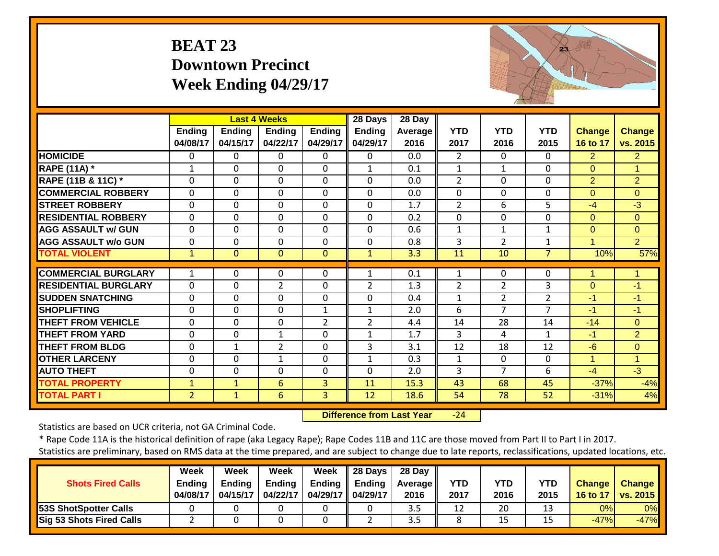#### **BEAT 23 Downtown PrecinctWeek Ending 04/29/17**



|                             |                |                | <b>Last 4 Weeks</b> |                | 28 Days        | 28 Day         |                |                |                |                |                |
|-----------------------------|----------------|----------------|---------------------|----------------|----------------|----------------|----------------|----------------|----------------|----------------|----------------|
|                             | <b>Ending</b>  | <b>Ending</b>  | <b>Ending</b>       | Ending         | <b>Ending</b>  | <b>Average</b> | <b>YTD</b>     | <b>YTD</b>     | <b>YTD</b>     | <b>Change</b>  | Change         |
|                             | 04/08/17       | 04/15/17       | 04/22/17            | 04/29/17       | 04/29/17       | 2016           | 2017           | 2016           | 2015           | 16 to 17       | vs. 2015       |
| <b>HOMICIDE</b>             | $\Omega$       | $\Omega$       | $\mathbf{0}$        | $\Omega$       | 0              | 0.0            | $\overline{2}$ | $\Omega$       | $\Omega$       | $\overline{2}$ | $\overline{2}$ |
| <b>RAPE (11A) *</b>         | 1              | $\Omega$       | $\Omega$            | $\Omega$       | $\mathbf{1}$   | 0.1            | $\mathbf{1}$   | 1              | $\Omega$       | $\Omega$       | $\mathbf{1}$   |
| RAPE (11B & 11C) *          | $\mathbf 0$    | 0              | $\mathbf 0$         | $\Omega$       | $\mathbf 0$    | 0.0            | $\overline{2}$ | $\mathbf 0$    | $\mathbf 0$    | 2              | $\overline{2}$ |
| <b>COMMERCIAL ROBBERY</b>   | $\mathbf 0$    | 0              | $\mathbf 0$         | $\Omega$       | $\mathbf 0$    | 0.0            | $\mathbf{0}$   | $\mathbf 0$    | $\mathbf 0$    | $\Omega$       | $\Omega$       |
| <b>STREET ROBBERY</b>       | $\mathbf 0$    | 0              | $\mathbf 0$         | $\Omega$       | 0              | 1.7            | $\overline{2}$ | 6              | 5              | $-4$           | $-3$           |
| <b>RESIDENTIAL ROBBERY</b>  | $\mathbf 0$    | 0              | $\mathbf 0$         | $\Omega$       | $\Omega$       | 0.2            | $\mathbf{0}$   | $\mathbf 0$    | $\mathbf 0$    | $\Omega$       | $\Omega$       |
| <b>AGG ASSAULT w/ GUN</b>   | $\mathbf 0$    | 0              | $\mathbf 0$         | $\mathbf 0$    | $\mathbf 0$    | 0.6            | $\mathbf{1}$   | $\mathbf{1}$   | $\mathbf{1}$   | $\mathbf{0}$   | $\overline{0}$ |
| <b>AGG ASSAULT w/o GUN</b>  | $\mathbf 0$    | 0              | $\mathbf 0$         | $\mathbf 0$    | 0              | 0.8            | $\overline{3}$ | $\overline{2}$ | $\mathbf{1}$   | 1              | $\overline{2}$ |
| <b>TOTAL VIOLENT</b>        | $\mathbf{1}$   | $\overline{0}$ | $\mathbf{0}$        | $\mathbf{0}$   | $\mathbf{1}$   | 3.3            | 11             | 10             | $\overline{7}$ | 10%            | 57%            |
|                             |                |                |                     |                |                |                |                |                |                |                |                |
| <b>COMMERCIAL BURGLARY</b>  | 1              | 0              | $\Omega$            | $\Omega$       | 1              | 0.1            | 1              | $\Omega$       | $\Omega$       | 1              |                |
| <b>RESIDENTIAL BURGLARY</b> | 0              | 0              | $\overline{2}$      | 0              | 2              | 1.3            | $\overline{2}$ | $\overline{2}$ | 3              | $\mathbf{0}$   | $-1$           |
| <b>SUDDEN SNATCHING</b>     | $\mathbf 0$    | 0              | $\mathbf 0$         | $\mathbf 0$    | 0              | 0.4            | $\mathbf{1}$   | $\overline{2}$ | $\overline{2}$ | $-1$           | $-1$           |
| <b>SHOPLIFTING</b>          | $\Omega$       | $\Omega$       | 0                   | $\mathbf{1}$   | $\mathbf{1}$   | 2.0            | 6              | 7              | 7              | $-1$           | $-1$           |
| <b>THEFT FROM VEHICLE</b>   | 0              | 0              | $\mathbf 0$         | $\overline{2}$ | $\overline{2}$ | 4.4            | 14             | 28             | 14             | $-14$          | $\overline{0}$ |
| <b>THEFT FROM YARD</b>      | $\Omega$       | 0              | $\mathbf{1}$        | 0              | $\mathbf{1}$   | 1.7            | 3              | 4              | $\mathbf{1}$   | $-1$           | $\overline{2}$ |
| <b>THEFT FROM BLDG</b>      | $\mathbf 0$    | 1              | 2                   | 0              | 3              | 3.1            | 12             | 18             | 12             | $-6$           | $\overline{0}$ |
| <b>OTHER LARCENY</b>        | $\Omega$       | $\Omega$       | 1                   | 0              | $\mathbf{1}$   | 0.3            | 1              | $\Omega$       | $\Omega$       | 1              | 1              |
| <b>AUTO THEFT</b>           | $\Omega$       | $\Omega$       | $\Omega$            | $\Omega$       | $\Omega$       | 2.0            | 3              | 7              | 6              | $-4$           | $-3$           |
| <b>TOTAL PROPERTY</b>       | $\mathbf{1}$   | $\mathbf{1}$   | $6\overline{6}$     | 3              | 11             | 15.3           | 43             | 68             | 45             | $-37%$         | $-4%$          |
| <b>TOTAL PART I</b>         | $\overline{2}$ | $\mathbf{1}$   | $6\phantom{1}$      | 3              | 12             | 18.6           | 54             | 78             | 52             | $-31%$         | 4%             |

 **Difference from Last Year** $-24$ 

Statistics are based on UCR criteria, not GA Criminal Code.

\* Rape Code 11A is the historical definition of rape (aka Legacy Rape); Rape Codes 11B and 11C are those moved from Part II to Part I in 2017. Statistics are preliminary, based on RMS data at the time prepared, and are subject to change due to late reports, reclassifications, updated locations, etc.

| baasics are premiinary, based on mins aata at the time prepared, and are subject to change aae to late reports, reclassifications, apaated locations, etc. |          |          |          |                                   |                                       |            |            |            |            |    |                     |  |  |
|------------------------------------------------------------------------------------------------------------------------------------------------------------|----------|----------|----------|-----------------------------------|---------------------------------------|------------|------------|------------|------------|----|---------------------|--|--|
|                                                                                                                                                            |          |          |          |                                   |                                       |            |            |            |            |    |                     |  |  |
|                                                                                                                                                            | Week     | Week     | Week     | Week                              | 28 Days   28 Day                      |            |            |            |            |    |                     |  |  |
| <b>Shots Fired Calls</b>                                                                                                                                   | Endina   | Endina   | Endina   |                                   | Ending $\parallel$ Ending $\parallel$ | Average II | <b>YTD</b> | <b>YTD</b> | <b>YTD</b> |    | Change   Change     |  |  |
|                                                                                                                                                            | 04/08/17 | 04/15/17 | 04/22/17 | $\vert$ 04/29/17 $\vert$ 04/29/17 |                                       | 2016       | 2017       | 2016       | 2015       |    | 16 to 17   vs. 2015 |  |  |
| 53S ShotSpotter Calls                                                                                                                                      |          |          |          |                                   |                                       |            | 12         | 20         |            | 0% | $0\%$               |  |  |

**Sig 53 Shots Fired Calls** 2 0 0 0 0 2 3.5 8 15 15 15 16 17% -47%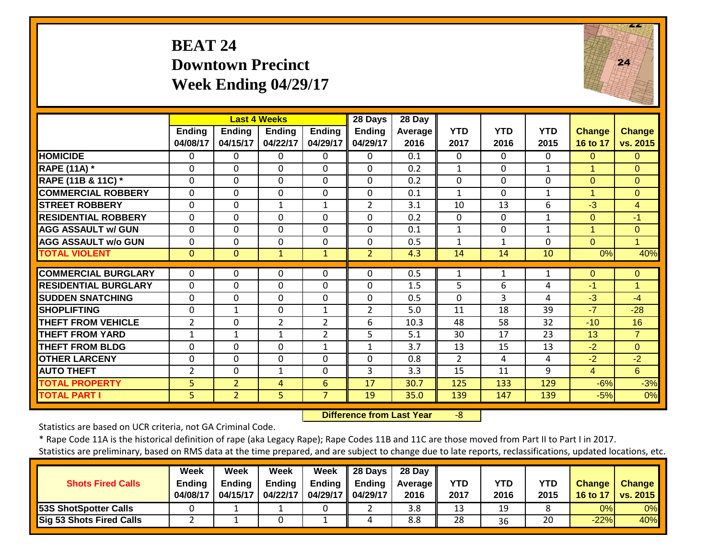#### **BEAT 24 Downtown Precinct Week Ending 04/29/17**



|                             |                           | <b>Last 4 Weeks</b>       |                           |                           | 28 Days            | 28 Day          |                    |                    |                    |                    |                           |
|-----------------------------|---------------------------|---------------------------|---------------------------|---------------------------|--------------------|-----------------|--------------------|--------------------|--------------------|--------------------|---------------------------|
|                             | <b>Ending</b><br>04/08/17 | <b>Ending</b><br>04/15/17 | <b>Ending</b><br>04/22/17 | <b>Ending</b><br>04/29/17 | Ending<br>04/29/17 | Average<br>2016 | <b>YTD</b><br>2017 | <b>YTD</b><br>2016 | <b>YTD</b><br>2015 | Change<br>16 to 17 | <b>Change</b><br>vs. 2015 |
| <b>HOMICIDE</b>             | $\Omega$                  | 0                         | $\mathbf{0}$              | $\Omega$                  | 0                  | 0.1             | $\mathbf{0}$       | $\Omega$           | $\mathbf{0}$       | $\Omega$           | $\Omega$                  |
| <b>RAPE (11A) *</b>         | $\mathbf 0$               | $\Omega$                  | $\mathbf 0$               | $\Omega$                  | $\Omega$           | 0.2             | $\mathbf{1}$       | $\Omega$           | 1                  | $\overline{1}$     | $\overline{O}$            |
| RAPE (11B & 11C) *          | $\mathbf 0$               | 0                         | $\mathbf 0$               | $\mathbf 0$               | $\Omega$           | 0.2             | $\mathbf{0}$       | 0                  | 0                  | $\Omega$           | $\overline{0}$            |
| <b>COMMERCIAL ROBBERY</b>   | $\mathbf 0$               | $\Omega$                  | $\mathbf 0$               | $\Omega$                  | 0                  | 0.1             | $\mathbf{1}$       | $\Omega$           | $\mathbf{1}$       | $\overline{1}$     | $\Omega$                  |
| <b>ISTREET ROBBERY</b>      | $\mathbf 0$               | $\mathbf 0$               | $\mathbf{1}$              | $\mathbf{1}$              | 2                  | 3.1             | 10                 | 13                 | 6                  | $-3$               | $\overline{4}$            |
| <b>RESIDENTIAL ROBBERY</b>  | $\Omega$                  | $\Omega$                  | $\mathbf 0$               | 0                         | $\Omega$           | 0.2             | $\Omega$           | $\Omega$           | $\mathbf{1}$       | $\Omega$           | $-1$                      |
| <b>AGG ASSAULT w/ GUN</b>   | $\Omega$                  | $\Omega$                  | $\mathbf{0}$              | 0                         | $\Omega$           | 0.1             | $\mathbf{1}$       | 0                  | $\mathbf{1}$       | 1                  | $\overline{0}$            |
| <b>AGG ASSAULT w/o GUN</b>  | $\Omega$                  | $\mathbf 0$               | 0                         | 0                         | $\Omega$           | 0.5             | 1                  | 1                  | $\Omega$           | $\Omega$           | 1                         |
| <b>TOTAL VIOLENT</b>        | $\mathbf{0}$              | $\Omega$                  | $\mathbf{1}$              | $\mathbf{1}$              | $\overline{2}$     | 4.3             | 14                 | 14                 | 10                 | 0%                 | 40%                       |
| <b>COMMERCIAL BURGLARY</b>  | $\Omega$                  | 0                         | $\mathbf{0}$              | $\Omega$                  | 0                  | 0.5             | 1                  | 1                  | 1                  | 0                  | $\mathbf{0}$              |
| <b>RESIDENTIAL BURGLARY</b> | $\Omega$                  | $\Omega$                  | $\mathbf 0$               | 0                         | $\Omega$           | 1.5             | 5                  | 6                  | 4                  | $-1$               | 1                         |
| <b>ISUDDEN SNATCHING</b>    | 0                         | $\Omega$                  | $\Omega$                  | 0                         | $\Omega$           | 0.5             | $\Omega$           | 3                  | 4                  | $-3$               | $-4$                      |
| <b>SHOPLIFTING</b>          | $\Omega$                  | $\mathbf{1}$              | $\Omega$                  | 1                         | $\overline{2}$     | 5.0             | 11                 | 18                 | 39                 | $-7$               | $-28$                     |
| <b>THEFT FROM VEHICLE</b>   | $\overline{2}$            | $\Omega$                  | $\overline{2}$            | $\overline{2}$            | 6                  | 10.3            | 48                 | 58                 | 32                 | $-10$              | 16                        |
| <b>THEFT FROM YARD</b>      | $\mathbf{1}$              | $\mathbf{1}$              | 1                         | $\overline{2}$            | 5                  | 5.1             | 30                 | 17                 | 23                 | 13                 | $\overline{7}$            |
| <b>THEFT FROM BLDG</b>      | 0                         | $\mathbf 0$               | 0                         | $\mathbf{1}$              | $\mathbf{1}$       | 3.7             | 13                 | 15                 | 13                 | $-2$               | $\overline{0}$            |
| <b>OTHER LARCENY</b>        | $\Omega$                  | $\Omega$                  | $\Omega$                  | $\Omega$                  | $\Omega$           | 0.8             | $\overline{2}$     | 4                  | 4                  | $-2$               | $-2$                      |
| <b>AUTO THEFT</b>           | $\overline{2}$            | $\mathbf 0$               | $\mathbf{1}$              | $\mathbf 0$               | 3                  | 3.3             | 15                 | 11                 | 9                  | $\overline{4}$     | 6                         |
| <b>TOTAL PROPERTY</b>       | 5                         | $\overline{2}$            | 4                         | 6                         | 17                 | 30.7            | 125                | 133                | 129                | $-6%$              | $-3%$                     |
| <b>TOTAL PART I</b>         | 5                         | $\overline{2}$            | 5                         | $\overline{7}$            | 19                 | 35.0            | 139                | 147                | 139                | $-5%$              | 0%                        |

 **Difference from Last Year**‐8

Statistics are based on UCR criteria, not GA Criminal Code.

\* Rape Code 11A is the historical definition of rape (aka Legacy Rape); Rape Codes 11B and 11C are those moved from Part II to Part I in 2017.

|                                 | Week     | Week     | Week          | Week                | $\parallel$ 28 Days | 28 Day            |            |            |            |               |                 |
|---------------------------------|----------|----------|---------------|---------------------|---------------------|-------------------|------------|------------|------------|---------------|-----------------|
| <b>Shots Fired Calls</b>        | Endina   | Endina   | <b>Ending</b> | Endina              | Ending              | <b>Average</b> II | <b>YTD</b> | <b>YTD</b> | <b>YTD</b> | <b>Change</b> | <b>Change</b>   |
|                                 | 04/08/17 | 04/15/17 | 04/22/17      | 04/29/17   04/29/17 |                     | 2016              | 2017       | 2016       | 2015       | 16 to 17      | <b>vs. 2015</b> |
| <b>53S ShotSpotter Calls</b>    |          |          |               |                     |                     | 3.8               | 13         | 19         |            | 0%I           | 0%              |
| <b>Sig 53 Shots Fired Calls</b> |          |          |               |                     |                     | 8.8               | 28         | 36         | 20         | $-22%$        | 40%             |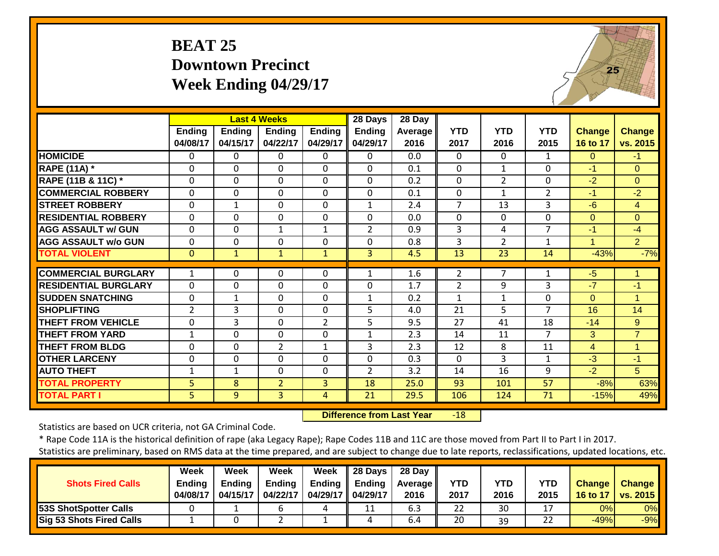#### **BEAT 25 Downtown Precinct Week Ending 04/29/17**



|                             |                           |                           | <b>Last 4 Weeks</b>       |                    | 28 Days                   | 28 Day          |                    |                    |                    |                           |                           |
|-----------------------------|---------------------------|---------------------------|---------------------------|--------------------|---------------------------|-----------------|--------------------|--------------------|--------------------|---------------------------|---------------------------|
|                             | <b>Ending</b><br>04/08/17 | <b>Ending</b><br>04/15/17 | <b>Ending</b><br>04/22/17 | Ending<br>04/29/17 | <b>Ending</b><br>04/29/17 | Average<br>2016 | <b>YTD</b><br>2017 | <b>YTD</b><br>2016 | <b>YTD</b><br>2015 | <b>Change</b><br>16 to 17 | <b>Change</b><br>vs. 2015 |
| <b>HOMICIDE</b>             | $\Omega$                  | 0                         | 0                         | $\Omega$           | 0                         | 0.0             | $\Omega$           | $\Omega$           | 1                  | $\Omega$                  | $-1$                      |
| <b>RAPE (11A) *</b>         | $\Omega$                  | 0                         | $\Omega$                  | $\mathbf 0$        | $\Omega$                  | 0.1             | $\mathbf{0}$       | $\mathbf{1}$       | $\Omega$           | $-1$                      | $\Omega$                  |
| RAPE (11B & 11C) *          | $\Omega$                  | 0                         | $\Omega$                  | $\Omega$           | $\Omega$                  | 0.2             | $\mathbf{0}$       | $\overline{2}$     | $\Omega$           | $-2$                      | $\Omega$                  |
| <b>COMMERCIAL ROBBERY</b>   | $\Omega$                  | 0                         | $\Omega$                  | $\Omega$           | $\Omega$                  | 0.1             | $\Omega$           | $\mathbf{1}$       | $\overline{2}$     | $-1$                      | $-2$                      |
| <b>STREET ROBBERY</b>       | $\mathbf 0$               | $\mathbf{1}$              | $\mathbf 0$               | $\mathbf 0$        | $\mathbf{1}$              | 2.4             | $\overline{7}$     | 13                 | $\overline{3}$     | $-6$                      | $\overline{4}$            |
| <b>RESIDENTIAL ROBBERY</b>  | $\Omega$                  | $\Omega$                  | $\mathbf 0$               | $\mathbf 0$        | $\Omega$                  | 0.0             | $\Omega$           | 0                  | $\Omega$           | $\Omega$                  | $\Omega$                  |
| <b>AGG ASSAULT w/ GUN</b>   | $\mathbf 0$               | 0                         | $\mathbf{1}$              | $\mathbf{1}$       | $\overline{2}$            | 0.9             | 3                  | 4                  | $\overline{7}$     | $-1$                      | $-4$                      |
| <b>AGG ASSAULT w/o GUN</b>  | $\Omega$                  | 0                         | $\Omega$                  | $\mathbf 0$        | 0                         | 0.8             | 3                  | $\overline{2}$     | 1                  | $\blacktriangleleft$      | $\overline{2}$            |
| <b>TOTAL VIOLENT</b>        | $\mathbf{0}$              | $\mathbf{1}$              | $\mathbf{1}$              | $\mathbf{1}$       | $\overline{3}$            | 4.5             | 13                 | 23                 | 14                 | $-43%$                    | $-7%$                     |
|                             |                           |                           |                           |                    |                           |                 |                    |                    |                    |                           |                           |
| <b>COMMERCIAL BURGLARY</b>  | 1                         | $\Omega$                  | $\Omega$                  | $\Omega$           | 1                         | 1.6             | 2                  | $\overline{7}$     | $\mathbf{1}$       | $-5$                      | 1                         |
| <b>RESIDENTIAL BURGLARY</b> | $\Omega$                  | 0                         | $\mathbf 0$               | $\mathbf 0$        | $\Omega$                  | 1.7             | $\overline{2}$     | 9                  | 3                  | $-7$                      | $-1$                      |
| <b>SUDDEN SNATCHING</b>     | $\mathbf 0$               | 1                         | 0                         | $\mathbf 0$        | 1                         | 0.2             | $\mathbf{1}$       | 1                  | $\mathbf 0$        | $\overline{0}$            | 1                         |
| <b>SHOPLIFTING</b>          | $\overline{2}$            | 3                         | $\Omega$                  | $\mathbf 0$        | 5                         | 4.0             | 21                 | 5                  | $\overline{7}$     | 16                        | 14                        |
| <b>THEFT FROM VEHICLE</b>   | $\mathbf 0$               | 3                         | $\Omega$                  | $\overline{2}$     | 5                         | 9.5             | 27                 | 41                 | 18                 | $-14$                     | 9 <sup>°</sup>            |
| <b>THEFT FROM YARD</b>      | $\mathbf{1}$              | 0                         | $\mathbf 0$               | 0                  | $\mathbf{1}$              | 2.3             | 14                 | 11                 | 7                  | 3                         | $\overline{7}$            |
| <b>THEFT FROM BLDG</b>      | $\mathbf 0$               | 0                         | $\overline{2}$            | $\mathbf{1}$       | 3                         | 2.3             | 12                 | 8                  | 11                 | 4                         | $\mathbf 1$               |
| <b>OTHER LARCENY</b>        | $\Omega$                  | 0                         | $\Omega$                  | $\mathbf 0$        | $\mathbf 0$               | 0.3             | $\Omega$           | 3                  | 1                  | $-3$                      | $-1$                      |
| <b>AUTO THEFT</b>           | 1                         | 1                         | $\Omega$                  | $\Omega$           | 2                         | 3.2             | 14                 | 16                 | 9                  | $-2$                      | 5                         |
| <b>TOTAL PROPERTY</b>       | $\overline{5}$            | 8                         | $\overline{2}$            | $\overline{3}$     | 18                        | 25.0            | 93                 | 101                | 57                 | $-8%$                     | 63%                       |
| <b>TOTAL PART I</b>         | 5                         | 9                         | 3                         | $\overline{4}$     | 21                        | 29.5            | 106                | 124                | 71                 | $-15%$                    | 49%                       |

 **Difference from Last Year**r -18

Statistics are based on UCR criteria, not GA Criminal Code.

| <b>Shots Fired Calls</b>        | Week<br>Ending<br>04/08/17 | Week<br><b>Ending</b><br>04/15/17 | Week<br><b>Ending</b><br>04/22/17 | Week<br>Ending<br>04/29/17   04/29/17 | $\parallel$ 28 Days<br>Ending | 28 Day<br><b>Average II</b><br>2016 | <b>YTD</b><br>2017 | <b>YTD</b><br>2016 | YTD<br>2015 | Change | <b>Change</b><br>16 to 17   vs. 2015 |
|---------------------------------|----------------------------|-----------------------------------|-----------------------------------|---------------------------------------|-------------------------------|-------------------------------------|--------------------|--------------------|-------------|--------|--------------------------------------|
| <b>53S ShotSpotter Calls</b>    |                            |                                   |                                   |                                       |                               | 6.3                                 | 22                 | 30                 |             | 0%l    | $0\%$                                |
| <b>Sig 53 Shots Fired Calls</b> |                            |                                   |                                   |                                       |                               | 6.4                                 | 20                 | 39                 | 22          | $-49%$ | $-9%$                                |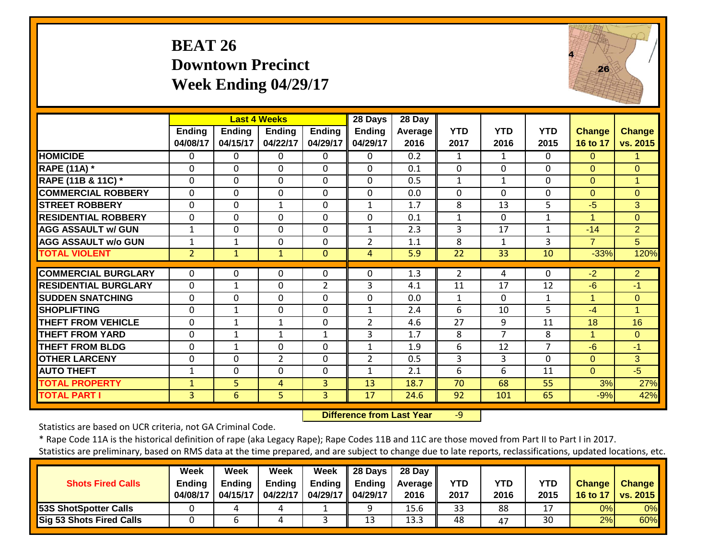#### **BEAT 26 Downtown Precinct Week Ending 04/29/17**



|                             |                           |                           | <b>Last 4 Weeks</b>       |                           | 28 Days                   | 28 Day           |                    |                    |                    |                           |                           |
|-----------------------------|---------------------------|---------------------------|---------------------------|---------------------------|---------------------------|------------------|--------------------|--------------------|--------------------|---------------------------|---------------------------|
|                             | <b>Ending</b><br>04/08/17 | <b>Ending</b><br>04/15/17 | <b>Ending</b><br>04/22/17 | <b>Ending</b><br>04/29/17 | <b>Ending</b><br>04/29/17 | Average<br>2016  | <b>YTD</b><br>2017 | <b>YTD</b><br>2016 | <b>YTD</b><br>2015 | <b>Change</b><br>16 to 17 | <b>Change</b><br>vs. 2015 |
| <b>HOMICIDE</b>             | 0                         | 0                         | $\Omega$                  | $\Omega$                  | 0                         | $\overline{0.2}$ | 1                  | 1                  | $\Omega$           | $\Omega$                  |                           |
| <b>RAPE (11A)</b> *         | $\Omega$                  | $\Omega$                  | $\Omega$                  | $\Omega$                  | 0                         | 0.1              | $\Omega$           | 0                  | $\Omega$           | $\Omega$                  | $\Omega$                  |
| RAPE (11B & 11C) *          | 0                         | 0                         | $\mathbf 0$               | $\mathbf 0$               | 0                         | 0.5              | $\mathbf{1}$       | $\mathbf{1}$       | $\Omega$           | $\Omega$                  | 1                         |
| <b>COMMERCIAL ROBBERY</b>   | $\Omega$                  | 0                         | $\Omega$                  | $\Omega$                  | 0                         | 0.0              | $\Omega$           | $\Omega$           | $\Omega$           | $\Omega$                  | $\overline{0}$            |
| <b>STREET ROBBERY</b>       | 0                         | 0                         | $\mathbf{1}$              | $\Omega$                  | 1                         | 1.7              | 8                  | 13                 | 5                  | $-5$                      | 3                         |
| <b>RESIDENTIAL ROBBERY</b>  | $\Omega$                  | 0                         | $\Omega$                  | $\Omega$                  | $\Omega$                  | 0.1              | $\mathbf{1}$       | 0                  | $\mathbf{1}$       | 1                         | $\Omega$                  |
| <b>AGG ASSAULT w/ GUN</b>   | $\mathbf{1}$              | $\Omega$                  | $\Omega$                  | $\Omega$                  | $\mathbf{1}$              | 2.3              | 3                  | 17                 | $\mathbf 1$        | $-14$                     | $\overline{2}$            |
| <b>AGG ASSAULT w/o GUN</b>  | 1                         | 1                         | $\mathbf 0$               | $\Omega$                  | $\overline{2}$            | 1.1              | 8                  | 1                  | 3                  | $\overline{7}$            | 5                         |
| <b>TOTAL VIOLENT</b>        | $\overline{2}$            | $\mathbf{1}$              | $\mathbf{1}$              | $\Omega$                  | 4                         | 5.9              | 22                 | 33                 | 10                 | $-33%$                    | 120%                      |
| <b>COMMERCIAL BURGLARY</b>  | 0                         | 0                         | 0                         | 0                         | $\Omega$                  | 1.3              | 2                  | 4                  | $\Omega$           | $-2$                      | $\overline{2}$            |
| <b>RESIDENTIAL BURGLARY</b> | $\Omega$                  | $\mathbf{1}$              | $\Omega$                  | 2                         | 3                         | 4.1              | 11                 | 17                 | 12                 | $-6$                      | $-1$                      |
| <b>SUDDEN SNATCHING</b>     | $\mathbf 0$               | 0                         | $\mathbf 0$               | $\mathbf 0$               | $\mathbf 0$               | 0.0              | 1                  | $\Omega$           | $\mathbf{1}$       | 1                         | $\overline{0}$            |
| <b>SHOPLIFTING</b>          | $\Omega$                  | 1                         | $\Omega$                  | $\Omega$                  | $\mathbf{1}$              | 2.4              | 6                  | 10                 | 5.                 | $-4$                      | 1                         |
| <b>THEFT FROM VEHICLE</b>   | $\Omega$                  | $\mathbf{1}$              | $\mathbf{1}$              | $\Omega$                  | $\overline{2}$            | 4.6              | 27                 | 9                  | 11                 | 18                        | 16                        |
| <b>THEFT FROM YARD</b>      | $\Omega$                  | $\mathbf{1}$              | 1                         | 1                         | 3                         | 1.7              | 8                  | 7                  | 8                  | 1                         | $\Omega$                  |
| <b>THEFT FROM BLDG</b>      | 0                         | 1                         | $\Omega$                  | 0                         | $\mathbf{1}$              | 1.9              | 6                  | 12                 | $\overline{7}$     | $-6$                      | $-1$                      |
| <b>OTHER LARCENY</b>        | $\Omega$                  | $\Omega$                  | $\overline{2}$            | $\Omega$                  | $\overline{2}$            | 0.5              | 3                  | 3                  | $\Omega$           | $\Omega$                  | 3                         |
| <b>AUTO THEFT</b>           | $\mathbf{1}$              | $\Omega$                  | $\Omega$                  | $\Omega$                  | $\mathbf{1}$              | 2.1              | 6                  | 6                  | 11                 | $\Omega$                  | $-5$                      |
| <b>TOTAL PROPERTY</b>       | $\mathbf{1}$              | 5                         | 4                         | 3                         | 13                        | 18.7             | 70                 | 68                 | 55                 | 3%                        | 27%                       |
| <b>TOTAL PART I</b>         | 3 <sup>1</sup>            | $6\phantom{1}$            | 5 <sup>1</sup>            | 3                         | 17                        | 24.6             | 92                 | 101                | 65                 | $-9%$                     | 42%                       |

 **Difference from Last Year**‐9

Statistics are based on UCR criteria, not GA Criminal Code.

|                              | <b>Week</b>   | Week          | Week          | Week                | II 28 Days    | 28 Dav            |            |      |            |               |               |
|------------------------------|---------------|---------------|---------------|---------------------|---------------|-------------------|------------|------|------------|---------------|---------------|
| <b>Shots Fired Calls</b>     | <b>Ending</b> | <b>Ending</b> | <b>Ending</b> | Ending              | <b>Ending</b> | <b>Average II</b> | <b>YTD</b> | YTD  | <b>YTD</b> | <b>Change</b> | <b>Change</b> |
|                              | 04/08/17      | 04/15/17      | 04/22/17      | 04/29/17   04/29/17 |               | 2016              | 2017       | 2016 | 2015       | 16 to 17      | vs. 2015      |
| <b>53S ShotSpotter Calls</b> |               |               |               |                     |               | 15.6              | 33         | 88   |            | 0%            | 0%            |
| Sig 53 Shots Fired Calls     |               |               |               |                     | 13            | 13.3              | 48         | 47   | 30         | 2%            | 60%           |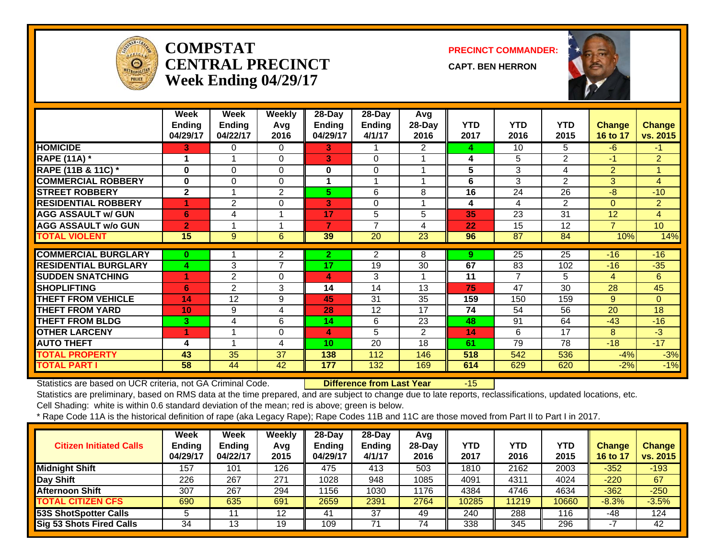

#### **COMPSTATCENTRAL PRECINCTWeek Ending 04/29/17**

**PRECINCT COMMANDER:**

**CAPT. BEN HERRON**



|                             | Week<br><b>Ending</b><br>04/29/17 | Week<br><b>Ending</b><br>04/22/17 | <b>Weekly</b><br>Avg<br>2016 | 28-Day<br><b>Ending</b><br>04/29/17 | 28-Day<br><b>Ending</b><br>4/1/17 | Avg<br>28-Day<br>2016 | <b>YTD</b><br>2017 | <b>YTD</b><br>2016 | <b>YTD</b><br>2015 | <b>Change</b><br>16 to 17 | <b>Change</b><br>vs. 2015 |
|-----------------------------|-----------------------------------|-----------------------------------|------------------------------|-------------------------------------|-----------------------------------|-----------------------|--------------------|--------------------|--------------------|---------------------------|---------------------------|
| <b>HOMICIDE</b>             | 3                                 | 0                                 | 0                            | 3.                                  |                                   | 2                     | 4                  | 10                 | 5.                 | $-6$                      | $-1$                      |
| <b>RAPE (11A) *</b>         | 1                                 | 1                                 | $\Omega$                     | 3                                   | $\Omega$                          |                       | 4                  | 5                  | 2                  | $-1$                      | $\overline{2}$            |
| RAPE (11B & 11C) *          | $\bf{0}$                          | $\Omega$                          | 0                            | 0                                   | 0                                 |                       | 5                  | 3                  | 4                  | $\overline{2}$            |                           |
| <b>COMMERCIAL ROBBERY</b>   | $\bf{0}$                          | $\Omega$                          | 0                            | 1                                   | $\overline{ }$                    |                       | 6                  | 3                  | $\overline{2}$     | 3                         | 4                         |
| <b>STREET ROBBERY</b>       | $\overline{2}$                    |                                   | $\overline{2}$               | 5.                                  | 6                                 | 8                     | 16                 | 24                 | 26                 | $-8$                      | $-10$                     |
| <b>RESIDENTIAL ROBBERY</b>  | 4                                 | $\overline{2}$                    | 0                            | 3                                   | $\Omega$                          |                       | 4                  | 4                  | 2                  | $\Omega$                  | $\overline{2}$            |
| <b>AGG ASSAULT w/ GUN</b>   | 6                                 | 4                                 | 1                            | 17                                  | 5                                 | 5                     | 35                 | 23                 | $\overline{31}$    | 12                        | $\overline{4}$            |
| <b>AGG ASSAULT w/o GUN</b>  | $\overline{2}$                    |                                   |                              |                                     | $\overline{ }$                    | 4                     | 22                 | 15                 | 12                 | 7                         | 10                        |
| <b>TOTAL VIOLENT</b>        | 15                                | 9                                 | 6                            | 39                                  | 20                                | 23                    | 96                 | 87                 | 84                 | 10%                       | 14%                       |
| <b>COMMERCIAL BURGLARY</b>  | $\bf{0}$                          |                                   | 2                            | $\mathbf{2}$                        | 2                                 | 8                     | 9                  | $\overline{25}$    | 25                 | $-16$                     | $-16$                     |
| <b>RESIDENTIAL BURGLARY</b> | 4                                 | 3                                 | $\overline{7}$               | 17                                  | 19                                | 30                    | 67                 | 83                 | 102                | $-16$                     | $-35$                     |
| <b>SUDDEN SNATCHING</b>     | 4                                 | $\overline{2}$                    | 0                            | 4                                   | 3                                 |                       | 11                 | 7                  | 5                  | 4                         | 6                         |
| <b>SHOPLIFTING</b>          | 6                                 | $\overline{2}$                    | 3                            | 14                                  | 14                                | 13                    | 75                 | 47                 | 30                 | 28                        | 45                        |
| <b>THEFT FROM VEHICLE</b>   | 14                                | 12                                | 9                            | 45                                  | 31                                | 35                    | 159                | 150                | 159                | 9                         | $\Omega$                  |
| <b>THEFT FROM YARD</b>      | 10 <sub>1</sub>                   | 9                                 | 4                            | 28                                  | 12                                | 17                    | 74                 | 54                 | 56                 | 20                        | 18                        |
| <b>THEFT FROM BLDG</b>      | 3                                 | 4                                 | 6                            | 14                                  | 6                                 | 23                    | 48                 | 91                 | 64                 | $-43$                     | $-16$                     |
| <b>OTHER LARCENY</b>        | 1                                 |                                   | 0                            | 4                                   | 5                                 | $\overline{2}$        | 14                 | 6                  | 17                 | 8                         | $-3$                      |
| <b>AUTO THEFT</b>           | 4                                 | $\overline{\mathbf{A}}$           | 4                            | 10                                  | 20                                | 18                    | 61                 | $\overline{79}$    | 78                 | $-18$                     | $-17$                     |
| <b>TOTAL PROPERTY</b>       | 43                                | 35                                | 37                           | 138                                 | 112                               | 146                   | 518                | 542                | 536                | $-4%$                     | $-3%$                     |
| <b>TOTAL PART I</b>         | 58                                | 44                                | 42                           | 177                                 | 132                               | 169                   | 614                | 629                | 620                | $-2%$                     | $-1%$                     |

Statistics are based on UCR criteria, not GA Criminal Code. **Difference from Last Year** -15

Statistics are preliminary, based on RMS data at the time prepared, and are subject to change due to late reports, reclassifications, updated locations, etc.

Cell Shading: white is within 0.6 standard deviation of the mean; red is above; green is below.

| <b>Citizen Initiated Calls</b>  | <b>Week</b><br><b>Ending</b><br>04/29/17 | <b>Week</b><br>Ending<br>04/22/17 | Weekly<br>Avg<br>2015 | $28-Dav$<br>Ending<br>04/29/17 | $28$ -Dav<br><b>Ending</b><br>4/1/17 | Avg<br>$28$ -Day<br>2016 | YTD<br>2017 | YTD<br>2016 | <b>YTD</b><br>2015 | <b>Change</b><br>16 to 17 | <b>Change</b><br>vs. 2015 |
|---------------------------------|------------------------------------------|-----------------------------------|-----------------------|--------------------------------|--------------------------------------|--------------------------|-------------|-------------|--------------------|---------------------------|---------------------------|
| <b>Midnight Shift</b>           | 157                                      | 101                               | 126                   | 475                            | 413                                  | 503                      | 1810        | 2162        | 2003               | $-352$                    | $-193$                    |
| Day Shift                       | 226                                      | 267                               | 271                   | 1028                           | 948                                  | 1085                     | 4091        | 4311        | 4024               | $-220$                    | 67                        |
| <b>Afternoon Shift</b>          | 307                                      | 267                               | 294                   | 1156                           | 1030                                 | 1176                     | 4384        | 4746        | 4634               | $-362$                    | $-250$                    |
| <b>TOTAL CITIZEN CFS</b>        | 690                                      | 635                               | 691                   | 2659                           | 2391                                 | 2764                     | 10285       | 11219       | 10660              | $-8.3%$                   | $-3.5%$                   |
| 53S ShotSpotter Calls           |                                          |                                   | 12                    | 41                             | 37                                   | 49                       | 240         | 288         | 116                | -48                       | 124                       |
| <b>Sig 53 Shots Fired Calls</b> | 34                                       | 13                                | 19                    | 109                            | 71                                   | 74                       | 338         | 345         | 296                |                           | 42                        |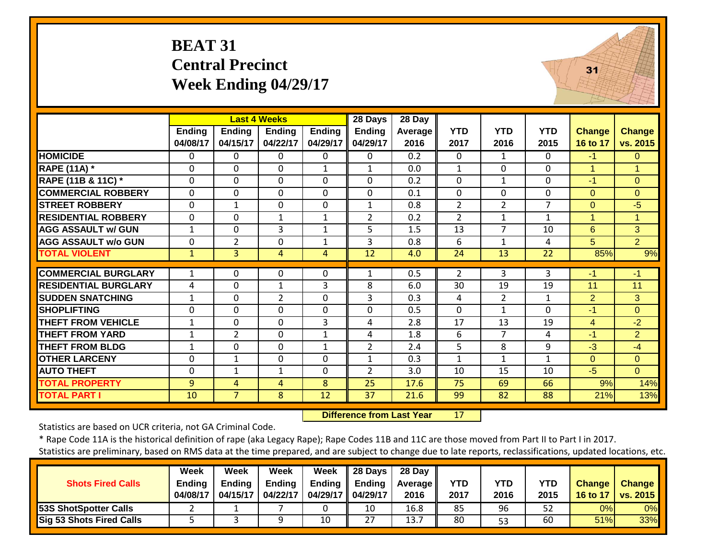## **BEAT 31 Central Precinct Week Ending 04/29/17**



|                             |                           |                           | <b>Last 4 Weeks</b> |                           | 28 Days                   | 28 Day                 |                    |                    |                    |                           |                           |
|-----------------------------|---------------------------|---------------------------|---------------------|---------------------------|---------------------------|------------------------|--------------------|--------------------|--------------------|---------------------------|---------------------------|
|                             | <b>Ending</b><br>04/08/17 | <b>Ending</b><br>04/15/17 | Endina<br>04/22/17  | <b>Ending</b><br>04/29/17 | <b>Ending</b><br>04/29/17 | <b>Average</b><br>2016 | <b>YTD</b><br>2017 | <b>YTD</b><br>2016 | <b>YTD</b><br>2015 | <b>Change</b><br>16 to 17 | <b>Change</b><br>vs. 2015 |
| <b>HOMICIDE</b>             | 0                         | 0                         | $\Omega$            | 0                         | $\Omega$                  | 0.2                    | $\Omega$           | $\mathbf{1}$       | $\Omega$           | $-1$                      | $\Omega$                  |
| <b>RAPE (11A) *</b>         | 0                         | $\Omega$                  | $\mathbf 0$         | $\mathbf{1}$              | $\mathbf{1}$              | 0.0                    | $\mathbf{1}$       | $\Omega$           | $\mathbf 0$        | 1                         | $\overline{1}$            |
| RAPE (11B & 11C) *          | 0                         | 0                         | $\mathbf 0$         | $\mathbf 0$               | $\mathbf 0$               | 0.2                    | $\mathbf 0$        | $\mathbf{1}$       | $\mathbf 0$        | $-1$                      | $\overline{0}$            |
| <b>COMMERCIAL ROBBERY</b>   | 0                         | 0                         | $\Omega$            | $\mathbf 0$               | 0                         | 0.1                    | $\mathbf 0$        | $\Omega$           | 0                  | $\Omega$                  | $\Omega$                  |
| <b>STREET ROBBERY</b>       | 0                         | $\mathbf 1$               | $\mathbf 0$         | $\mathbf 0$               | 1                         | 0.8                    | $\overline{2}$     | $\overline{2}$     | $\overline{7}$     | $\Omega$                  | $-5$                      |
| <b>RESIDENTIAL ROBBERY</b>  | 0                         | $\Omega$                  | 1                   | 1                         | $\overline{2}$            | 0.2                    | $\overline{2}$     | 1                  | 1                  | 1                         | $\mathbf 1$               |
| <b>AGG ASSAULT w/ GUN</b>   | $\mathbf 1$               | 0                         | 3                   | $\mathbf{1}$              | 5                         | 1.5                    | 13                 | $\overline{7}$     | 10                 | 6                         | $\overline{3}$            |
| <b>AGG ASSAULT w/o GUN</b>  | 0                         | $\overline{2}$            | $\Omega$            | $\mathbf{1}$              | 3                         | 0.8                    | 6                  | $\mathbf{1}$       | 4                  | 5 <sup>5</sup>            | $\overline{2}$            |
| <b>TOTAL VIOLENT</b>        | $\mathbf{1}$              | 3 <sup>1</sup>            | 4                   | 4                         | 12                        | 4.0                    | 24                 | 13                 | 22                 | 85%                       | 9%                        |
| <b>COMMERCIAL BURGLARY</b>  | $\mathbf{1}$              | 0                         | $\Omega$            | $\Omega$                  | $\mathbf{1}$              | 0.5                    | $\overline{2}$     | 3                  | 3                  | -1                        | $-1$                      |
| <b>RESIDENTIAL BURGLARY</b> | 4                         | $\Omega$                  | $\mathbf{1}$        | 3                         | 8                         | 6.0                    | 30                 | 19                 | 19                 | 11                        | 11                        |
| <b>SUDDEN SNATCHING</b>     | $\mathbf 1$               | $\Omega$                  | $\overline{2}$      | $\Omega$                  | 3                         | 0.3                    | 4                  | $\overline{2}$     | $\mathbf{1}$       | 2                         | 3                         |
| <b>SHOPLIFTING</b>          | 0                         | 0                         | $\Omega$            | $\Omega$                  | $\mathbf 0$               | 0.5                    | $\Omega$           | $\mathbf{1}$       | $\mathbf 0$        | $-1$                      | $\Omega$                  |
| <b>THEFT FROM VEHICLE</b>   | 1                         | 0                         | $\Omega$            | 3                         | 4                         | 2.8                    | 17                 | 13                 | 19                 | 4                         | $-2$                      |
| <b>THEFT FROM YARD</b>      | 1                         | $\overline{2}$            | $\Omega$            | $\mathbf{1}$              | 4                         | 1.8                    | 6                  | 7                  | 4                  | $-1$                      | $\overline{2}$            |
| <b>THEFT FROM BLDG</b>      | 1                         | $\Omega$                  | $\Omega$            | 1                         | $\overline{2}$            | 2.4                    | 5                  | 8                  | 9                  | $-3$                      | $-4$                      |
| <b>OTHER LARCENY</b>        | 0                         | $\mathbf{1}$              | $\Omega$            | 0                         | $\mathbf{1}$              | 0.3                    | 1                  | $\mathbf{1}$       | 1                  | $\Omega$                  | $\Omega$                  |
| <b>AUTO THEFT</b>           | 0                         | 1                         | $\mathbf{1}$        | $\Omega$                  | $\overline{2}$            | 3.0                    | 10                 | 15                 | 10                 | $-5$                      | $\Omega$                  |
| <b>TOTAL PROPERTY</b>       | 9                         | 4                         | 4                   | 8                         | 25                        | 17.6                   | 75                 | 69                 | 66                 | 9%                        | 14%                       |
| <b>TOTAL PART I</b>         | 10                        | $\overline{7}$            | 8                   | 12                        | 37                        | 21.6                   | 99                 | 82                 | 88                 | 21%                       | 13%                       |

 **Difference from Last Year**17

Statistics are based on UCR criteria, not GA Criminal Code.

|                              | <b>Week</b>   | Week          | Week          | Week          | 28 Days       | 28 Day            |      |            |            |               |                 |
|------------------------------|---------------|---------------|---------------|---------------|---------------|-------------------|------|------------|------------|---------------|-----------------|
| <b>Shots Fired Calls</b>     | <b>Endina</b> | <b>Ending</b> | <b>Ending</b> | <b>Ending</b> | <b>Ending</b> | <b>Average II</b> | YTD  | <b>YTD</b> | <b>YTD</b> | <b>Change</b> | <b>Change</b>   |
|                              | 04/08/17      | 04/15/17      | 04/22/17      | 04/29/17      | 04/29/17      | 2016              | 2017 | 2016       | 2015       | 16 to 17      | <b>vs. 2015</b> |
| <b>53S ShotSpotter Calls</b> |               |               |               |               | 10            | 16.8              | 85   | 96         | 52         | 0%            | 0%              |
| Sig 53 Shots Fired Calls     |               |               |               | 10            | 27            | 13.7              | 80   | 53         | 60         | 51%           | 33%             |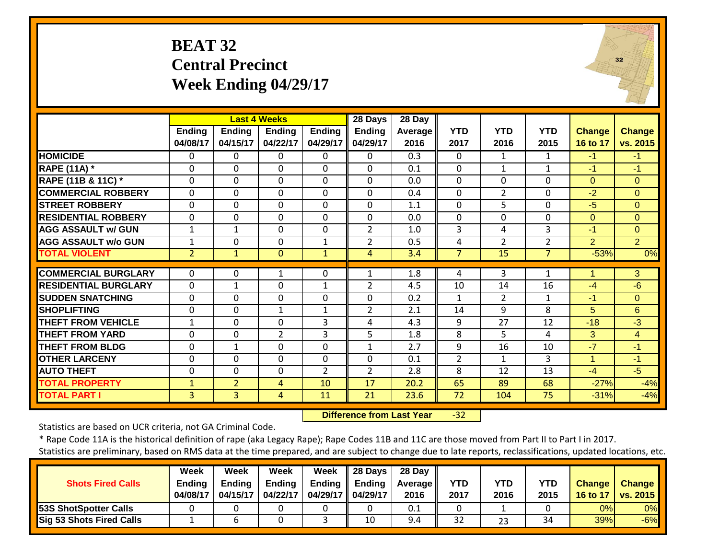## **BEAT 32 Central Precinct Week Ending 04/29/17**

|                             |                           | <b>Last 4 Weeks</b> |                           |                           | 28 Days                   | 28 Day          |                    |                    |                    |                           |                    |
|-----------------------------|---------------------------|---------------------|---------------------------|---------------------------|---------------------------|-----------------|--------------------|--------------------|--------------------|---------------------------|--------------------|
|                             | <b>Ending</b><br>04/08/17 | Ending<br>04/15/17  | <b>Ending</b><br>04/22/17 | <b>Ending</b><br>04/29/17 | <b>Ending</b><br>04/29/17 | Average<br>2016 | <b>YTD</b><br>2017 | <b>YTD</b><br>2016 | <b>YTD</b><br>2015 | <b>Change</b><br>16 to 17 | Change<br>vs. 2015 |
| <b>HOMICIDE</b>             | 0                         | $\Omega$            | $\Omega$                  | $\Omega$                  | $\Omega$                  | 0.3             | $\Omega$           | $\mathbf{1}$       | 1                  | $-1$                      | $-1$               |
| <b>RAPE (11A) *</b>         | $\Omega$                  | $\Omega$            | $\Omega$                  | $\Omega$                  | $\Omega$                  | 0.1             | $\mathbf{0}$       | $\mathbf{1}$       | $\mathbf{1}$       | $-1$                      | $-1$               |
| RAPE (11B & 11C) *          | 0                         | $\Omega$            | $\Omega$                  | $\Omega$                  | $\Omega$                  | 0.0             | $\mathbf{0}$       | $\Omega$           | $\Omega$           | $\Omega$                  | $\Omega$           |
| <b>COMMERCIAL ROBBERY</b>   | $\mathbf 0$               | $\mathbf 0$         | $\mathbf 0$               | 0                         | $\mathbf 0$               | 0.4             | $\mathbf{0}$       | $\overline{2}$     | $\Omega$           | $-2$                      | $\Omega$           |
| <b>STREET ROBBERY</b>       | $\mathbf 0$               | $\Omega$            | $\Omega$                  | 0                         | $\Omega$                  | 1.1             | $\mathbf{0}$       | 5                  | $\Omega$           | $-5$                      | $\overline{0}$     |
| <b>RESIDENTIAL ROBBERY</b>  | 0                         | $\Omega$            | $\Omega$                  | 0                         | $\Omega$                  | 0.0             | $\Omega$           | $\Omega$           | 0                  | $\Omega$                  | $\Omega$           |
| <b>AGG ASSAULT w/ GUN</b>   | 1                         | $\mathbf{1}$        | $\Omega$                  | $\Omega$                  | $\overline{2}$            | 1.0             | $\overline{3}$     | 4                  | $\overline{3}$     | $-1$                      | $\Omega$           |
| <b>AGG ASSAULT w/o GUN</b>  | 1                         | 0                   | $\mathbf 0$               | $\mathbf{1}$              | $\overline{2}$            | 0.5             | 4                  | $\overline{2}$     | $\overline{2}$     | $\overline{2}$            | $\overline{2}$     |
| <b>TOTAL VIOLENT</b>        | $\overline{2}$            | $\mathbf{1}$        | $\Omega$                  | $\mathbf{1}$              | 4                         | 3.4             | $\overline{7}$     | 15                 | $\overline{7}$     | $-53%$                    | 0%                 |
|                             |                           |                     |                           |                           |                           |                 |                    |                    |                    |                           |                    |
| <b>COMMERCIAL BURGLARY</b>  | $\Omega$                  | $\Omega$            |                           | $\mathbf{0}$              | 1                         | 1.8             | 4                  | 3                  |                    |                           | 3                  |
| <b>RESIDENTIAL BURGLARY</b> | 0                         | $\mathbf{1}$        | $\Omega$                  | $\mathbf{1}$              | $\overline{2}$            | 4.5             | 10                 | 14                 | 16                 | $-4$                      | $-6$               |
| <b>SUDDEN SNATCHING</b>     | 0                         | $\Omega$            | $\Omega$                  | 0                         | $\mathbf 0$               | 0.2             | $\mathbf{1}$       | 2                  | 1                  | -1                        | $\Omega$           |
| <b>SHOPLIFTING</b>          | 0                         | $\Omega$            | $\mathbf{1}$              | $\mathbf{1}$              | $\overline{2}$            | 2.1             | 14                 | 9                  | 8                  | 5                         | 6                  |
| THEFT FROM VEHICLE          | $\mathbf{1}$              | $\Omega$            | $\Omega$                  | 3                         | 4                         | 4.3             | 9                  | 27                 | 12                 | $-18$                     | $-3$               |
| <b>THEFT FROM YARD</b>      | $\Omega$                  | $\Omega$            | $\overline{2}$            | 3                         | 5                         | 1.8             | 8                  | 5                  | 4                  | 3                         | $\overline{4}$     |
| <b>THEFT FROM BLDG</b>      | $\mathbf 0$               | $\mathbf{1}$        | $\mathbf 0$               | $\mathbf 0$               | $\mathbf{1}$              | 2.7             | 9                  | 16                 | 10                 | $-7$                      | $-1$               |
| <b>OTHER LARCENY</b>        | 0                         | $\mathbf 0$         | $\Omega$                  | 0                         | $\mathbf 0$               | 0.1             | $\overline{2}$     | $\mathbf{1}$       | 3                  | $\mathbf{1}$              | $-1$               |
| <b>AUTO THEFT</b>           | $\mathbf 0$               | $\Omega$            | $\Omega$                  | $\overline{2}$            | $\overline{2}$            | 2.8             | 8                  | 12                 | 13                 | $-4$                      | $-5$               |
| <b>TOTAL PROPERTY</b>       | $\mathbf{1}$              | $\overline{2}$      | 4                         | 10                        | 17                        | 20.2            | 65                 | 89                 | 68                 | $-27%$                    | $-4%$              |
| <b>TOTAL PART I</b>         | $\overline{3}$            | $\overline{3}$      | 4                         | 11                        | 21                        | 23.6            | 72                 | 104                | 75                 | $-31%$                    | $-4%$              |

 **Difference from Last Year**r -32

Statistics are based on UCR criteria, not GA Criminal Code.

\* Rape Code 11A is the historical definition of rape (aka Legacy Rape); Rape Codes 11B and 11C are those moved from Part II to Part I in 2017.

Statistics are preliminary, based on RMS data at the time prepared, and are subject to change due to late reports, reclassifications, updated locations, etc.

|                                 | Week     | Week     | Week          | Week                | $\parallel$ 28 Days | 28 Day            |            |            |            |               |                 |
|---------------------------------|----------|----------|---------------|---------------------|---------------------|-------------------|------------|------------|------------|---------------|-----------------|
| <b>Shots Fired Calls</b>        | Ending   | Endina   | <b>Ending</b> | Endina              | Ending              | <b>Average</b> II | <b>YTD</b> | <b>YTD</b> | <b>YTD</b> | <b>Change</b> | <b>Change</b>   |
|                                 | 04/08/17 | 04/15/17 | 04/22/17      | 04/29/17   04/29/17 |                     | 2016              | 2017       | 2016       | 2015       | 16 to 17      | <b>vs. 2015</b> |
| <b>53S ShotSpotter Calls</b>    |          |          |               |                     |                     | 0.1               |            |            |            | 0%I           | 0%              |
| <b>Sig 53 Shots Fired Calls</b> |          |          |               |                     | 10                  | 9.4               | 32         | 23         | 34         | 39%           | $-6%$           |

 $32$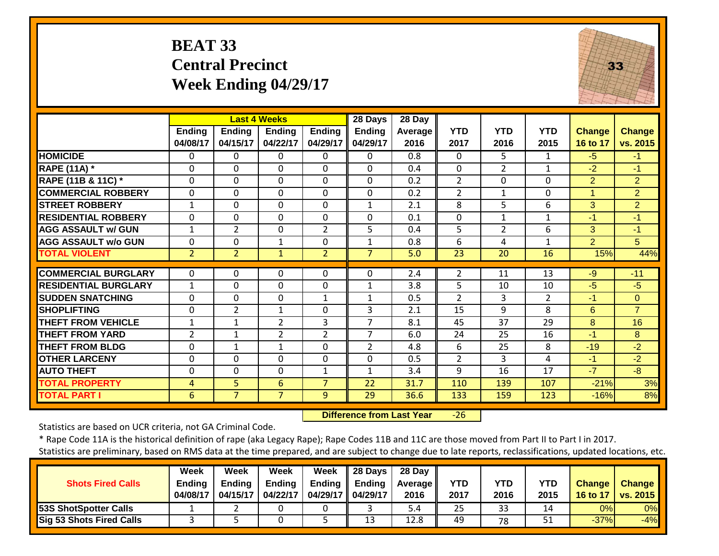## **BEAT 33 Central Precinct Week Ending 04/29/17**



|                             |                           | <b>Last 4 Weeks</b>       |                           |                           | 28 Days                   | 28 Day          |                    |                    |                    |                           |                    |
|-----------------------------|---------------------------|---------------------------|---------------------------|---------------------------|---------------------------|-----------------|--------------------|--------------------|--------------------|---------------------------|--------------------|
|                             | <b>Ending</b><br>04/08/17 | <b>Ending</b><br>04/15/17 | <b>Ending</b><br>04/22/17 | <b>Ending</b><br>04/29/17 | <b>Ending</b><br>04/29/17 | Average<br>2016 | <b>YTD</b><br>2017 | <b>YTD</b><br>2016 | <b>YTD</b><br>2015 | <b>Change</b><br>16 to 17 | Change<br>vs. 2015 |
| <b>HOMICIDE</b>             | $\Omega$                  | $\Omega$                  | $\Omega$                  | 0                         | $\Omega$                  | 0.8             | $\Omega$           | 5.                 | $\mathbf{1}$       | $-5$                      | $-1$               |
| <b>RAPE (11A)</b> *         | $\Omega$                  | $\Omega$                  | $\Omega$                  | $\Omega$                  | $\Omega$                  | 0.4             | $\Omega$           | $\overline{2}$     | $\mathbf{1}$       | $-2$                      | $-1$               |
| RAPE (11B & 11C) *          | $\Omega$                  | $\Omega$                  | $\mathbf{0}$              | 0                         | $\mathbf 0$               | 0.2             | $\overline{2}$     | 0                  | $\Omega$           | $\overline{2}$            | $\overline{2}$     |
| <b>COMMERCIAL ROBBERY</b>   | $\Omega$                  | $\Omega$                  | $\Omega$                  | 0                         | $\Omega$                  | 0.2             | $\overline{2}$     | $\mathbf{1}$       | $\mathbf 0$        | 1                         | $\overline{2}$     |
| <b>STREET ROBBERY</b>       | $\mathbf{1}$              | $\Omega$                  | $\Omega$                  | 0                         | $\mathbf{1}$              | 2.1             | 8                  | 5                  | 6                  | 3                         | $\overline{2}$     |
| <b>RESIDENTIAL ROBBERY</b>  | $\Omega$                  | $\Omega$                  | $\Omega$                  | $\Omega$                  | 0                         | 0.1             | $\Omega$           | $\mathbf{1}$       | $\mathbf{1}$       | $-1$                      | $-1$               |
| <b>AGG ASSAULT w/ GUN</b>   | $\mathbf{1}$              | $\overline{2}$            | $\mathbf 0$               | $\overline{2}$            | 5                         | 0.4             | 5                  | $\overline{2}$     | 6                  | 3                         | $-1$               |
| <b>AGG ASSAULT w/o GUN</b>  | $\Omega$                  | $\mathbf 0$               | $\mathbf{1}$              | $\Omega$                  | $\mathbf{1}$              | 0.8             | 6                  | 4                  | $\mathbf{1}$       | 2                         | 5                  |
| <b>TOTAL VIOLENT</b>        | $\overline{2}$            | $\overline{2}$            | $\mathbf{1}$              | 2                         | $\overline{7}$            | 5.0             | 23                 | 20                 | 16                 | 15%                       | 44%                |
|                             |                           |                           |                           |                           |                           |                 |                    |                    |                    |                           |                    |
| <b>COMMERCIAL BURGLARY</b>  | $\Omega$                  | 0                         | $\Omega$                  | 0                         | 0                         | 2.4             | $\overline{2}$     | 11                 | 13                 | $-9$                      | $-11$              |
| <b>RESIDENTIAL BURGLARY</b> | 1                         | $\mathbf 0$               | $\mathbf{0}$              | $\mathbf 0$               | $\mathbf{1}$              | 3.8             | 5                  | 10                 | 10                 | $-5$                      | $-5$               |
| <b>SUDDEN SNATCHING</b>     | $\Omega$                  | $\Omega$                  | $\Omega$                  | $\mathbf{1}$              | $\mathbf{1}$              | 0.5             | $\overline{2}$     | 3                  | $\overline{2}$     | $-1$                      | $\Omega$           |
| <b>SHOPLIFTING</b>          | $\Omega$                  | $\overline{2}$            | $\mathbf{1}$              | $\Omega$                  | 3                         | 2.1             | 15                 | 9                  | 8                  | 6                         | $\overline{7}$     |
| <b>THEFT FROM VEHICLE</b>   | 1                         | 1                         | 2                         | 3                         | 7                         | 8.1             | 45                 | 37                 | 29                 | 8                         | 16                 |
| <b>THEFT FROM YARD</b>      | $\overline{2}$            | $\mathbf{1}$              | $\overline{2}$            | $\overline{2}$            | $\overline{7}$            | 6.0             | 24                 | 25                 | 16                 | $-1$                      | 8                  |
| <b>THEFT FROM BLDG</b>      | 0                         | 1                         | 1                         | $\Omega$                  | $\overline{2}$            | 4.8             | 6                  | 25                 | 8                  | $-19$                     | $-2$               |
| <b>OTHER LARCENY</b>        | 0                         | $\Omega$                  | $\Omega$                  | $\Omega$                  | $\Omega$                  | 0.5             | $\overline{2}$     | 3                  | 4                  | $-1$                      | $-2$               |
| <b>AUTO THEFT</b>           | 0                         | $\Omega$                  | $\Omega$                  | $\mathbf{1}$              | $\mathbf{1}$              | 3.4             | 9                  | 16                 | 17                 | $-7$                      | $-8$               |
| <b>TOTAL PROPERTY</b>       | 4                         | 5                         | 6                         | $\overline{7}$            | 22                        | 31.7            | 110                | 139                | 107                | $-21%$                    | 3%                 |
| <b>TOTAL PART I</b>         | 6                         | $\overline{7}$            | $\overline{7}$            | 9                         | 29                        | 36.6            | 133                | 159                | 123                | $-16%$                    | 8%                 |

 **Difference from Last Year**‐26

Statistics are based on UCR criteria, not GA Criminal Code.

\* Rape Code 11A is the historical definition of rape (aka Legacy Rape); Rape Codes 11B and 11C are those moved from Part II to Part I in 2017. Statistics are preliminary, based on RMS data at the time prepared, and are subject to change due to late reports, reclassifications, updated locations, etc.

**Week Week Week Week 28 Days 28 Day Shots Fired CallsEnding Ending Ending Ending Ending Average YTD YTD YTD Change Change**

| Shots Fired Calls               | Enaing   | Enaina   | Enaing   |                      | Enaing I Enaing | Average <b>I</b> | טו                | ט ו     | טו   | change   | <b>Change</b>   |
|---------------------------------|----------|----------|----------|----------------------|-----------------|------------------|-------------------|---------|------|----------|-----------------|
|                                 | 04/08/17 | 04/15/17 | 04/22/17 | 04/29/17    04/29/17 |                 | 2016             | 2017              | 2016    | 2015 | 16 to 17 | <b>vs. 2015</b> |
| <b>53S ShotSpotter Calls</b>    |          |          |          |                      |                 | <b>D.4</b>       | <u>ິດ F</u><br>25 | ົ<br>-- | 14   | 0%       | 0%              |
| <b>Sig 53 Shots Fired Calls</b> |          |          |          |                      | τp              | 12.0             | 49                | 78      | ᇰᆂ   | $-37%$   | $-4%$           |
|                                 |          |          |          |                      |                 |                  |                   |         |      |          |                 |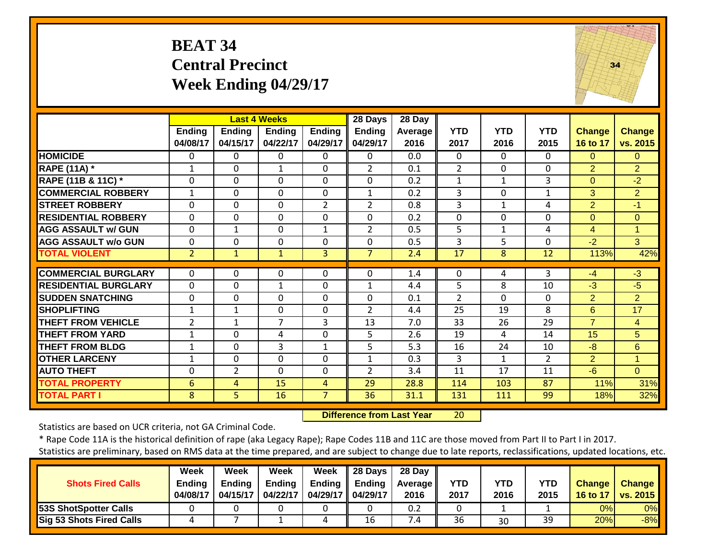## **BEAT 34 Central Precinct Week Ending 04/29/17**



|                             |                           |                           | <b>Last 4 Weeks</b> |                           | 28 Days                   | 28 Day             |                    |                    |                    |                           |                           |
|-----------------------------|---------------------------|---------------------------|---------------------|---------------------------|---------------------------|--------------------|--------------------|--------------------|--------------------|---------------------------|---------------------------|
|                             | <b>Ending</b><br>04/08/17 | <b>Ending</b><br>04/15/17 | Ending<br>04/22/17  | <b>Ending</b><br>04/29/17 | <b>Ending</b><br>04/29/17 | Average   <br>2016 | <b>YTD</b><br>2017 | <b>YTD</b><br>2016 | <b>YTD</b><br>2015 | <b>Change</b><br>16 to 17 | <b>Change</b><br>vs. 2015 |
| <b>HOMICIDE</b>             | 0                         | $\Omega$                  | $\Omega$            | $\Omega$                  | $\Omega$                  | 0.0                | $\Omega$           | $\Omega$           | 0                  | $\Omega$                  | $\Omega$                  |
| <b>RAPE (11A)</b> *         | $\mathbf 1$               | $\Omega$                  | $\mathbf{1}$        | $\Omega$                  | $\overline{2}$            | 0.1                | $\overline{2}$     | $\Omega$           | 0                  | 2                         | $\overline{2}$            |
| RAPE (11B & 11C) *          | $\Omega$                  | $\mathbf 0$               | $\mathbf 0$         | $\Omega$                  | $\mathbf 0$               | 0.2                | $\mathbf{1}$       | $\mathbf{1}$       | 3                  | $\Omega$                  | $-2$                      |
| <b>COMMERCIAL ROBBERY</b>   | $\mathbf{1}$              | $\Omega$                  | $\Omega$            | $\Omega$                  | $\mathbf{1}$              | 0.2                | 3                  | 0                  | $\mathbf{1}$       | 3                         | $\overline{2}$            |
| <b>STREET ROBBERY</b>       | $\Omega$                  | 0                         | $\mathbf 0$         | $\overline{2}$            | $\overline{2}$            | 0.8                | 3                  | $\mathbf{1}$       | 4                  | 2                         | $-1$                      |
| <b>RESIDENTIAL ROBBERY</b>  | $\Omega$                  | 0                         | $\Omega$            | $\Omega$                  | 0                         | 0.2                | $\mathbf 0$        | $\Omega$           | 0                  | $\Omega$                  | $\Omega$                  |
| <b>AGG ASSAULT w/ GUN</b>   | $\mathbf 0$               | 1                         | $\mathbf{0}$        | 1                         | $\overline{2}$            | 0.5                | 5                  | $\mathbf{1}$       | 4                  | $\overline{4}$            | 1                         |
| <b>AGG ASSAULT w/o GUN</b>  | $\Omega$                  | $\mathbf 0$               | $\mathbf{0}$        | 0                         | $\mathbf 0$               | 0.5                | $\overline{3}$     | 5                  | 0                  | $-2$                      | 3                         |
| <b>TOTAL VIOLENT</b>        | $\overline{2}$            | $\mathbf{1}$              | $\mathbf{1}$        | 3                         | $\overline{7}$            | 2.4                | 17                 | 8                  | 12                 | 113%                      | 42%                       |
|                             |                           |                           |                     |                           |                           |                    |                    |                    |                    |                           |                           |
| <b>COMMERCIAL BURGLARY</b>  | 0                         | 0                         | $\Omega$            | 0                         | $\Omega$                  | 1.4                | $\Omega$           | 4                  | 3                  | $-4$                      | $-3$                      |
| <b>RESIDENTIAL BURGLARY</b> | $\mathbf 0$               | $\mathbf 0$               | $\mathbf{1}$        | 0                         | $\mathbf{1}$              | 4.4                | 5                  | 8                  | 10                 | $-3$                      | $-5$                      |
| <b>SUDDEN SNATCHING</b>     | $\Omega$                  | $\Omega$                  | $\Omega$            | 0                         | 0                         | 0.1                | $\overline{2}$     | $\Omega$           | 0                  | $\overline{2}$            | $\overline{2}$            |
| <b>SHOPLIFTING</b>          | $\mathbf 1$               | $\mathbf{1}$              | $\Omega$            | 0                         | $\overline{2}$            | 4.4                | 25                 | 19                 | 8                  | 6                         | 17                        |
| <b>THEFT FROM VEHICLE</b>   | 2                         | 1                         | 7                   | 3                         | 13                        | 7.0                | 33                 | 26                 | 29                 | $\overline{7}$            | $\overline{4}$            |
| <b>THEFT FROM YARD</b>      | 1                         | $\mathbf 0$               | 4                   | 0                         | 5                         | 2.6                | 19                 | 4                  | 14                 | 15                        | 5 <sup>1</sup>            |
| <b>THEFT FROM BLDG</b>      | 1                         | $\mathbf 0$               | 3                   | 1                         | 5                         | 5.3                | 16                 | 24                 | 10                 | -8                        | 6                         |
| <b>OTHER LARCENY</b>        | 1                         | $\Omega$                  | $\Omega$            | $\Omega$                  | $\mathbf{1}$              | 0.3                | 3                  | 1                  | $\overline{2}$     | 2                         | 1                         |
| <b>AUTO THEFT</b>           | 0                         | $\overline{2}$            | $\Omega$            | $\Omega$                  | $\overline{2}$            | 3.4                | 11                 | 17                 | 11                 | $-6$                      | $\Omega$                  |
| <b>TOTAL PROPERTY</b>       | 6                         | 4                         | 15                  | 4                         | 29                        | 28.8               | 114                | 103                | 87                 | 11%                       | 31%                       |
| <b>TOTAL PART I</b>         | 8                         | 5                         | 16                  | $\overline{7}$            | 36                        | 31.1               | 131                | 111                | 99                 | 18%                       | 32%                       |

 **Difference from Last Year**20

Statistics are based on UCR criteria, not GA Criminal Code.

\* Rape Code 11A is the historical definition of rape (aka Legacy Rape); Rape Codes 11B and 11C are those moved from Part II to Part I in 2017.

|                                 | Week     | Week     | Week          | Week                | $\parallel$ 28 Days | 28 Day            |            |            |            |               |                 |
|---------------------------------|----------|----------|---------------|---------------------|---------------------|-------------------|------------|------------|------------|---------------|-----------------|
| <b>Shots Fired Calls</b>        | Ending   | Endina   | <b>Ending</b> | Endina              | Ending              | <b>Average</b> II | <b>YTD</b> | <b>YTD</b> | <b>YTD</b> | <b>Change</b> | <b>Change</b>   |
|                                 | 04/08/17 | 04/15/17 | 04/22/17      | 04/29/17   04/29/17 |                     | 2016              | 2017       | 2016       | 2015       | 16 to 17      | <b>vs. 2015</b> |
| <b>53S ShotSpotter Calls</b>    |          |          |               |                     |                     | 0.2               |            |            |            | 0%I           | 0%              |
| <b>Sig 53 Shots Fired Calls</b> |          |          |               |                     | 16                  | 7.4               | 36         | 30         | 39         | 20%           | $-8%$           |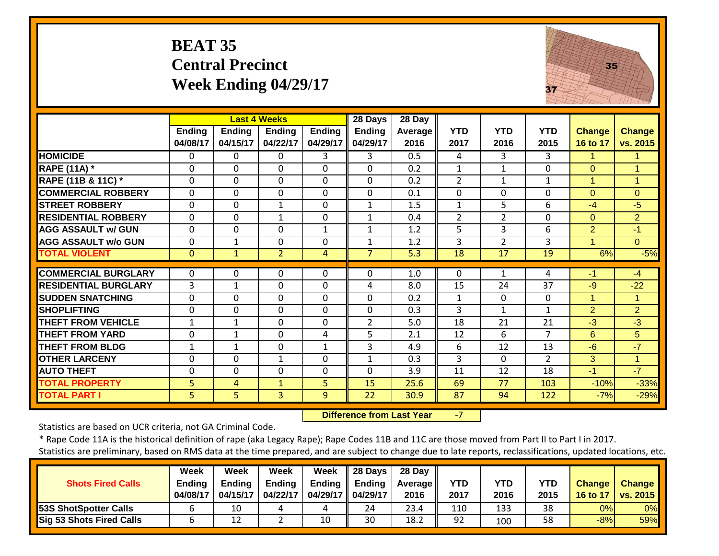## **BEAT 35 Central PrecinctWeek Ending 04/29/17**



|                                              |                           |                          | <b>Last 4 Weeks</b>            |                           | 28 Days                   | 28 Day          |                    |                    |                    |                           |                           |
|----------------------------------------------|---------------------------|--------------------------|--------------------------------|---------------------------|---------------------------|-----------------|--------------------|--------------------|--------------------|---------------------------|---------------------------|
|                                              | <b>Ending</b><br>04/08/17 | Ending<br>04/15/17       | <b>Ending</b><br>04/22/17      | <b>Ending</b><br>04/29/17 | <b>Ending</b><br>04/29/17 | Average<br>2016 | <b>YTD</b><br>2017 | <b>YTD</b><br>2016 | <b>YTD</b><br>2015 | <b>Change</b><br>16 to 17 | <b>Change</b><br>vs. 2015 |
| <b>HOMICIDE</b>                              | $\Omega$                  | $\Omega$                 | $\Omega$                       | 3                         | 3                         | 0.5             | 4                  | 3                  | 3                  | 1                         | 1                         |
| <b>RAPE (11A)</b> *                          | $\mathbf 0$               | $\Omega$                 | $\Omega$                       | $\Omega$                  | $\Omega$                  | 0.2             | $\mathbf{1}$       | $\mathbf{1}$       | $\Omega$           | $\Omega$                  | $\overline{1}$            |
| RAPE (11B & 11C) *                           | $\Omega$                  | $\mathbf 0$              | $\Omega$                       | $\Omega$                  | $\mathbf 0$               | 0.2             | $\overline{2}$     | $\mathbf{1}$       | $\mathbf{1}$       | $\mathbf{1}$              | $\mathbf{1}$              |
| <b>COMMERCIAL ROBBERY</b>                    | $\mathbf 0$               | $\Omega$                 | $\mathbf{0}$                   | $\Omega$                  | $\mathbf 0$               | 0.1             | $\Omega$           | 0                  | $\Omega$           | $\Omega$                  | $\Omega$                  |
| <b>STREET ROBBERY</b>                        | $\mathbf 0$               | $\mathbf 0$              | $\mathbf{1}$                   | $\mathbf 0$               | $\mathbf{1}$              | 1.5             | $\mathbf{1}$       | 5                  | 6                  | $-4$                      | $-5$                      |
| <b>RESIDENTIAL ROBBERY</b>                   | $\mathbf 0$               | $\Omega$                 | $\mathbf{1}$                   | $\Omega$                  | 1                         | 0.4             | $\overline{2}$     | $\overline{2}$     | $\Omega$           | $\Omega$                  | $\overline{2}$            |
| <b>AGG ASSAULT w/ GUN</b>                    | $\Omega$                  | $\Omega$                 | $\Omega$                       | $\mathbf{1}$              | 1                         | 1.2             | 5                  | 3                  | 6                  | 2                         | $-1$                      |
| <b>AGG ASSAULT w/o GUN</b>                   | $\Omega$                  | $\mathbf{1}$             | $\Omega$                       | $\Omega$                  | $\mathbf{1}$              | 1.2             | 3                  | $\overline{2}$     | 3                  | $\overline{1}$            | $\overline{0}$            |
| <b>TOTAL VIOLENT</b>                         | $\mathbf{0}$              | $\mathbf{1}$             | $\overline{2}$                 | $\overline{4}$            | $\overline{7}$            | 5.3             | 18                 | 17                 | 19                 | 6%                        | $-5%$                     |
| <b>COMMERCIAL BURGLARY</b>                   | $\Omega$                  | 0                        | $\mathbf 0$                    | 0                         | $\Omega$                  | 1.0             | $\Omega$           | $\mathbf{1}$       | 4                  | -1                        | $-4$                      |
| <b>RESIDENTIAL BURGLARY</b>                  | 3                         |                          | $\mathbf 0$                    | $\Omega$                  | 4                         | 8.0             | 15                 | 24                 | 37                 | $-9$                      | $-22$                     |
| <b>SUDDEN SNATCHING</b>                      | $\mathbf 0$               | 1<br>$\Omega$            | $\Omega$                       | $\Omega$                  | $\Omega$                  | 0.2             | $\mathbf{1}$       | 0                  | $\Omega$           | $\overline{1}$            | $\mathbf{1}$              |
| <b>SHOPLIFTING</b>                           | 0                         | $\mathbf 0$              | $\mathbf{0}$                   | $\Omega$                  | $\mathbf 0$               | 0.3             | 3                  | $\mathbf{1}$       | 1                  | $\overline{2}$            | $\overline{2}$            |
| <b>THEFT FROM VEHICLE</b>                    | 1                         | 1                        | $\Omega$                       | $\Omega$                  | $\overline{2}$            | 5.0             | 18                 | 21                 | 21                 | $-3$                      | $-3$                      |
| <b>THEFT FROM YARD</b>                       | $\Omega$                  | $\mathbf{1}$             | $\Omega$                       | 4                         | 5                         | 2.1             | 12                 | 6                  | 7                  | 6                         | 5                         |
| <b>THEFT FROM BLDG</b>                       | $\mathbf{1}$              |                          | $\Omega$                       | $\mathbf{1}$              | 3                         | 4.9             | 6                  | 12                 | 13                 | $-6$                      | $-7$                      |
| <b>OTHER LARCENY</b>                         |                           | $\mathbf{1}$<br>$\Omega$ | $\mathbf{1}$                   | $\Omega$                  |                           |                 | 3                  | $\Omega$           | $\overline{2}$     |                           |                           |
|                                              | $\Omega$                  |                          |                                |                           | 1                         | 0.3             |                    |                    |                    | 3<br>$-1$                 | $\mathbf{1}$<br>$-7$      |
| <b>AUTO THEFT</b>                            | 0                         | $\mathbf 0$              | $\mathbf{0}$                   | $\Omega$                  | $\mathbf 0$               | 3.9             | 11                 | 12                 | 18                 |                           |                           |
| <b>TOTAL PROPERTY</b><br><b>TOTAL PART I</b> | 5<br>5                    | 4<br>5                   | $\mathbf{1}$<br>$\overline{3}$ | 5<br>9                    | 15<br>22                  | 25.6<br>30.9    | 69<br>87           | 77<br>94           | 103<br>122         | $-10%$<br>$-7%$           | $-33%$<br>$-29%$          |
|                                              |                           |                          |                                |                           |                           |                 |                    |                    |                    |                           |                           |

 **Difference from Last Year** $-7$ 

Statistics are based on UCR criteria, not GA Criminal Code.

\* Rape Code 11A is the historical definition of rape (aka Legacy Rape); Rape Codes 11B and 11C are those moved from Part II to Part I in 2017. Statistics are preliminary, based on RMS data at the time prepared, and are subject to change due to late reports, reclassifications, updated locations, etc.

**Week Week Week Week 28 Days 28 Day** Т

| <b>Shots Fired Calls</b>        | wccn<br><b>Ending</b><br>04/08/17 | 11 CC V<br><b>Endina</b><br>04/15/17 | wcch<br><b>Ending</b><br>04/22/17 | VCT<br>Endina<br>04/29/17 | LU DAVƏ<br>Ending<br>04/29/17 | zo Dav<br>Average II<br>2016 | YTD<br>2017 | YTD<br>2016 | <b>YTD</b><br>2015 | <b>Change</b><br>16 to 17 | <b>Change</b><br><b>vs. 2015</b> |
|---------------------------------|-----------------------------------|--------------------------------------|-----------------------------------|---------------------------|-------------------------------|------------------------------|-------------|-------------|--------------------|---------------------------|----------------------------------|
| <b>53S ShotSpotter Calls</b>    |                                   | 10                                   |                                   |                           | 24                            | 23.4                         | 110         | 133         | 38                 | 0%                        | 0%                               |
| <b>Sig 53 Shots Fired Calls</b> |                                   | 12                                   |                                   | 10                        | 30                            | 18.2                         | 92          | 100         | 58                 | $-8%$                     | 59%                              |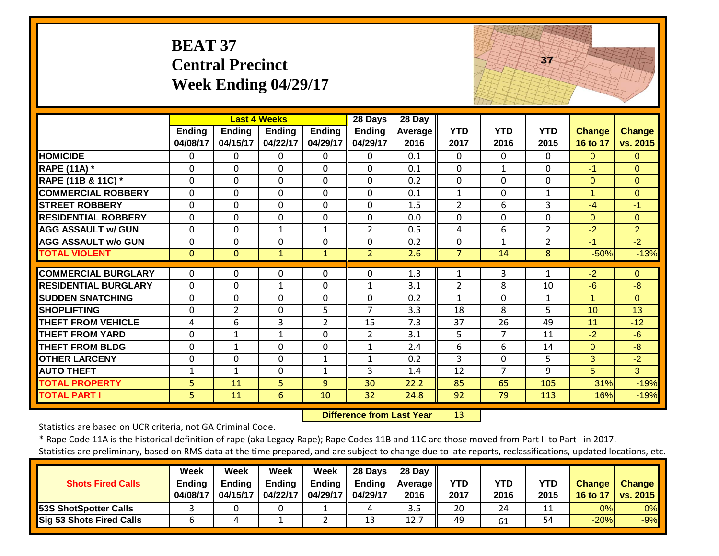| <b>BEAT 37</b>              |
|-----------------------------|
| <b>Central Precinct</b>     |
| <b>Week Ending 04/29/17</b> |



|                             |                |                | <b>Last 4 Weeks</b> |                | 28 Days        | 28 Day           |                |                |                |                      |                |
|-----------------------------|----------------|----------------|---------------------|----------------|----------------|------------------|----------------|----------------|----------------|----------------------|----------------|
|                             | <b>Ending</b>  | <b>Ending</b>  | <b>Ending</b>       | <b>Ending</b>  | <b>Ending</b>  | Average          | <b>YTD</b>     | <b>YTD</b>     | <b>YTD</b>     | <b>Change</b>        | <b>Change</b>  |
|                             | 04/08/17       | 04/15/17       | 04/22/17            | 04/29/17       | 04/29/17       | 2016             | 2017           | 2016           | 2015           | 16 to 17             | vs. 2015       |
| <b>HOMICIDE</b>             | $\Omega$       | 0              | 0                   | $\Omega$       | $\Omega$       | 0.1              | $\mathbf{0}$   | $\Omega$       | $\Omega$       | $\Omega$             | $\Omega$       |
| <b>RAPE (11A) *</b>         | 0              | 0              | $\mathbf 0$         | $\Omega$       | $\Omega$       | 0.1              | $\Omega$       | 1              | $\Omega$       | $-1$                 | $\Omega$       |
| RAPE (11B & 11C) *          | $\Omega$       | 0              | $\mathbf 0$         | $\mathbf 0$    | $\mathbf 0$    | 0.2              | $\Omega$       | $\mathbf{0}$   | $\Omega$       | $\Omega$             | $\Omega$       |
| <b>COMMERCIAL ROBBERY</b>   | $\Omega$       | 0              | 0                   | $\Omega$       | $\Omega$       | 0.1              | $\mathbf{1}$   | $\Omega$       | $\mathbf{1}$   | $\overline{1}$       | $\Omega$       |
| <b>STREET ROBBERY</b>       | $\Omega$       | 0              | $\Omega$            | $\Omega$       | $\Omega$       | 1.5              | $\overline{2}$ | 6              | 3              | $-4$                 | $-1$           |
| <b>RESIDENTIAL ROBBERY</b>  | $\mathbf 0$    | 0              | $\mathbf 0$         | $\Omega$       | $\mathbf 0$    | 0.0              | $\Omega$       | $\mathbf 0$    | $\mathbf 0$    | $\Omega$             | $\Omega$       |
| <b>AGG ASSAULT w/ GUN</b>   | 0              | 0              | $\mathbf{1}$        | $\mathbf{1}$   | $\overline{2}$ | 0.5              | 4              | 6              | $\overline{2}$ | $-2$                 | $\overline{2}$ |
| <b>AGG ASSAULT w/o GUN</b>  | $\mathbf 0$    | 0              | $\mathbf 0$         | $\mathbf 0$    | $\mathbf 0$    | 0.2              | $\mathbf{0}$   | $\mathbf{1}$   | $\overline{2}$ | $-1$                 | $-2$           |
| <b>TOTAL VIOLENT</b>        | $\overline{0}$ | $\overline{0}$ | $\mathbf{1}$        | $\mathbf{1}$   | $\overline{2}$ | 2.6              | $\overline{7}$ | 14             | 8              | $-50%$               | $-13%$         |
|                             |                |                |                     |                |                |                  |                |                |                |                      |                |
| <b>COMMERCIAL BURGLARY</b>  | $\Omega$       | 0              | 0                   | $\mathbf{0}$   | $\Omega$       | $\overline{1.3}$ | 1              | 3              | $\mathbf{1}$   | $-2$                 | $\Omega$       |
| <b>RESIDENTIAL BURGLARY</b> | $\mathbf 0$    | 0              | $\mathbf{1}$        | $\mathbf 0$    | $\mathbf{1}$   | 3.1              | $\overline{2}$ | 8              | 10             | $-6$                 | $-8$           |
| <b>SUDDEN SNATCHING</b>     | $\mathbf 0$    | 0              | 0                   | $\mathbf 0$    | $\mathbf 0$    | 0.2              | $\mathbf{1}$   | $\Omega$       | $\mathbf{1}$   | $\blacktriangleleft$ | $\Omega$       |
| <b>SHOPLIFTING</b>          | $\mathbf 0$    | $\overline{2}$ | $\mathbf 0$         | 5              | $\overline{7}$ | 3.3              | 18             | 8              | 5              | 10 <sup>1</sup>      | 13             |
| THEFT FROM VEHICLE          | 4              | 6              | 3                   | $\overline{2}$ | 15             | 7.3              | 37             | 26             | 49             | 11                   | $-12$          |
| <b>THEFT FROM YARD</b>      | $\mathbf{0}$   | 1              | $\mathbf{1}$        | $\mathbf 0$    | $\overline{2}$ | 3.1              | 5              | $\overline{7}$ | 11             | $-2$                 | $-6$           |
| <b>THEFT FROM BLDG</b>      | 0              | 1              | $\mathbf 0$         | $\mathbf 0$    | 1              | 2.4              | 6              | 6              | 14             | $\Omega$             | $-8$           |
| <b>OTHER LARCENY</b>        | $\Omega$       | 0              | $\mathbf 0$         | $\mathbf{1}$   | 1              | 0.2              | 3              | $\mathbf 0$    | 5              | 3                    | $-2$           |
| <b>AUTO THEFT</b>           | $\mathbf{1}$   | 1              | 0                   | 1              | 3              | 1.4              | 12             | $\overline{7}$ | 9              | 5                    | 3              |
| <b>TOTAL PROPERTY</b>       | 5              | 11             | 5                   | 9              | 30             | 22.2             | 85             | 65             | 105            | 31%                  | $-19%$         |
| <b>TOTAL PART I</b>         | 5              | 11             | 6                   | 10             | 32             | 24.8             | 92             | 79             | 113            | 16%                  | $-19%$         |

 **Difference from Last Year**r 13

Statistics are based on UCR criteria, not GA Criminal Code.

|                                 | Week          | Week          | Week          | Week               | $\parallel$ 28 Days | 28 Day            |            |      |      |        |                     |
|---------------------------------|---------------|---------------|---------------|--------------------|---------------------|-------------------|------------|------|------|--------|---------------------|
| <b>Shots Fired Calls</b>        | <b>Ending</b> | <b>Ending</b> | <b>Ending</b> | Ending $\parallel$ | Ending              | <b>Average</b> II | <b>YTD</b> | YTD  | YTD  | Change | <b>Change</b>       |
|                                 | 04/08/17      | 04/15/17      | 04/22/17      | 04/29/17 04/29/17  |                     | 2016              | 2017       | 2016 | 2015 |        | 16 to 17   vs. 2015 |
| <b>53S ShotSpotter Calls</b>    |               |               |               |                    | 4                   | 3.5               | 20         | 24   |      | 0%     | $0\%$               |
| <b>Sig 53 Shots Fired Calls</b> |               |               |               |                    | 13                  | 12.7              | 49         | 61   | 54   | $-20%$ | $-9%$               |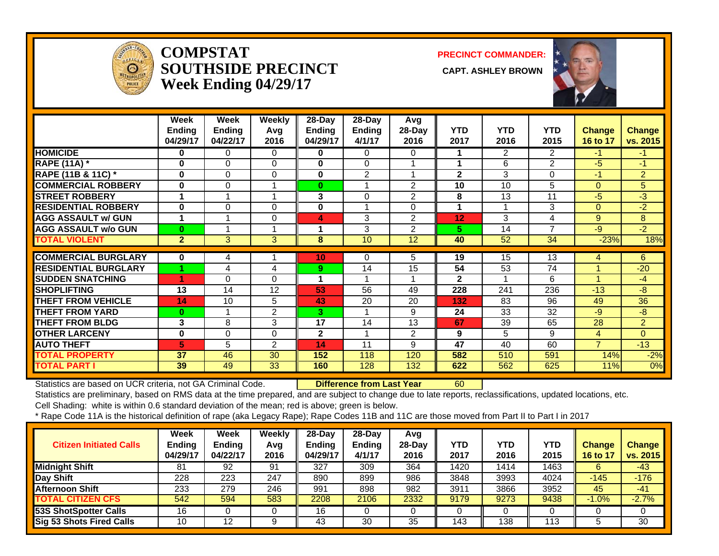

#### **COMPSTATSOUTHSIDE PRECINCT CAPT. ASHLEY BROWNWeek Ending 04/29/17**

**PRECINCT COMMANDER:**



|                             | Week           | Week           | Weekly         | $28-Day$        | 28-Day        | Avg            |                |            |                |                |                |
|-----------------------------|----------------|----------------|----------------|-----------------|---------------|----------------|----------------|------------|----------------|----------------|----------------|
|                             | <b>Ending</b>  | <b>Ending</b>  | Avg            | Ending          | <b>Ending</b> | 28-Day         | <b>YTD</b>     | <b>YTD</b> | <b>YTD</b>     | <b>Change</b>  | <b>Change</b>  |
|                             | 04/29/17       | 04/22/17       | 2016           | 04/29/17        | 4/1/17        | 2016           | 2017           | 2016       | 2015           | 16 to 17       | vs. 2015       |
| <b>HOMICIDE</b>             | 0              | 0              | 0              | 0               | 0             | 0              |                | 2          | 2              | $-1$           | $-1$           |
| <b>RAPE (11A) *</b>         | $\bf{0}$       | 0              | 0              | 0               | $\Omega$      |                | 1              | 6          | 2              | $-5$           | $-1$           |
| RAPE (11B & 11C) *          | $\bf{0}$       | 0              | 0              | 0               | 2             |                | $\mathbf{2}$   | 3          | $\Omega$       | $-1$           | $\overline{2}$ |
| <b>COMMERCIAL ROBBERY</b>   | $\bf{0}$       | 0              |                | $\bf{0}$        | 4             | $\overline{2}$ | 10             | 10         | 5              | $\Omega$       | 5              |
| <b>STREET ROBBERY</b>       |                |                |                | 3               | $\Omega$      | $\overline{2}$ | 8              | 13         | 11             | $-5$           | $-3$           |
| <b>RESIDENTIAL ROBBERY</b>  | $\bf{0}$       | 0              | $\Omega$       | $\bf{0}$        |               | $\Omega$       | 1              |            | 3              | $\Omega$       | $-2$           |
| <b>AGG ASSAULT w/ GUN</b>   |                |                | 0              | 4               | 3             | $\overline{2}$ | 12             | 3          | 4              | 9              | 8              |
| <b>AGG ASSAULT w/o GUN</b>  | $\bf{0}$       |                |                |                 | 3             | $\overline{2}$ | 5.             | 14         | $\overline{7}$ | -9             | $-2$           |
| <b>TOTAL VIOLENT</b>        | $\overline{2}$ | 3 <sup>1</sup> | $\overline{3}$ | 8               | 10            | 12             | 40             | 52         | 34             | $-23%$         | 18%            |
|                             |                |                |                |                 |               |                |                |            |                |                |                |
| <b>COMMERCIAL BURGLARY</b>  | $\bf{0}$       | 4              |                | 10 <sub>1</sub> | $\Omega$      | 5.             | 19             | 15         | 13             | 4              | 6              |
| <b>RESIDENTIAL BURGLARY</b> |                | 4              | 4              | 9               | 14            | 15             | 54             | 53         | 74             |                | $-20$          |
| <b>SUDDEN SNATCHING</b>     |                | 0              | $\Omega$       |                 |               |                | $\overline{2}$ |            | 6              |                | -4             |
| <b>SHOPLIFTING</b>          | 13             | 14             | 12             | 53              | 56            | 49             | 228            | 241        | 236            | $-13$          | -8             |
| <b>THEFT FROM VEHICLE</b>   | 14             | 10             | 5              | 43              | 20            | 20             | 132            | 83         | 96             | 49             | 36             |
| <b>THEFT FROM YARD</b>      | $\bf{0}$       |                | $\overline{2}$ | 3               | 1             | 9              | 24             | 33         | 32             | $-9$           | -8             |
| <b>THEFT FROM BLDG</b>      | 3              | 8              | 3              | 17              | 14            | 13             | 67             | 39         | 65             | 28             | $\overline{2}$ |
| <b>OTHER LARCENY</b>        | $\bf{0}$       | 0              | $\Omega$       | $\overline{2}$  | 4             | $\overline{2}$ | 9              | 5          | 9              | $\overline{4}$ | $\Omega$       |
| <b>AUTO THEFT</b>           | 5              | 5              | $\overline{2}$ | 14              | 11            | 9              | 47             | 40         | 60             | $\overline{7}$ | $-13$          |
| <b>TOTAL PROPERTY</b>       | 37             | 46             | 30             | 152             | 118           | 120            | 582            | 510        | 591            | 14%            | $-2%$          |
| <b>TOTAL PART I</b>         | 39             | 49             | 33             | 160             | 128           | 132            | 622            | 562        | 625            | 11%            | 0%             |

Statistics are based on UCR criteria, not GA Criminal Code. **Difference from Last Year** 60

Statistics are preliminary, based on RMS data at the time prepared, and are subject to change due to late reports, reclassifications, updated locations, etc.

Cell Shading: white is within 0.6 standard deviation of the mean; red is above; green is below.

| <b>Citizen Initiated Calls</b> | Week<br>Ending<br>04/29/17 | <b>Week</b><br><b>Ending</b><br>04/22/17 | Weekly<br>Avg<br>2016 | 28-Dav<br><b>Endina</b><br>04/29/17 | 28-Dav<br><b>Ending</b><br>4/1/17 | Avg<br>28-Dav<br>2016 | YTD<br>2017 | YTD<br>2016 | YTD<br>2015 | <b>Change</b><br>16 to 17 | <b>Change</b><br>vs. 2015 |
|--------------------------------|----------------------------|------------------------------------------|-----------------------|-------------------------------------|-----------------------------------|-----------------------|-------------|-------------|-------------|---------------------------|---------------------------|
| <b>Midnight Shift</b>          | 81                         | 92                                       | 91                    | 327                                 | 309                               | 364                   | 1420        | 1414        | 1463        | 6                         | $-43$                     |
| Day Shift                      | 228                        | 223                                      | 247                   | 890                                 | 899                               | 986                   | 3848        | 3993        | 4024        | -145                      | $-176$                    |
| <b>Afternoon Shift</b>         | 233                        | 279                                      | 246                   | 991                                 | 898                               | 982                   | 3911        | 3866        | 3952        | 45                        | $-41$                     |
| <b>TOTAL CITIZEN CFS</b>       | 542                        | 594                                      | 583                   | 2208                                | 2106                              | 2332                  | 9179        | 9273        | 9438        | $-1.0%$                   | $-2.7%$                   |
| <b>53S ShotSpotter Calls</b>   | 16                         |                                          |                       | 16                                  |                                   |                       |             |             |             |                           |                           |
| Sig 53 Shots Fired Calls       | 10                         | 12                                       | 9                     | 43                                  | 30                                | 35                    | 143         | 138         | 113         |                           | 30                        |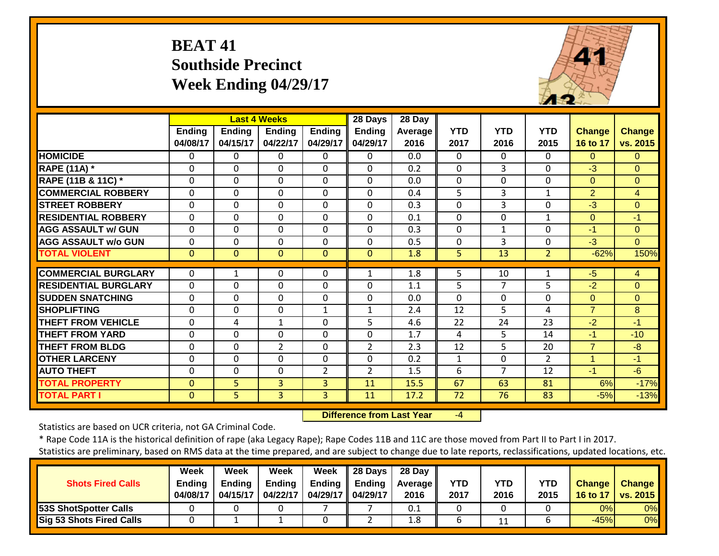## **BEAT 41 Southside Precinct Week Ending 04/29/17**



|                             |                           |                           | <b>Last 4 Weeks</b> |                    | 28 Days                   | 28 Day          |                    |                    |                    |                           |                           |
|-----------------------------|---------------------------|---------------------------|---------------------|--------------------|---------------------------|-----------------|--------------------|--------------------|--------------------|---------------------------|---------------------------|
|                             | <b>Ending</b><br>04/08/17 | <b>Endina</b><br>04/15/17 | Endina<br>04/22/17  | Ending<br>04/29/17 | <b>Ending</b><br>04/29/17 | Average<br>2016 | <b>YTD</b><br>2017 | <b>YTD</b><br>2016 | <b>YTD</b><br>2015 | <b>Change</b><br>16 to 17 | <b>Change</b><br>vs. 2015 |
| <b>HOMICIDE</b>             | $\Omega$                  | 0                         | $\Omega$            | 0                  | $\Omega$                  | 0.0             | $\Omega$           | 0                  | $\Omega$           | $\Omega$                  | $\Omega$                  |
| <b>RAPE (11A) *</b>         | 0                         | $\Omega$                  | $\mathbf 0$         | $\Omega$           | $\mathbf 0$               | 0.2             | $\mathbf{0}$       | 3                  | $\Omega$           | $-3$                      | $\Omega$                  |
| RAPE (11B & 11C) *          | $\mathbf 0$               | $\Omega$                  | $\mathbf 0$         | 0                  | $\mathbf 0$               | 0.0             | $\mathbf 0$        | 0                  | $\Omega$           | $\Omega$                  | $\overline{0}$            |
| <b>COMMERCIAL ROBBERY</b>   | $\mathbf 0$               | $\mathbf 0$               | $\mathbf 0$         | 0                  | $\mathbf 0$               | 0.4             | 5                  | 3                  | $\mathbf{1}$       | $\overline{2}$            | $\overline{4}$            |
| <b>STREET ROBBERY</b>       | $\mathbf 0$               | 0                         | $\mathbf 0$         | 0                  | $\mathbf 0$               | 0.3             | $\mathbf 0$        | 3                  | $\mathbf 0$        | $-3$                      | $\Omega$                  |
| <b>IRESIDENTIAL ROBBERY</b> | $\Omega$                  | $\Omega$                  | $\mathbf{0}$        | 0                  | $\Omega$                  | 0.1             | $\Omega$           | 0                  | $\mathbf{1}$       | $\Omega$                  | $-1$                      |
| <b>AGG ASSAULT w/ GUN</b>   | $\mathbf 0$               | $\Omega$                  | $\mathbf 0$         | $\Omega$           | $\mathbf 0$               | 0.3             | $\mathbf 0$        | $\mathbf{1}$       | $\mathbf 0$        | $-1$                      | $\Omega$                  |
| <b>AGG ASSAULT w/o GUN</b>  | 0                         | 0                         | 0                   | $\Omega$           | $\mathbf 0$               | 0.5             | 0                  | 3                  | $\mathbf 0$        | $-3$                      | $\Omega$                  |
| <b>TOTAL VIOLENT</b>        | $\mathbf{0}$              | $\overline{0}$            | $\Omega$            | $\Omega$           | $\Omega$                  | 1.8             | 5                  | 13                 | $\overline{2}$     | $-62%$                    | 150%                      |
| <b>COMMERCIAL BURGLARY</b>  | 0                         |                           | $\mathbf 0$         | 0                  | 1                         | 1.8             | 5                  | 10                 | 1                  | $-5$                      | $\overline{4}$            |
| <b>RESIDENTIAL BURGLARY</b> | $\Omega$                  | $\Omega$                  | $\mathbf{0}$        | $\Omega$           | $\Omega$                  | 1.1             | 5                  | 7                  | 5                  | $-2$                      | $\Omega$                  |
| <b>SUDDEN SNATCHING</b>     | $\Omega$                  | $\Omega$                  | $\mathbf{0}$        | $\Omega$           | $\mathbf 0$               | 0.0             | $\Omega$           | $\Omega$           | $\Omega$           | $\Omega$                  | $\Omega$                  |
| <b>SHOPLIFTING</b>          | $\Omega$                  | $\Omega$                  | $\mathbf{0}$        | 1                  | $\mathbf{1}$              | 2.4             | 12                 | 5.                 | 4                  | $\overline{7}$            | 8                         |
| <b>THEFT FROM VEHICLE</b>   | $\Omega$                  | 4                         | $\mathbf{1}$        | $\Omega$           | 5                         | 4.6             | 22                 | 24                 | 23                 | $-2$                      | $-1$                      |
| <b>THEFT FROM YARD</b>      | $\mathbf 0$               | $\Omega$                  | $\Omega$            | $\Omega$           | $\Omega$                  | 1.7             | 4                  | 5                  | 14                 | $-1$                      | $-10$                     |
| <b>THEFT FROM BLDG</b>      | $\Omega$                  | $\Omega$                  | $\overline{2}$      | 0                  | $\overline{2}$            | 2.3             | 12                 | 5                  | 20                 | $\overline{7}$            | $-8$                      |
| <b>OTHER LARCENY</b>        | $\Omega$                  | $\Omega$                  | $\mathbf{0}$        | $\Omega$           | $\mathbf 0$               | 0.2             | $\mathbf{1}$       | $\Omega$           | 2                  | 1                         | $-1$                      |
| <b>AUTO THEFT</b>           | $\Omega$                  | $\Omega$                  | $\mathbf{0}$        | $\overline{2}$     | $\overline{2}$            | 1.5             | 6                  | $\overline{7}$     | 12                 | $-1$                      | $-6$                      |
| <b>TOTAL PROPERTY</b>       | $\mathbf{0}$              | 5                         | 3                   | 3                  | 11                        | 15.5            | 67                 | 63                 | 81                 | 6%                        | $-17%$                    |
| <b>TOTAL PART I</b>         | $\mathbf{0}$              | 5                         | $\overline{3}$      | $\overline{3}$     | 11                        | 17.2            | 72                 | 76                 | 83                 | $-5%$                     | $-13%$                    |

 **Difference from Last Year**‐4

Statistics are based on UCR criteria, not GA Criminal Code.

\* Rape Code 11A is the historical definition of rape (aka Legacy Rape); Rape Codes 11B and 11C are those moved from Part II to Part I in 2017.

|                                 | Week     | Week     | Week          | Week                | $\parallel$ 28 Days | 28 Day            |            |            |            |               |                 |
|---------------------------------|----------|----------|---------------|---------------------|---------------------|-------------------|------------|------------|------------|---------------|-----------------|
| <b>Shots Fired Calls</b>        | Endina   | Endina   | <b>Ending</b> | Endina              | Ending              | <b>Average</b> II | <b>YTD</b> | <b>YTD</b> | <b>YTD</b> | <b>Change</b> | <b>Change</b>   |
|                                 | 04/08/17 | 04/15/17 | 04/22/17      | 04/29/17   04/29/17 |                     | 2016              | 2017       | 2016       | 2015       | 16 to 17      | <b>vs. 2015</b> |
| <b>53S ShotSpotter Calls</b>    |          |          |               |                     |                     | 0.1               |            |            |            | 0%l           | 0%              |
| <b>Sig 53 Shots Fired Calls</b> |          |          |               |                     |                     | 1.8               |            | 11<br>ᆠᆂ   |            | $-45%$        | 0%              |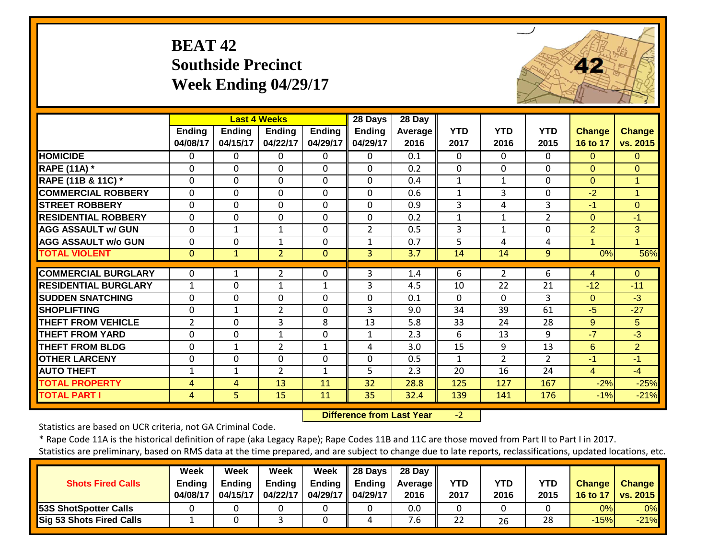## **BEAT 42 Southside Precinct Week Ending 04/29/17**



|                             |                    |                    | <b>Last 4 Weeks</b>       |                           | 28 Days                   | 28 Day          |                    |                    |                    |                           |                           |
|-----------------------------|--------------------|--------------------|---------------------------|---------------------------|---------------------------|-----------------|--------------------|--------------------|--------------------|---------------------------|---------------------------|
|                             | Ending<br>04/08/17 | Ending<br>04/15/17 | <b>Ending</b><br>04/22/17 | <b>Ending</b><br>04/29/17 | <b>Ending</b><br>04/29/17 | Average<br>2016 | <b>YTD</b><br>2017 | <b>YTD</b><br>2016 | <b>YTD</b><br>2015 | <b>Change</b><br>16 to 17 | <b>Change</b><br>vs. 2015 |
| <b>HOMICIDE</b>             | $\Omega$           | $\Omega$           | $\mathbf 0$               | $\Omega$                  | 0                         | 0.1             | $\Omega$           | $\Omega$           | $\Omega$           | $\Omega$                  | $\Omega$                  |
| <b>RAPE (11A) *</b>         | $\Omega$           | $\Omega$           | $\mathbf{0}$              | $\Omega$                  | $\Omega$                  | 0.2             | $\Omega$           | $\Omega$           | $\Omega$           | $\Omega$                  | $\Omega$                  |
| RAPE (11B & 11C) *          | 0                  | $\Omega$           | $\mathbf{0}$              | $\Omega$                  | $\Omega$                  | 0.4             | 1                  | $\mathbf{1}$       | $\mathbf{0}$       | $\Omega$                  | $\mathbf{1}$              |
| <b>COMMERCIAL ROBBERY</b>   | $\Omega$           | $\Omega$           | $\mathbf{0}$              | $\Omega$                  | $\Omega$                  | 0.6             | $\mathbf{1}$       | 3                  | $\Omega$           | $-2$                      | $\blacktriangleleft$      |
| <b>STREET ROBBERY</b>       | $\mathbf 0$        | $\mathbf 0$        | $\mathbf{0}$              | $\mathbf 0$               | $\Omega$                  | 0.9             | 3                  | 4                  | 3                  | $-1$                      | $\overline{0}$            |
| <b>RESIDENTIAL ROBBERY</b>  | $\mathbf 0$        | $\Omega$           | $\mathbf{0}$              | $\mathbf 0$               | $\Omega$                  | 0.2             | $\mathbf{1}$       | $\mathbf{1}$       | $\overline{2}$     | $\Omega$                  | $-1$                      |
| <b>AGG ASSAULT w/ GUN</b>   | $\mathbf 0$        | $\mathbf{1}$       | $\mathbf{1}$              | $\Omega$                  | $\overline{2}$            | 0.5             | 3                  | 1                  | $\mathbf 0$        | $\overline{2}$            | 3                         |
| <b>AGG ASSAULT w/o GUN</b>  | $\Omega$           | $\Omega$           | 1                         | $\Omega$                  | $\mathbf{1}$              | 0.7             | 5                  | 4                  | 4                  | 1                         | 1                         |
| <b>TOTAL VIOLENT</b>        | $\mathbf{0}$       | $\mathbf{1}$       | $\overline{2}$            | $\Omega$                  | $\overline{3}$            | 3.7             | 14                 | 14                 | 9                  | 0%                        | 56%                       |
|                             |                    |                    |                           |                           |                           |                 |                    |                    |                    |                           |                           |
| <b>COMMERCIAL BURGLARY</b>  | $\Omega$           | 1                  | $\overline{2}$            | $\Omega$                  | 3                         | 1.4             | 6                  | $\overline{2}$     | 6                  | 4                         | $\Omega$                  |
| <b>RESIDENTIAL BURGLARY</b> | 1                  | $\Omega$           | $\mathbf{1}$              | 1                         | 3                         | 4.5             | 10                 | 22                 | 21                 | $-12$                     | $-11$                     |
| <b>SUDDEN SNATCHING</b>     | $\mathbf 0$        | $\mathbf 0$        | $\mathbf 0$               | $\mathbf 0$               | $\Omega$                  | 0.1             | $\Omega$           | $\Omega$           | 3                  | $\Omega$                  | $-3$                      |
| <b>SHOPLIFTING</b>          | $\mathbf 0$        | $\mathbf{1}$       | $\overline{2}$            | $\mathbf 0$               | 3                         | 9.0             | 34                 | 39                 | 61                 | $-5$                      | $-27$                     |
| <b>THEFT FROM VEHICLE</b>   | $\overline{2}$     | $\Omega$           | 3                         | 8                         | 13                        | 5.8             | 33                 | 24                 | 28                 | 9                         | 5                         |
| <b>THEFT FROM YARD</b>      | 0                  | $\Omega$           | 1                         | $\Omega$                  | 1                         | 2.3             | 6                  | 13                 | 9                  | $-7$                      | $-3$                      |
| <b>THEFT FROM BLDG</b>      | $\Omega$           | $\mathbf{1}$       | $\overline{2}$            | $\mathbf{1}$              | 4                         | 3.0             | 15                 | 9                  | 13                 | 6                         | $\overline{2}$            |
| <b>OTHER LARCENY</b>        | 0                  | $\Omega$           | $\Omega$                  | 0                         | $\Omega$                  | 0.5             | 1                  | $\overline{2}$     | $\overline{2}$     | $-1$                      | $-1$                      |
| <b>AUTO THEFT</b>           | 1                  | $\mathbf{1}$       | $\overline{2}$            | $\mathbf{1}$              | 5                         | 2.3             | 20                 | 16                 | 24                 | 4                         | $-4$                      |
| <b>TOTAL PROPERTY</b>       | 4                  | 4                  | 13                        | 11                        | 32                        | 28.8            | 125                | 127                | 167                | $-2%$                     | $-25%$                    |
| <b>TOTAL PART I</b>         | 4                  | 5                  | 15                        | 11                        | 35                        | 32.4            | 139                | 141                | 176                | $-1%$                     | $-21%$                    |

 **Difference from Last Year**‐2

Statistics are based on UCR criteria, not GA Criminal Code.

|                              | Week          | Week          | Week          | Week     | 28 Days  | 28 Day     |            |      |            |               |                 |
|------------------------------|---------------|---------------|---------------|----------|----------|------------|------------|------|------------|---------------|-----------------|
| <b>Shots Fired Calls</b>     | <b>Ending</b> | <b>Ending</b> | <b>Ending</b> | Ending   | Endina   | Average II | <b>YTD</b> | YTD  | <b>YTD</b> | <b>Change</b> | <b>Change</b>   |
|                              | 04/08/17      | 04/15/17      | 04/22/17      | 04/29/17 | 04/29/17 | 2016       | 2017       | 2016 | 2015       | 16 to 17      | <b>vs. 2015</b> |
| <b>53S ShotSpotter Calls</b> |               |               |               |          |          | 0.0        |            |      |            | 0%            | 0%              |
| Sig 53 Shots Fired Calls     |               |               |               |          |          | ′.б        | 22         | 26   | 28         | $-15%$        | $-21%$          |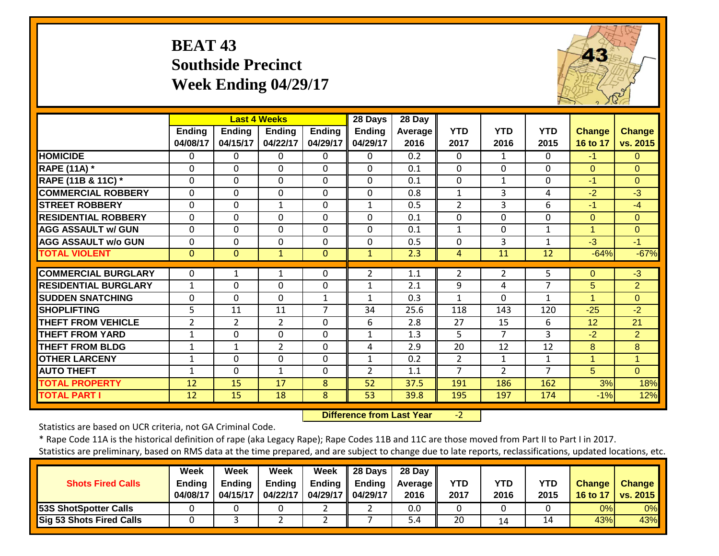## **BEAT 43 Southside Precinct Week Ending 04/29/17**



|                             |                    |                           | <b>Last 4 Weeks</b>       |                           | 28 Days                   | 28 Day                 |                    |                    |                    |                           |                           |
|-----------------------------|--------------------|---------------------------|---------------------------|---------------------------|---------------------------|------------------------|--------------------|--------------------|--------------------|---------------------------|---------------------------|
|                             | Ending<br>04/08/17 | <b>Ending</b><br>04/15/17 | <b>Ending</b><br>04/22/17 | <b>Ending</b><br>04/29/17 | <b>Ending</b><br>04/29/17 | <b>Average</b><br>2016 | <b>YTD</b><br>2017 | <b>YTD</b><br>2016 | <b>YTD</b><br>2015 | <b>Change</b><br>16 to 17 | <b>Change</b><br>vs. 2015 |
| <b>HOMICIDE</b>             | 0                  | 0                         | 0                         | $\Omega$                  | 0                         | 0.2                    | 0                  | $\mathbf{1}$       | $\Omega$           | $-1$                      | $\overline{0}$            |
| <b>RAPE (11A)</b> *         | 0                  | 0                         | $\Omega$                  | $\Omega$                  | $\Omega$                  | 0.1                    | $\Omega$           | $\Omega$           | $\Omega$           | $\Omega$                  | $\Omega$                  |
| RAPE (11B & 11C) *          | 0                  | 0                         | $\mathbf 0$               | $\mathbf 0$               | 0                         | 0.1                    | $\mathbf 0$        | $\mathbf{1}$       | $\mathbf 0$        | $-1$                      | $\Omega$                  |
| <b>COMMERCIAL ROBBERY</b>   | 0                  | 0                         | $\mathbf 0$               | $\mathbf 0$               | 0                         | 0.8                    | $\mathbf{1}$       | 3                  | 4                  | $-2$                      | $-3$                      |
| <b>STREET ROBBERY</b>       | 0                  | 0                         | $\mathbf{1}$              | $\Omega$                  | 1                         | 0.5                    | $\overline{2}$     | 3                  | 6                  | $-1$                      | $-4$                      |
| <b>RESIDENTIAL ROBBERY</b>  | 0                  | 0                         | $\Omega$                  | $\Omega$                  | $\Omega$                  | 0.1                    | 0                  | 0                  | $\Omega$           | $\Omega$                  | $\Omega$                  |
| <b>AGG ASSAULT w/ GUN</b>   | 0                  | 0                         | 0                         | $\mathbf 0$               | $\Omega$                  | 0.1                    | $\mathbf{1}$       | 0                  | $\mathbf 1$        | $\overline{1}$            | $\Omega$                  |
| <b>AGG ASSAULT w/o GUN</b>  | 0                  | 0                         | $\Omega$                  | $\Omega$                  | $\Omega$                  | 0.5                    | 0                  | 3                  | 1                  | $-3$                      | $-1$                      |
| <b>TOTAL VIOLENT</b>        | $\Omega$           | $\Omega$                  | $\mathbf{1}$              | $\Omega$                  | $\mathbf{1}$              | 2.3                    | 4                  | 11                 | 12                 | $-64%$                    | $-67%$                    |
|                             |                    |                           |                           |                           |                           |                        |                    |                    |                    |                           |                           |
| <b>COMMERCIAL BURGLARY</b>  | 0                  | 1                         | $\mathbf{1}$              | 0                         | 2                         | 1.1                    | $\overline{2}$     | $\overline{2}$     | 5                  | $\Omega$                  | $-3$                      |
| <b>RESIDENTIAL BURGLARY</b> | $\mathbf{1}$       | 0                         | 0                         | 0                         | $\mathbf{1}$              | 2.1                    | 9                  | 4                  | 7                  | 5                         | $\overline{2}$            |
| <b>SUDDEN SNATCHING</b>     | 0                  | 0                         | $\mathbf 0$               | $\mathbf{1}$              | $\mathbf{1}$              | 0.3                    | $\mathbf{1}$       | 0                  | $\mathbf{1}$       | 1                         | $\Omega$                  |
| <b>SHOPLIFTING</b>          | 5                  | 11                        | 11                        | $\overline{7}$            | 34                        | 25.6                   | 118                | 143                | 120                | $-25$                     | $-2$                      |
| <b>THEFT FROM VEHICLE</b>   | 2                  | $\overline{2}$            | $\overline{2}$            | 0                         | 6                         | 2.8                    | 27                 | 15                 | 6                  | 12                        | 21                        |
| <b>THEFT FROM YARD</b>      | 1                  | 0                         | $\Omega$                  | 0                         | $\mathbf{1}$              | 1.3                    | 5                  | 7                  | 3                  | $-2$                      | $\overline{2}$            |
| <b>THEFT FROM BLDG</b>      | $\mathbf{1}$       | $\mathbf{1}$              | $\overline{2}$            | 0                         | 4                         | 2.9                    | 20                 | 12                 | 12                 | 8                         | 8                         |
| <b>OTHER LARCENY</b>        | $\mathbf{1}$       | 0                         | $\Omega$                  | 0                         | 1                         | 0.2                    | 2                  | 1                  | 1                  | 1                         | $\mathbf{1}$              |
| <b>AUTO THEFT</b>           | 1                  | 0                         | 1                         | 0                         | $\overline{2}$            | 1.1                    | 7                  | $\overline{2}$     | $\overline{7}$     | 5                         | $\Omega$                  |
| <b>TOTAL PROPERTY</b>       | 12                 | 15                        | 17                        | 8                         | 52                        | 37.5                   | 191                | 186                | 162                | 3%                        | 18%                       |
| <b>TOTAL PART I</b>         | 12                 | 15                        | 18                        | 8                         | 53                        | 39.8                   | 195                | 197                | 174                | $-1%$                     | 12%                       |

 **Difference from Last Year** $-2$ 

Statistics are based on UCR criteria, not GA Criminal Code.

|                                 | Week          | Week          | Week          | Week                | $\parallel$ 28 Days | 28 Day     |            |      |      |               |                     |
|---------------------------------|---------------|---------------|---------------|---------------------|---------------------|------------|------------|------|------|---------------|---------------------|
| <b>Shots Fired Calls</b>        | <b>Ending</b> | <b>Endina</b> | <b>Ending</b> | Ending              | <b>Il</b> Ending    | Average II | <b>YTD</b> | YTD  | YTD  | <b>Change</b> | <b>Change</b>       |
|                                 | 04/08/17      | 04/15/17      | 04/22/17      | 04/29/17   04/29/17 |                     | 2016       | 2017       | 2016 | 2015 |               | 16 to 17   vs. 2015 |
| <b>53S ShotSpotter Calls</b>    |               |               |               |                     |                     | 0.0        |            |      |      | 0%I           | 0%                  |
| <b>Sig 53 Shots Fired Calls</b> |               |               |               |                     |                     | 5.4        | 20         | 14   | ⊥4   | 43%           | 43%                 |
|                                 |               |               |               |                     |                     |            |            |      |      |               |                     |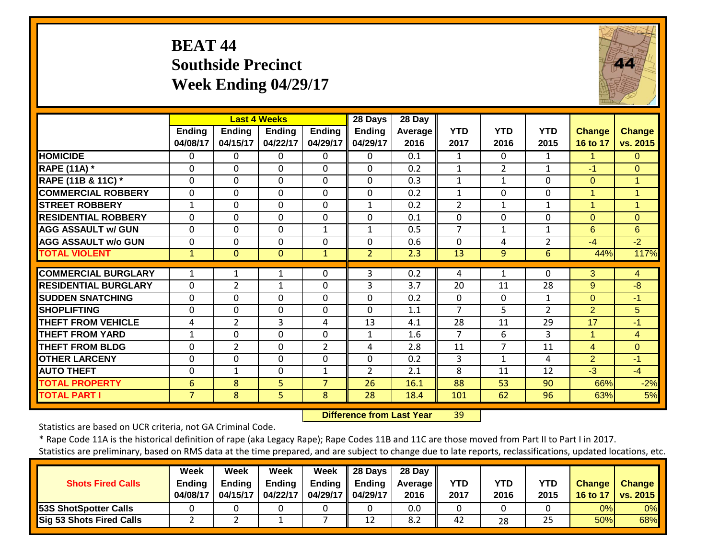## **BEAT 44 Southside Precinct Week Ending 04/29/17**



|                             |                           |                    | <b>Last 4 Weeks</b>       |                           | 28 Days                   | 28 Day          |                    |                    |                    |                           |                           |
|-----------------------------|---------------------------|--------------------|---------------------------|---------------------------|---------------------------|-----------------|--------------------|--------------------|--------------------|---------------------------|---------------------------|
|                             | <b>Ending</b><br>04/08/17 | Ending<br>04/15/17 | <b>Ending</b><br>04/22/17 | <b>Ending</b><br>04/29/17 | <b>Ending</b><br>04/29/17 | Average<br>2016 | <b>YTD</b><br>2017 | <b>YTD</b><br>2016 | <b>YTD</b><br>2015 | <b>Change</b><br>16 to 17 | <b>Change</b><br>vs. 2015 |
| <b>HOMICIDE</b>             | 0                         | 0                  | $\Omega$                  | $\Omega$                  | 0                         | 0.1             | $\mathbf{1}$       | $\Omega$           | $\mathbf{1}$       | 1                         | 0                         |
| <b>RAPE (11A) *</b>         | 0                         | $\Omega$           | $\Omega$                  | $\Omega$                  | 0                         | 0.2             | $\mathbf{1}$       | $\overline{2}$     | $\mathbf{1}$       | $-1$                      | $\Omega$                  |
| RAPE (11B & 11C) *          | 0                         | $\Omega$           | $\Omega$                  | $\Omega$                  | 0                         | 0.3             | $\mathbf{1}$       | $\mathbf{1}$       | $\Omega$           | $\Omega$                  | $\mathbf{1}$              |
| <b>COMMERCIAL ROBBERY</b>   | 0                         | $\mathbf 0$        | $\mathbf 0$               | $\mathbf 0$               | $\mathbf 0$               | 0.2             | $\mathbf{1}$       | 0                  | 0                  | 1                         | 1                         |
| <b>STREET ROBBERY</b>       | $\mathbf{1}$              | $\Omega$           | $\Omega$                  | $\Omega$                  | $\mathbf{1}$              | 0.2             | 2                  | $\mathbf{1}$       | $\mathbf{1}$       | 1                         | $\mathbf{1}$              |
| <b>RESIDENTIAL ROBBERY</b>  | 0                         | $\Omega$           | $\Omega$                  | $\Omega$                  | 0                         | 0.1             | 0                  | 0                  | 0                  | $\Omega$                  | $\overline{0}$            |
| <b>AGG ASSAULT w/ GUN</b>   | $\Omega$                  | $\Omega$           | $\Omega$                  | $\mathbf{1}$              | $\mathbf{1}$              | 0.5             | 7                  | 1                  | $\mathbf{1}$       | 6                         | 6                         |
| <b>AGG ASSAULT W/o GUN</b>  | 0                         | $\Omega$           | $\Omega$                  | $\Omega$                  | $\Omega$                  | 0.6             | $\Omega$           | 4                  | $\overline{2}$     | $-4$                      | $-2$                      |
| <b>TOTAL VIOLENT</b>        | 1                         | $\Omega$           | $\mathbf{0}$              | $\mathbf{1}$              | $\overline{2}$            | 2.3             | 13                 | 9                  | 6                  | 44%                       | 117%                      |
| <b>COMMERCIAL BURGLARY</b>  | 1                         |                    |                           |                           | 3                         | 0.2             |                    |                    | 0                  | 3                         |                           |
| <b>RESIDENTIAL BURGLARY</b> |                           |                    | 1                         | 0                         |                           |                 | 4                  | 1                  |                    |                           | 4                         |
|                             | $\Omega$                  | $\overline{2}$     | $\mathbf{1}$              | $\Omega$                  | 3                         | 3.7             | 20                 | 11                 | 28                 | 9                         | -8                        |
| <b>SUDDEN SNATCHING</b>     | 0                         | $\Omega$           | $\Omega$                  | $\Omega$                  | $\Omega$                  | 0.2             | $\mathbf{0}$       | $\Omega$           | $\mathbf{1}$       | $\Omega$                  | $-1$                      |
| <b>SHOPLIFTING</b>          | 0                         | $\mathbf 0$        | $\mathbf 0$               | $\Omega$                  | $\mathbf 0$               | 1.1             | $\overline{7}$     | 5                  | $\overline{2}$     | 2                         | 5                         |
| <b>THEFT FROM VEHICLE</b>   | 4                         | $\overline{2}$     | 3                         | 4                         | 13                        | 4.1             | 28                 | 11                 | 29                 | 17                        | $-1$                      |
| <b>THEFT FROM YARD</b>      | 1                         | $\Omega$           | $\Omega$                  | $\Omega$                  | $\mathbf{1}$              | 1.6             | $\overline{7}$     | 6                  | 3                  | 1                         | $\overline{4}$            |
| <b>THEFT FROM BLDG</b>      | 0                         | $\overline{2}$     | $\mathbf 0$               | $\overline{2}$            | 4                         | 2.8             | 11                 | $\overline{7}$     | 11                 | $\overline{4}$            | $\overline{0}$            |
| <b>OTHER LARCENY</b>        | 0                         | $\Omega$           | $\Omega$                  | $\Omega$                  | $\Omega$                  | 0.2             | 3                  | 1                  | 4                  | $\overline{2}$            | $-1$                      |
| <b>AUTO THEFT</b>           | 0                         | $\mathbf{1}$       | $\Omega$                  | $\mathbf{1}$              | $\overline{2}$            | 2.1             | 8                  | 11                 | 12                 | $-3$                      | $-4$                      |
| <b>TOTAL PROPERTY</b>       | 6                         | 8                  | 5                         | $\overline{7}$            | 26                        | 16.1            | 88                 | 53                 | 90                 | 66%                       | $-2%$                     |
| <b>TOTAL PART I</b>         | $\overline{7}$            | 8                  | 5                         | 8                         | 28                        | 18.4            | 101                | 62                 | 96                 | 63%                       | 5%                        |

 **Difference from Last Year**r 39

Statistics are based on UCR criteria, not GA Criminal Code.

\* Rape Code 11A is the historical definition of rape (aka Legacy Rape); Rape Codes 11B and 11C are those moved from Part II to Part I in 2017.

|                                 | Week          | Week          | <b>Week</b>   | Week                | 28 Days | 28 Day     |            |      |            |               |                 |
|---------------------------------|---------------|---------------|---------------|---------------------|---------|------------|------------|------|------------|---------------|-----------------|
| <b>Shots Fired Calls</b>        | <b>Endina</b> | <b>Ending</b> | <b>Ending</b> | Ending              | Endina  | Average II | <b>YTD</b> | YTD  | <b>YTD</b> | <b>Change</b> | <b>Change</b>   |
|                                 | 04/08/17      | 04/15/17      | 04/22/17      | 04/29/17   04/29/17 |         | 2016       | 2017       | 2016 | 2015       | 16 to 17      | <b>vs. 2015</b> |
| <b>53S ShotSpotter Calls</b>    |               |               |               |                     |         | 0.0        |            |      |            | 0%            | 0%              |
| <b>Sig 53 Shots Fired Calls</b> |               |               |               |                     | 12      | 8.2        | 42         | 28   | 25         | 50%           | 68%             |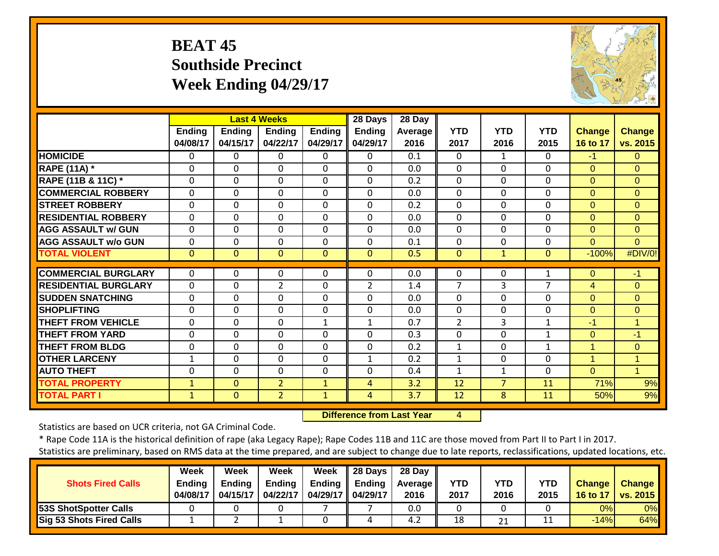## **BEAT 45 Southside Precinct Week Ending 04/29/17**



|                             |                           |                           | <b>Last 4 Weeks</b>       |                           | 28 Days                   | 28 Day          |                    |                    |                    |                    |                           |
|-----------------------------|---------------------------|---------------------------|---------------------------|---------------------------|---------------------------|-----------------|--------------------|--------------------|--------------------|--------------------|---------------------------|
|                             | <b>Ending</b><br>04/08/17 | <b>Ending</b><br>04/15/17 | <b>Ending</b><br>04/22/17 | <b>Ending</b><br>04/29/17 | <b>Ending</b><br>04/29/17 | Average<br>2016 | <b>YTD</b><br>2017 | <b>YTD</b><br>2016 | <b>YTD</b><br>2015 | Change<br>16 to 17 | <b>Change</b><br>vs. 2015 |
| <b>HOMICIDE</b>             | $\Omega$                  | 0                         | 0                         | $\Omega$                  | 0                         | 0.1             | $\Omega$           | 1                  | $\Omega$           | $-1$               | $\Omega$                  |
| <b>RAPE (11A)</b> *         | $\Omega$                  | $\Omega$                  | $\Omega$                  | $\Omega$                  | $\Omega$                  | 0.0             | $\Omega$           | $\Omega$           | $\Omega$           | $\Omega$           | $\Omega$                  |
| RAPE (11B & 11C) *          | $\mathbf 0$               | 0                         | $\mathbf 0$               | $\mathbf 0$               | $\Omega$                  | 0.2             | $\mathbf{0}$       | 0                  | $\Omega$           | $\Omega$           | $\overline{0}$            |
| <b>COMMERCIAL ROBBERY</b>   | $\Omega$                  | $\Omega$                  | $\Omega$                  | $\Omega$                  | $\Omega$                  | 0.0             | $\Omega$           | 0                  | $\Omega$           | $\Omega$           | $\Omega$                  |
| <b>STREET ROBBERY</b>       | 0                         | $\Omega$                  | 0                         | $\Omega$                  | $\Omega$                  | 0.2             | $\Omega$           | 0                  | $\Omega$           | $\Omega$           | $\overline{0}$            |
| <b>RESIDENTIAL ROBBERY</b>  | $\Omega$                  | $\Omega$                  | $\mathbf{0}$              | $\Omega$                  | $\Omega$                  | 0.0             | $\Omega$           | 0                  | $\Omega$           | $\Omega$           | $\Omega$                  |
| <b>AGG ASSAULT w/ GUN</b>   | $\Omega$                  | $\Omega$                  | $\mathbf{0}$              | $\Omega$                  | $\Omega$                  | 0.0             | $\Omega$           | $\Omega$           | $\Omega$           | $\Omega$           | $\Omega$                  |
| <b>AGG ASSAULT w/o GUN</b>  | 0                         | $\mathbf 0$               | $\mathbf 0$               | $\Omega$                  | 0                         | 0.1             | $\Omega$           | 0                  | $\Omega$           | $\Omega$           | $\Omega$                  |
| <b>TOTAL VIOLENT</b>        | $\mathbf{0}$              | $\Omega$                  | $\Omega$                  | $\Omega$                  | $\Omega$                  | 0.5             | $\Omega$           | $\mathbf{1}$       | $\Omega$           | $-100%$            | #DIV/0!                   |
| <b>COMMERCIAL BURGLARY</b>  | 0                         | 0                         | $\mathbf 0$               | 0                         | 0                         | 0.0             | $\Omega$           | 0                  | 1                  | 0                  | $-1$                      |
| <b>RESIDENTIAL BURGLARY</b> | $\mathbf 0$               | $\Omega$                  | $\overline{2}$            | 0                         | 2                         | 1.4             | 7                  | 3                  | 7                  | 4                  | $\Omega$                  |
| <b>SUDDEN SNATCHING</b>     | $\mathbf 0$               | $\mathbf 0$               | $\mathbf 0$               | $\mathbf 0$               | $\Omega$                  | 0.0             | $\Omega$           | 0                  | $\mathbf{0}$       | $\Omega$           | $\overline{0}$            |
| <b>SHOPLIFTING</b>          | $\Omega$                  | $\Omega$                  | $\mathbf 0$               | $\Omega$                  | $\Omega$                  | 0.0             | $\Omega$           | $\Omega$           | $\Omega$           | $\Omega$           | $\Omega$                  |
| <b>THEFT FROM VEHICLE</b>   | 0                         | $\Omega$                  | $\mathbf 0$               | 1                         | 1                         | 0.7             | $\overline{2}$     | 3                  | $\mathbf{1}$       | $-1$               | $\mathbf{1}$              |
| <b>THEFT FROM YARD</b>      | 0                         | $\Omega$                  | $\Omega$                  | 0                         | $\Omega$                  | 0.3             | $\Omega$           | $\Omega$           | 1                  | $\Omega$           | $-1$                      |
| <b>THEFT FROM BLDG</b>      | 0                         | $\Omega$                  | $\Omega$                  | 0                         | $\Omega$                  | 0.2             | 1                  | 0                  | 1                  | 1                  | $\overline{0}$            |
| <b>OTHER LARCENY</b>        | $\mathbf{1}$              | $\Omega$                  | $\mathbf{0}$              | $\Omega$                  | $\mathbf{1}$              | 0.2             | $\mathbf{1}$       | $\Omega$           | $\Omega$           | 1                  | $\mathbf{1}$              |
| <b>AUTO THEFT</b>           | $\Omega$                  | $\Omega$                  | $\mathbf{0}$              | $\Omega$                  | $\Omega$                  | 0.4             | $\mathbf{1}$       | $\mathbf{1}$       | $\Omega$           | $\Omega$           | $\blacktriangleleft$      |
| <b>TOTAL PROPERTY</b>       |                           | $\Omega$                  | $\overline{2}$            |                           | 4                         | 3.2             | 12                 | $\overline{7}$     | 11                 | 71%                | 9%                        |
| <b>TOTAL PART I</b>         | $\mathbf{1}$              | $\Omega$                  | $\overline{2}$            | $\mathbf{1}$              |                           | 3.7             | 12                 | 8                  |                    | 50%                |                           |
|                             | $\mathbf{1}$              |                           |                           | $\mathbf{1}$              | 4                         |                 |                    |                    | 11                 |                    | 9%                        |

 **Difference from Last Year**4

Statistics are based on UCR criteria, not GA Criminal Code.

|                                 | Week     | Week          | Week          | Week          | 28 Days       | 28 Dav            |            |      |            |               |               |
|---------------------------------|----------|---------------|---------------|---------------|---------------|-------------------|------------|------|------------|---------------|---------------|
| <b>Shots Fired Calls</b>        | Endina   | <b>Ending</b> | <b>Ending</b> | <b>Ending</b> | <b>Ending</b> | <b>Average</b> II | <b>YTD</b> | YTD  | <b>YTD</b> | <b>Change</b> | <b>Change</b> |
|                                 | 04/08/17 | 04/15/17      | 04/22/17      | 04/29/17      | 04/29/17      | 2016              | 2017       | 2016 | 2015       | 16 to 17      | vs. 2015      |
| <b>53S ShotSpotter Calls</b>    |          |               |               |               |               | 0.0               |            |      |            | 0%            | 0%            |
| <b>Sig 53 Shots Fired Calls</b> |          |               |               |               | Δ             | 4.2               | 18         | 21   | 11         | $-14%$        | 64%           |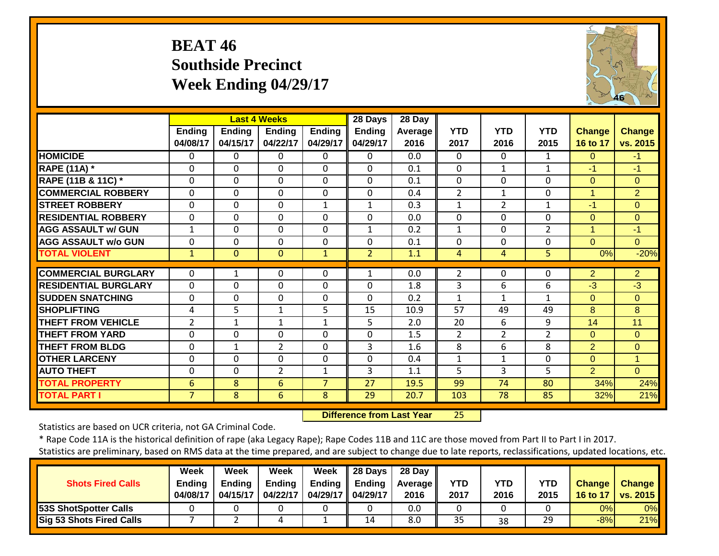## **BEAT 46 Southside Precinct Week Ending 04/29/17**



|                               |                    |                           | <b>Last 4 Weeks</b>       |                    | 28 Days                   | 28 Day          |                    |                    |                    |                           |                           |
|-------------------------------|--------------------|---------------------------|---------------------------|--------------------|---------------------------|-----------------|--------------------|--------------------|--------------------|---------------------------|---------------------------|
|                               | Ending<br>04/08/17 | <b>Ending</b><br>04/15/17 | <b>Ending</b><br>04/22/17 | Ending<br>04/29/17 | <b>Ending</b><br>04/29/17 | Average<br>2016 | <b>YTD</b><br>2017 | <b>YTD</b><br>2016 | <b>YTD</b><br>2015 | <b>Change</b><br>16 to 17 | <b>Change</b><br>vs. 2015 |
| <b>HOMICIDE</b>               | 0                  | 0                         | $\Omega$                  | $\Omega$           | 0                         | 0.0             | $\Omega$           | $\Omega$           | $\mathbf{1}$       | $\Omega$                  | $-1$                      |
| <b>RAPE (11A)</b> *           | $\Omega$           | $\Omega$                  | $\Omega$                  | $\Omega$           | $\Omega$                  | 0.1             | $\Omega$           | 1                  | 1                  | $-1$                      | $-1$                      |
| <b>RAPE (11B &amp; 11C)</b> * | $\mathbf 0$        | $\mathbf 0$               | $\mathbf 0$               | $\Omega$           | 0                         | 0.1             | $\mathbf 0$        | 0                  | 0                  | $\Omega$                  | $\Omega$                  |
| <b>COMMERCIAL ROBBERY</b>     | 0                  | $\mathbf 0$               | $\mathbf{0}$              | $\mathbf 0$        | 0                         | 0.4             | $\overline{2}$     | 1                  | 0                  | 1                         | $\overline{2}$            |
| <b>STREET ROBBERY</b>         | $\Omega$           | $\Omega$                  | $\Omega$                  | $\mathbf{1}$       | $\mathbf{1}$              | 0.3             | $\mathbf{1}$       | 2                  | $\mathbf{1}$       | $-1$                      | $\overline{0}$            |
| <b>RESIDENTIAL ROBBERY</b>    | $\Omega$           | $\Omega$                  | $\Omega$                  | 0                  | $\Omega$                  | 0.0             | $\mathbf{0}$       | 0                  | 0                  | $\Omega$                  | $\Omega$                  |
| <b>AGG ASSAULT w/ GUN</b>     | $\mathbf 1$        | $\mathbf 0$               | $\mathbf 0$               | 0                  | $\mathbf{1}$              | 0.2             | 1                  | 0                  | $\overline{2}$     | 1                         | $-1$                      |
| <b>AGG ASSAULT w/o GUN</b>    | $\Omega$           | 0                         | $\Omega$                  | 0                  | 0                         | 0.1             | $\Omega$           | $\Omega$           | $\mathbf 0$        | $\Omega$                  | $\Omega$                  |
| <b>TOTAL VIOLENT</b>          | 1                  | $\overline{0}$            | $\Omega$                  | $\mathbf{1}$       | $\overline{2}$            | 1.1             | 4                  | 4                  | 5                  | 0%                        | $-20%$                    |
| <b>COMMERCIAL BURGLARY</b>    | $\Omega$           | 1                         | 0                         | 0                  | $\mathbf{1}$              | 0.0             | $\overline{2}$     | 0                  | 0                  | 2                         | $\overline{2}$            |
| <b>RESIDENTIAL BURGLARY</b>   | $\Omega$           | 0                         | $\mathbf{0}$              | 0                  | $\Omega$                  | 1.8             | 3                  | 6                  | 6                  | $-3$                      | $-3$                      |
| <b>SUDDEN SNATCHING</b>       | $\Omega$           | $\Omega$                  | $\Omega$                  | 0                  | $\Omega$                  | 0.2             | 1                  | $\mathbf{1}$       | 1                  | $\Omega$                  | $\Omega$                  |
| <b>SHOPLIFTING</b>            | 4                  | 5                         | 1                         | 5                  | 15                        | 10.9            | 57                 | 49                 | 49                 | 8                         | 8                         |
| <b>THEFT FROM VEHICLE</b>     | 2                  | $\mathbf{1}$              | 1                         | 1                  | 5                         | 2.0             | 20                 | 6                  | 9                  | 14                        | 11                        |
| <b>THEFT FROM YARD</b>        | $\Omega$           | $\mathbf 0$               | $\mathbf 0$               | 0                  | 0                         | 1.5             | 2                  | $\overline{2}$     | $\overline{2}$     | $\Omega$                  | $\Omega$                  |
| <b>THEFT FROM BLDG</b>        | $\Omega$           | $\mathbf{1}$              | $\overline{2}$            | 0                  | 3                         | 1.6             | 8                  | 6                  | 8                  | $\overline{2}$            | $\overline{0}$            |
| <b>OTHER LARCENY</b>          | $\Omega$           | $\Omega$                  | $\Omega$                  | 0                  | $\Omega$                  | 0.4             | 1                  | $\mathbf{1}$       | 0                  | $\Omega$                  | 1.                        |
| <b>AUTO THEFT</b>             | $\Omega$           | $\Omega$                  | $\overline{2}$            | $\mathbf{1}$       | 3                         | 1.1             | 5                  | 3                  | 5                  | 2                         | $\Omega$                  |
| <b>TOTAL PROPERTY</b>         | 6                  | 8                         | 6                         | $\overline{7}$     | 27                        | 19.5            | 99                 | 74                 | 80                 | 34%                       | 24%                       |
| <b>TOTAL PART I</b>           | $\overline{7}$     | 8                         | 6                         | 8                  | 29                        | 20.7            | 103                | 78                 | 85                 | 32%                       | 21%                       |

 **Difference from Last Year**25

Statistics are based on UCR criteria, not GA Criminal Code.

|                              | Week          | Week          | Week          | Week        | 28 Days  | 28 Day            |            |      |            |        |                     |
|------------------------------|---------------|---------------|---------------|-------------|----------|-------------------|------------|------|------------|--------|---------------------|
| <b>Shots Fired Calls</b>     | <b>Ending</b> | <b>Ending</b> | <b>Ending</b> | Ending      | Ending   | <b>Average II</b> | <b>YTD</b> | YTD  | <b>YTD</b> | Change | <b>Change</b>       |
|                              | 04/08/17      | 04/15/17      | 04/22/17      | 04/29/17 II | 04/29/17 | 2016              | 2017       | 2016 | 2015       |        | 16 to 17   vs. 2015 |
| <b>53S ShotSpotter Calls</b> |               |               |               |             |          | 0.0               |            |      |            | 0%l    | 0%                  |
| Sig 53 Shots Fired Calls     |               |               |               |             | 14       | 8.0               | 35         | 38   | 29         | $-8%$  | 21%                 |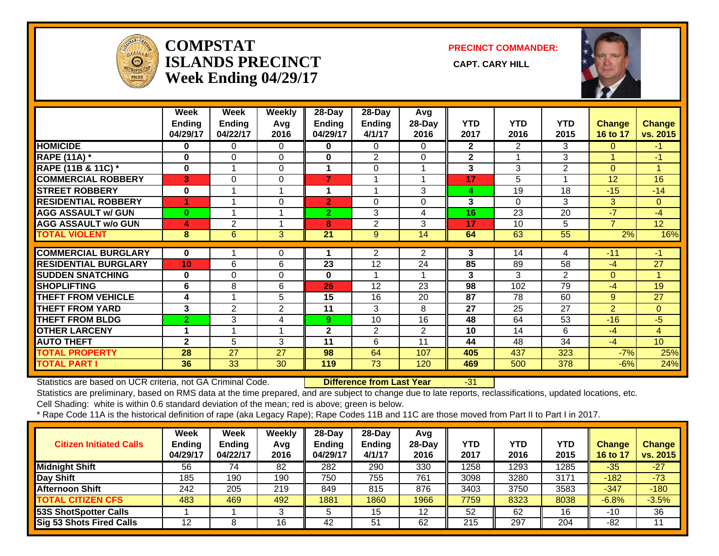

#### **COMPSTATISLANDS PRECINCT** CAPT. CARY HILL **Week Ending 04/29/17**

**PRECINCT COMMANDER:**



|                             | Week<br>Ending<br>04/29/17 | Week<br><b>Ending</b><br>04/22/17 | Weekly<br>Avg<br>2016 | $28 - Day$<br><b>Ending</b><br>04/29/17 | $28 - Day$<br><b>Ending</b><br>4/1/17 | Avg<br>$28-Day$<br>2016 | YTD<br>2017  | <b>YTD</b><br>2016 | <b>YTD</b><br>2015 | <b>Change</b><br>16 to 17 | <b>Change</b><br>vs. 2015 |
|-----------------------------|----------------------------|-----------------------------------|-----------------------|-----------------------------------------|---------------------------------------|-------------------------|--------------|--------------------|--------------------|---------------------------|---------------------------|
| <b>HOMICIDE</b>             | $\bf{0}$                   | 0                                 | 0                     | 0                                       | $\Omega$                              | 0                       | $\mathbf{2}$ | 2                  | 3                  | $\Omega$                  | $-1$                      |
| <b>RAPE (11A) *</b>         | $\bf{0}$                   | $\Omega$                          | $\Omega$              | $\bf{0}$                                | 2                                     | 0                       | $\mathbf{2}$ |                    | 3                  | $\blacktriangleleft$      | $-1$                      |
| RAPE (11B & 11C) *          | $\bf{0}$                   |                                   | $\Omega$              | 1                                       | 0                                     |                         | 3            | 3                  | $\overline{2}$     | $\Omega$                  | 4.                        |
| <b>COMMERCIAL ROBBERY</b>   | 3                          | $\Omega$                          | $\Omega$              | $\overline{7}$                          | 1                                     |                         | 17           | 5                  |                    | 12                        | 16                        |
| <b>STREET ROBBERY</b>       | $\bf{0}$                   |                                   |                       | 1                                       | 1                                     | 3                       | 4            | 19                 | 18                 | $-15$                     | $-14$                     |
| <b>RESIDENTIAL ROBBERY</b>  |                            |                                   | $\Omega$              | $\overline{2}$                          | 0                                     | 0                       | 3            | $\Omega$           | 3                  | 3                         | $\Omega$                  |
| <b>AGG ASSAULT w/ GUN</b>   | $\bf{0}$                   |                                   |                       | $\overline{2}$                          | 3                                     | 4                       | 16           | 23                 | 20                 | $-7$                      | $-4$                      |
| <b>AGG ASSAULT w/o GUN</b>  | 4                          | 2                                 |                       | 8                                       | 2                                     | 3                       | 17           | 10                 | 5                  | 7                         | 12                        |
| <b>TOTAL VIOLENT</b>        | 8                          | 6                                 | 3                     | 21                                      | 9                                     | 14                      | 64           | 63                 | $\overline{55}$    | 2%                        | 16%                       |
| <b>COMMERCIAL BURGLARY</b>  | $\bf{0}$                   |                                   | 0                     |                                         | $\overline{2}$                        | $\overline{2}$          | 3            | 14                 | 4                  | $-11$                     | -1                        |
| <b>RESIDENTIAL BURGLARY</b> | 10                         | 6                                 | 6                     | 23                                      | 12                                    | 24                      | 85           | 89                 | 58                 | $-4$                      | 27                        |
| <b>SUDDEN SNATCHING</b>     | $\bf{0}$                   | $\Omega$                          | 0                     | $\bf{0}$                                |                                       |                         | 3            | 3                  | $\overline{2}$     | $\Omega$                  |                           |
| <b>SHOPLIFTING</b>          | 6                          | 8                                 | 6                     | 26                                      | 12                                    | 23                      | 98           | 102                | 79                 | $-4$                      | 19                        |
| <b>THEFT FROM VEHICLE</b>   | 4                          |                                   | 5                     | 15                                      | 16                                    | 20                      | 87           | 78                 | 60                 | 9                         | 27                        |
| <b>THEFT FROM YARD</b>      | 3                          | 2                                 | $\overline{2}$        | 11                                      | 3                                     | 8                       | 27           | 25                 | 27                 | $\overline{2}$            | $\Omega$                  |
| <b>THEFT FROM BLDG</b>      | $\mathbf{2}$               | 3                                 | 4                     | 9                                       | 10                                    | 16                      | 48           | 64                 | 53                 | $-16$                     | $-5$                      |
| <b>OTHER LARCENY</b>        | 4                          |                                   | $\overline{ }$        | $\mathbf{2}$                            | 2                                     | $\overline{2}$          | 10           | 14                 | 6                  | $-4$                      | $\overline{4}$            |
| <b>AUTO THEFT</b>           | $\mathbf{2}$               | 5                                 | 3                     | 11                                      | 6                                     | 11                      | 44           | 48                 | 34                 | $-4$                      | 10                        |
| <b>TOTAL PROPERTY</b>       | 28                         | 27                                | 27                    | 98                                      | 64                                    | 107                     | 405          | 437                | 323                | $-7%$                     | 25%                       |
| <b>TOTAL PART I</b>         | 36                         | 33                                | 30                    | 119                                     | 73                                    | 120                     | 469          | 500                | $\overline{378}$   | $-6%$                     | 24%                       |

Statistics are based on UCR criteria, not GA Criminal Code. **Difference from Last Year** -31

Statistics are preliminary, based on RMS data at the time prepared, and are subject to change due to late reports, reclassifications, updated locations, etc.

Cell Shading: white is within 0.6 standard deviation of the mean; red is above; green is below.

| <b>Citizen Initiated Calls</b> | Week<br><b>Ending</b><br>04/29/17 | <b>Week</b><br>Ending<br>04/22/17 | Weekly<br>Avg<br>2016 | $28-Dav$<br><b>Ending</b><br>04/29/17 | $28$ -Dav<br><b>Ending</b><br>4/1/17 | Avg<br>$28$ -Day<br>2016 | YTD<br>2017 | YTD<br>2016       | <b>YTD</b><br>2015 | Change<br>16 to 17 | <b>Change</b><br>vs. 2015 |
|--------------------------------|-----------------------------------|-----------------------------------|-----------------------|---------------------------------------|--------------------------------------|--------------------------|-------------|-------------------|--------------------|--------------------|---------------------------|
| <b>Midnight Shift</b>          | 56                                | 74                                | 82                    | 282                                   | 290                                  | 330                      | 1258        | $12\overline{93}$ | 1285               | $-35$              | $-27$                     |
| Day Shift                      | 185                               | 190                               | 190                   | 750                                   | 755                                  | 761                      | 3098        | 3280              | 3171               | $-182$             | $-73$                     |
| <b>Afternoon Shift</b>         | 242                               | 205                               | 219                   | 849                                   | 815                                  | 876                      | 3403        | 3750              | 3583               | $-347$             | $-180$                    |
| <b>TOTAL CITIZEN CFS</b>       | 483                               | 469                               | 492                   | 1881                                  | 1860                                 | 1966                     | 7759        | 8323              | 8038               | $-6.8%$            | $-3.5%$                   |
| 53S ShotSpotter Calls          |                                   |                                   |                       |                                       | 15                                   | 12<br>ے ا                | 52          | 62                | 16                 | $-10$              | 36                        |
| Sig 53 Shots Fired Calls       |                                   |                                   | 16                    | 42                                    | 51                                   | 62                       | 215         | 297               | 204                | $-82$              | 11                        |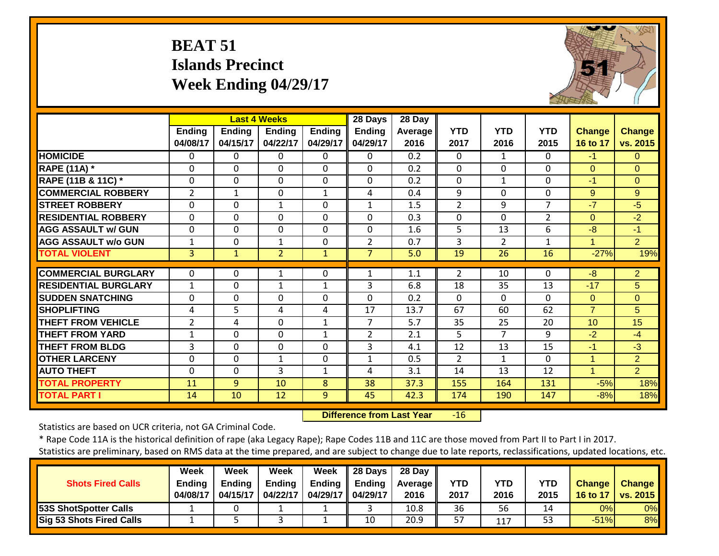## **BEAT 51 Islands Precinct Week Ending 04/29/17**



|                             |                           |                           | <b>Last 4 Weeks</b>       |                           | 28 Days                   | 28 Day                 |                    |                    |                    |                           |                    |
|-----------------------------|---------------------------|---------------------------|---------------------------|---------------------------|---------------------------|------------------------|--------------------|--------------------|--------------------|---------------------------|--------------------|
|                             | <b>Ending</b><br>04/08/17 | <b>Ending</b><br>04/15/17 | <b>Endina</b><br>04/22/17 | <b>Ending</b><br>04/29/17 | <b>Ending</b><br>04/29/17 | <b>Average</b><br>2016 | <b>YTD</b><br>2017 | <b>YTD</b><br>2016 | <b>YTD</b><br>2015 | <b>Change</b><br>16 to 17 | Change<br>vs. 2015 |
| <b>HOMICIDE</b>             | $\Omega$                  | 0                         | $\Omega$                  | $\Omega$                  | 0                         | 0.2                    | $\Omega$           | $\mathbf{1}$       | $\Omega$           | $-1$                      | $\Omega$           |
| <b>RAPE (11A)</b> *         | $\Omega$                  | 0                         | $\mathbf 0$               | $\Omega$                  | $\Omega$                  | 0.2                    | $\mathbf{0}$       | $\Omega$           | $\Omega$           | $\Omega$                  | $\Omega$           |
| RAPE (11B & 11C) *          | $\mathbf 0$               | 0                         | $\mathbf 0$               | $\mathbf 0$               | 0                         | 0.2                    | $\Omega$           | 1                  | $\Omega$           | $-1$                      | $\overline{0}$     |
| <b>COMMERCIAL ROBBERY</b>   | $\overline{2}$            | 1                         | $\mathbf 0$               | $\mathbf{1}$              | 4                         | 0.4                    | 9                  | $\mathbf 0$        | $\Omega$           | 9                         | 9                  |
| <b>STREET ROBBERY</b>       | $\mathbf 0$               | $\Omega$                  | $\mathbf{1}$              | $\Omega$                  | $\mathbf{1}$              | 1.5                    | $\overline{2}$     | 9                  | 7                  | $-7$                      | $-5$               |
| <b>IRESIDENTIAL ROBBERY</b> | $\Omega$                  | 0                         | $\Omega$                  | $\Omega$                  | $\Omega$                  | 0.3                    | $\Omega$           | $\Omega$           | 2                  | $\Omega$                  | $-2$               |
| <b>AGG ASSAULT w/ GUN</b>   | $\mathbf 0$               | 0                         | $\mathbf 0$               | $\mathbf 0$               | $\Omega$                  | 1.6                    | 5                  | 13                 | 6                  | $-8$                      | $-1$               |
| <b>AGG ASSAULT w/o GUN</b>  | 1                         | 0                         | 1                         | 0                         | $\overline{2}$            | 0.7                    | 3                  | 2                  | $\mathbf{1}$       | 1                         | $\overline{2}$     |
| <b>TOTAL VIOLENT</b>        | $\overline{3}$            | 1                         | $\overline{2}$            | $\mathbf{1}$              | $\overline{7}$            | 5.0                    | 19                 | 26                 | 16                 | $-27%$                    | 19%                |
| <b>COMMERCIAL BURGLARY</b>  | 0                         | 0                         | 1                         | 0                         | 1                         | 1.1                    | $\overline{2}$     | 10                 | $\Omega$           | $-8$                      | $\overline{2}$     |
| <b>RESIDENTIAL BURGLARY</b> | $\mathbf{1}$              | $\Omega$                  | $\mathbf{1}$              | $\mathbf{1}$              | 3                         | 6.8                    | 18                 | 35                 | 13                 | $-17$                     | 5                  |
| <b>SUDDEN SNATCHING</b>     | $\Omega$                  | $\Omega$                  | $\mathbf 0$               | 0                         | $\Omega$                  | 0.2                    | $\Omega$           | $\Omega$           | $\Omega$           | $\Omega$                  | $\Omega$           |
| <b>SHOPLIFTING</b>          | 4                         | 5.                        | 4                         | 4                         | 17                        | 13.7                   | 67                 | 60                 | 62                 | $\overline{7}$            | 5                  |
| <b>THEFT FROM VEHICLE</b>   | $\overline{2}$            | 4                         | $\Omega$                  | 1                         | 7                         | 5.7                    | 35                 | 25                 | 20                 | 10                        | 15                 |
| <b>THEFT FROM YARD</b>      | 1                         | $\Omega$                  | $\Omega$                  | 1                         | $\overline{2}$            | 2.1                    | 5                  | $\overline{7}$     | 9                  | $-2$                      | $-4$               |
| <b>THEFT FROM BLDG</b>      | 3                         | 0                         | $\Omega$                  | 0                         | 3                         | 4.1                    | 12                 | 13                 | 15                 | $-1$                      | $-3$               |
| <b>OTHER LARCENY</b>        | $\Omega$                  | $\Omega$                  | $\mathbf{1}$              | $\Omega$                  | $\mathbf{1}$              | 0.5                    | $\overline{2}$     | $\mathbf{1}$       | $\Omega$           | $\mathbf{1}$              | $\overline{2}$     |
| <b>AUTO THEFT</b>           | $\Omega$                  | $\Omega$                  | 3                         | $\mathbf{1}$              | 4                         | 3.1                    | 14                 | 13                 | 12                 | 1                         | $\overline{2}$     |
| <b>TOTAL PROPERTY</b>       | 11                        | 9                         | 10                        | 8                         | 38                        | 37.3                   | 155                | 164                | 131                | $-5%$                     | 18%                |
| <b>TOTAL PART I</b>         | 14                        | 10                        | 12                        | 9                         | 45                        | 42.3                   | 174                | 190                | 147                | $-8%$                     | 18%                |

 **Difference from Last Year**‐16

Statistics are based on UCR criteria, not GA Criminal Code.

\* Rape Code 11A is the historical definition of rape (aka Legacy Rape); Rape Codes 11B and 11C are those moved from Part II to Part I in 2017. Statistics are preliminary, based on RMS data at the time prepared, and are subject to change due to late reports, reclassifications, updated locations, etc.

**Week Week Week Week 28 Days 28 Day**

| <b>Shots Fired Calls</b>     | <b>Ending</b><br>04/08/17 | <b>Endina</b><br>04/15/17 | <b>Ending</b><br>04/22/17 | <b>Ending</b><br>$04/29/17$ | <b>Ending</b><br>04/29/17 | Average II<br>2016 | <b>YTD</b><br>2017 | <b>YTD</b><br>2016 | YTD<br>2015 | <b>Change</b><br>16 to 17 | <b>Change</b><br><b>vs. 2015</b> |
|------------------------------|---------------------------|---------------------------|---------------------------|-----------------------------|---------------------------|--------------------|--------------------|--------------------|-------------|---------------------------|----------------------------------|
| <b>53S ShotSpotter Calls</b> |                           |                           |                           |                             |                           | 10.8               | 36                 | 56                 |             | $0\%$                     | 0%                               |
| Sig 53 Shots Fired Calls     |                           |                           |                           |                             | 10                        | 20.9               | 57                 | 117                | ر ر         | $-51%$                    | 8%                               |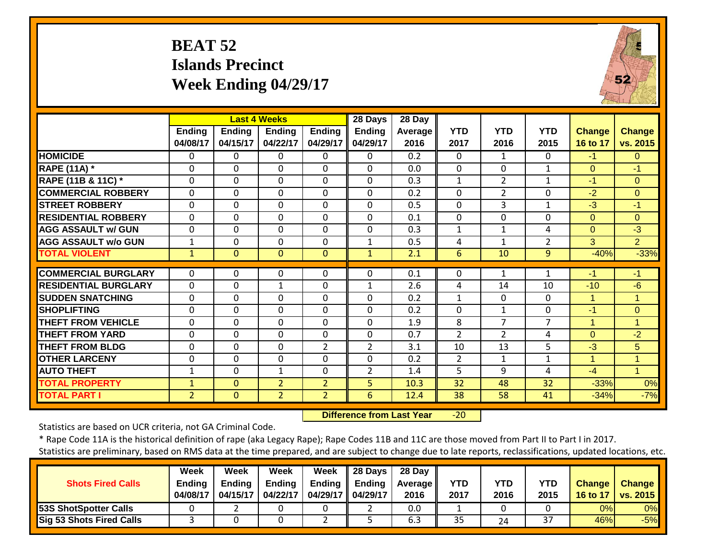## **BEAT 52 Islands Precinct Week Ending 04/29/17**



|                             |                           |                           | <b>Last 4 Weeks</b>       |                           | 28 Days                   | 28 Day                 |                    |                    |                    |                           |                           |
|-----------------------------|---------------------------|---------------------------|---------------------------|---------------------------|---------------------------|------------------------|--------------------|--------------------|--------------------|---------------------------|---------------------------|
|                             | <b>Ending</b><br>04/08/17 | <b>Endina</b><br>04/15/17 | <b>Endina</b><br>04/22/17 | <b>Ending</b><br>04/29/17 | <b>Ending</b><br>04/29/17 | <b>Average</b><br>2016 | <b>YTD</b><br>2017 | <b>YTD</b><br>2016 | <b>YTD</b><br>2015 | <b>Change</b><br>16 to 17 | <b>Change</b><br>vs. 2015 |
| <b>HOMICIDE</b>             | 0                         | 0                         | $\Omega$                  | $\Omega$                  | 0                         | 0.2                    | $\Omega$           | 1                  | $\Omega$           | $-1$                      | $\Omega$                  |
| <b>RAPE (11A) *</b>         | $\mathbf 0$               | $\Omega$                  | $\mathbf 0$               | $\Omega$                  | $\Omega$                  | 0.0                    | $\Omega$           | $\mathbf{0}$       | $\mathbf{1}$       | $\Omega$                  | $-1$                      |
| RAPE (11B & 11C) *          | $\mathbf 0$               | $\mathbf 0$               | $\mathbf 0$               | $\mathbf 0$               | 0                         | 0.3                    | $\mathbf{1}$       | $\overline{2}$     | $\mathbf{1}$       | $-1$                      | $\mathbf{0}$              |
| <b>COMMERCIAL ROBBERY</b>   | $\mathbf 0$               | 0                         | $\mathbf 0$               | $\Omega$                  | $\Omega$                  | 0.2                    | $\Omega$           | $\overline{2}$     | 0                  | $-2$                      | $\overline{0}$            |
| <b>STREET ROBBERY</b>       | $\mathbf 0$               | 0                         | $\mathbf 0$               | $\Omega$                  | $\Omega$                  | 0.5                    | $\mathbf{0}$       | 3                  | $\mathbf{1}$       | $-3$                      | $-1$                      |
| <b>RESIDENTIAL ROBBERY</b>  | $\Omega$                  | $\Omega$                  | $\Omega$                  | $\Omega$                  | $\Omega$                  | 0.1                    | $\Omega$           | 0                  | $\Omega$           | $\Omega$                  | $\Omega$                  |
| <b>AGG ASSAULT w/ GUN</b>   | $\mathbf 0$               | $\mathbf 0$               | $\mathbf 0$               | $\mathbf 0$               | $\Omega$                  | 0.3                    | $\mathbf{1}$       | $\mathbf{1}$       | 4                  | $\Omega$                  | $-3$                      |
| <b>AGG ASSAULT w/o GUN</b>  | 1                         | $\mathbf 0$               | $\mathbf 0$               | $\mathbf 0$               | 1                         | 0.5                    | 4                  | $\mathbf{1}$       | 2                  | 3                         | 2 <sup>1</sup>            |
| <b>TOTAL VIOLENT</b>        | 1                         | $\overline{0}$            | $\Omega$                  | $\Omega$                  | $\mathbf{1}$              | 2.1                    | 6                  | 10                 | 9                  | $-40%$                    | $-33%$                    |
| <b>COMMERCIAL BURGLARY</b>  | 0                         | 0                         | $\mathbf 0$               | 0                         | 0                         | 0.1                    | 0                  | 1                  | 1                  | $-1$                      | $-1$                      |
| <b>RESIDENTIAL BURGLARY</b> | $\Omega$                  | $\Omega$                  | $\mathbf{1}$              | 0                         | 1                         | 2.6                    | 4                  | 14                 | 10                 | $-10$                     | $-6$                      |
| <b>SUDDEN SNATCHING</b>     | $\Omega$                  | $\Omega$                  | $\mathbf 0$               | 0                         | $\Omega$                  | 0.2                    | $\mathbf{1}$       | $\Omega$           | $\Omega$           | 1                         | 1                         |
| <b>SHOPLIFTING</b>          | $\Omega$                  | $\Omega$                  | $\Omega$                  | $\Omega$                  | $\Omega$                  | 0.2                    | $\Omega$           | 1                  | $\Omega$           | $-1$                      | $\Omega$                  |
| <b>THEFT FROM VEHICLE</b>   | $\Omega$                  | $\Omega$                  | $\Omega$                  | 0                         | $\Omega$                  | 1.9                    | 8                  | 7                  | 7                  | 1                         | 1                         |
| <b>THEFT FROM YARD</b>      | $\Omega$                  | $\Omega$                  | $\Omega$                  | $\Omega$                  | $\Omega$                  | 0.7                    | $\overline{2}$     | $\overline{2}$     | 4                  | $\Omega$                  | $-2$                      |
| <b>THEFT FROM BLDG</b>      | 0                         | $\Omega$                  | $\Omega$                  | $\overline{2}$            | $\overline{2}$            | 3.1                    | 10                 | 13                 | 5                  | $-3$                      | 5                         |
| <b>OTHER LARCENY</b>        | 0                         | $\Omega$                  | 0                         | $\Omega$                  | $\Omega$                  | 0.2                    | 2                  | $\mathbf{1}$       | $\mathbf{1}$       | 1                         | 1                         |
| <b>AUTO THEFT</b>           | $\mathbf{1}$              | $\Omega$                  | $\mathbf{1}$              | $\Omega$                  | $\overline{2}$            | 1.4                    | 5                  | 9                  | 4                  | $-4$                      | $\blacktriangleleft$      |
| <b>TOTAL PROPERTY</b>       | $\mathbf{1}$              | $\Omega$                  | $\overline{2}$            | $\overline{2}$            | 5                         | 10.3                   | 32                 | 48                 | 32                 | $-33%$                    | 0%                        |
| <b>TOTAL PART I</b>         | $\overline{2}$            | $\mathbf{0}$              | $\overline{2}$            | $\overline{2}$            | 6                         | 12.4                   | 38                 | 58                 | 41                 | $-34%$                    | $-7%$                     |

 **Difference from Last Year** $-20$ 

Statistics are based on UCR criteria, not GA Criminal Code.

\* Rape Code 11A is the historical definition of rape (aka Legacy Rape); Rape Codes 11B and 11C are those moved from Part II to Part I in 2017. Statistics are preliminary, based on RMS data at the time prepared, and are subject to change due to late reports, reclassifications, updated locations, etc.

|                          | Guistics are premimiary, based on nivis data at the time prepared, and are subject to change due to late reports, reclassifications, apaated locations, etc. |          |             |                                   |                           |                   |            |            |            |    |                     |  |  |
|--------------------------|--------------------------------------------------------------------------------------------------------------------------------------------------------------|----------|-------------|-----------------------------------|---------------------------|-------------------|------------|------------|------------|----|---------------------|--|--|
|                          |                                                                                                                                                              |          |             |                                   |                           |                   |            |            |            |    |                     |  |  |
|                          | <b>Week</b>                                                                                                                                                  | Week     | <b>Week</b> | Week                              | 28 Days 28 Day            |                   |            |            |            |    |                     |  |  |
| <b>Shots Fired Calls</b> | Endina                                                                                                                                                       | Ending   | Ending      |                                   | Ending $\parallel$ Ending | <b>Average II</b> | <b>YTD</b> | <b>YTD</b> | <b>YTD</b> |    | Change   Change     |  |  |
|                          | 04/08/17                                                                                                                                                     | 04/15/17 | 04/22/17    | $\vert$ 04/29/17 $\vert$ 04/29/17 |                           | 2016              | 2017       | 2016       | 2015       |    | 16 to 17   vs. 2015 |  |  |
| 53S ShotSpotter Calls    |                                                                                                                                                              |          |             |                                   |                           | 0.0               |            |            |            | 0% | $0\%$               |  |  |

**Sig 53 Shots Fired Calls** | 3 | 0 | 0 | 2 | 5 | 6.3 | 35 | 24 | 37 | 46% -5%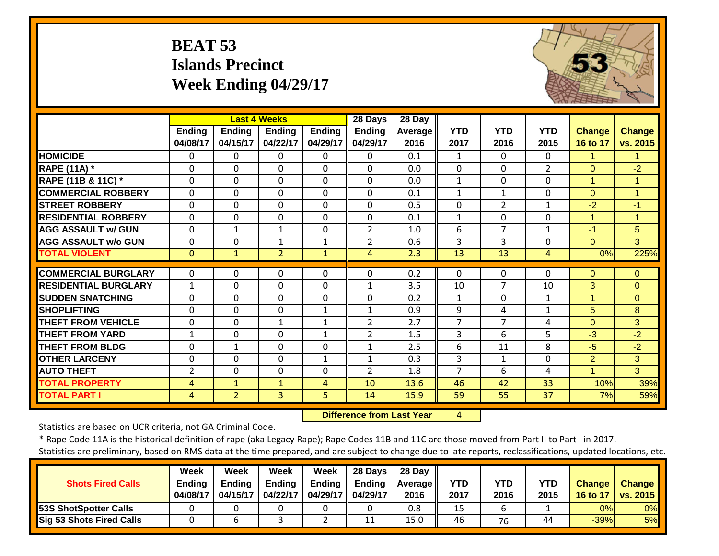## **BEAT 53 Islands Precinct Week Ending 04/29/17**



|                             |                    |                           | <b>Last 4 Weeks</b>       |                           | 28 Days                   | 28 Day          |                    |                    |                    |                           |                           |
|-----------------------------|--------------------|---------------------------|---------------------------|---------------------------|---------------------------|-----------------|--------------------|--------------------|--------------------|---------------------------|---------------------------|
|                             | Ending<br>04/08/17 | <b>Ending</b><br>04/15/17 | <b>Ending</b><br>04/22/17 | <b>Ending</b><br>04/29/17 | <b>Ending</b><br>04/29/17 | Average<br>2016 | <b>YTD</b><br>2017 | <b>YTD</b><br>2016 | <b>YTD</b><br>2015 | <b>Change</b><br>16 to 17 | <b>Change</b><br>vs. 2015 |
| <b>HOMICIDE</b>             | 0                  | 0                         | 0                         | $\Omega$                  | 0                         | 0.1             | 1                  | $\Omega$           | $\mathbf{0}$       | $\mathbf{1}$              | 1.                        |
| <b>RAPE (11A) *</b>         | $\Omega$           | $\Omega$                  | $\Omega$                  | $\Omega$                  | $\Omega$                  | 0.0             | $\Omega$           | $\Omega$           | $\overline{2}$     | $\Omega$                  | $-2$                      |
| RAPE (11B & 11C) *          | $\mathbf 0$        | 0                         | $\mathbf 0$               | $\mathbf 0$               | 0                         | 0.0             | $\mathbf{1}$       | 0                  | $\mathbf{0}$       | 1                         | 1                         |
| <b>COMMERCIAL ROBBERY</b>   | $\mathbf 0$        | $\Omega$                  | $\mathbf 0$               | $\Omega$                  | $\Omega$                  | 0.1             | 1                  | $\mathbf{1}$       | $\mathbf 0$        | $\Omega$                  | $\mathbf 1$               |
| <b>STREET ROBBERY</b>       | $\mathbf 0$        | $\Omega$                  | $\Omega$                  | $\Omega$                  | $\Omega$                  | 0.5             | $\Omega$           | $\overline{2}$     | 1                  | $-2$                      | $-1$                      |
| <b>RESIDENTIAL ROBBERY</b>  | $\Omega$           | $\Omega$                  | $\Omega$                  | $\Omega$                  | $\Omega$                  | 0.1             | $\mathbf{1}$       | 0                  | $\Omega$           | 1                         | 1                         |
| <b>AGG ASSAULT w/ GUN</b>   | 0                  | 1                         | $\mathbf{1}$              | 0                         | $\overline{2}$            | 1.0             | 6                  | $\overline{7}$     | 1                  | $-1$                      | 5                         |
| <b>AGG ASSAULT w/o GUN</b>  | $\Omega$           | $\Omega$                  | $\mathbf{1}$              | $\mathbf{1}$              | $\overline{2}$            | 0.6             | 3                  | $\overline{3}$     | $\Omega$           | $\Omega$                  | 3                         |
| <b>TOTAL VIOLENT</b>        | $\mathbf{0}$       | $\mathbf{1}$              | $\overline{2}$            | $\mathbf{1}$              | $\overline{4}$            | 2.3             | 13                 | 13                 | 4                  | 0%                        | 225%                      |
|                             |                    |                           |                           |                           |                           |                 |                    |                    |                    |                           |                           |
| <b>COMMERCIAL BURGLARY</b>  | 0                  | 0                         | $\mathbf 0$               | $\Omega$                  | $\Omega$                  | 0.2             | $\Omega$           | $\Omega$           | $\Omega$           | $\Omega$                  | $\overline{0}$            |
| <b>RESIDENTIAL BURGLARY</b> | 1                  | $\Omega$                  | 0                         | $\Omega$                  | $\mathbf{1}$              | 3.5             | 10                 | 7                  | 10                 | 3                         | $\overline{0}$            |
| <b>ISUDDEN SNATCHING</b>    | $\mathbf 0$        | $\mathbf 0$               | $\mathbf 0$               | $\mathbf 0$               | 0                         | 0.2             | $\mathbf{1}$       | 0                  | $\mathbf{1}$       | 1                         | $\Omega$                  |
| <b>SHOPLIFTING</b>          | $\Omega$           | 0                         | $\mathbf 0$               | $\mathbf{1}$              | $\mathbf{1}$              | 0.9             | 9                  | 4                  | $\mathbf{1}$       | 5                         | 8                         |
| <b>THEFT FROM VEHICLE</b>   | $\Omega$           | $\Omega$                  | $\mathbf{1}$              | $\mathbf{1}$              | $\overline{2}$            | 2.7             | 7                  | 7                  | 4                  | $\Omega$                  | 3 <sup>1</sup>            |
| <b>THEFT FROM YARD</b>      | 1                  | 0                         | 0                         | $\mathbf{1}$              | 2                         | 1.5             | 3                  | 6                  | 5                  | $-3$                      | $-2$                      |
| <b>THEFT FROM BLDG</b>      | 0                  | 1                         | 0                         | 0                         | 1                         | 2.5             | 6                  | 11                 | 8                  | $-5$                      | $-2$                      |
| <b>OTHER LARCENY</b>        | 0                  | $\Omega$                  | $\Omega$                  | $\mathbf{1}$              | $\mathbf{1}$              | 0.3             | 3                  | 1                  | $\Omega$           | 2                         | 3                         |
| <b>AUTO THEFT</b>           | 2                  | $\Omega$                  | $\Omega$                  | 0                         | $\overline{2}$            | 1.8             | 7                  | 6                  | 4                  | 1                         | 3                         |
| <b>TOTAL PROPERTY</b>       | 4                  | $\mathbf{1}$              | $\mathbf{1}$              | 4                         | 10                        | 13.6            | 46                 | 42                 | 33                 | 10%                       | 39%                       |
| <b>TOTAL PART I</b>         | 4                  | $\overline{2}$            | 3                         | 5                         | 14                        | 15.9            | 59                 | 55                 | 37                 | 7%                        | 59%                       |

 **Difference from Last Year**4

Statistics are based on UCR criteria, not GA Criminal Code.

\* Rape Code 11A is the historical definition of rape (aka Legacy Rape); Rape Codes 11B and 11C are those moved from Part II to Part I in 2017. Statistics are preliminary, based on RMS data at the time prepared, and are subject to change due to late reports, reclassifications, updated locations, etc.

**Week Week Week Week 28 Days 28 Day**

| <b>Shots Fired Calls</b>     | <b>Endina</b><br>04/08/17 | <b>Endina</b><br>04/15/17 | Ending<br>04/22/17 | <b>Ending</b><br>04/29/17    04/29/17 | <b>Ending</b> | Average II<br>2016 | YTD<br>2017 | <b>YTD</b><br>2016 | YTD<br>2015 | <b>Change</b><br>16 to 17 | <b>Change</b><br>vs. 2015 |
|------------------------------|---------------------------|---------------------------|--------------------|---------------------------------------|---------------|--------------------|-------------|--------------------|-------------|---------------------------|---------------------------|
| <b>53S ShotSpotter Calls</b> |                           |                           |                    |                                       |               | 0.8                |             |                    |             | 0%I                       | 0%                        |
| Sig 53 Shots Fired Calls     |                           |                           |                    |                                       |               | 15.0               | 46          | 76                 | 44          | $-39%$                    | 5%                        |
|                              |                           |                           |                    |                                       |               |                    |             |                    |             |                           |                           |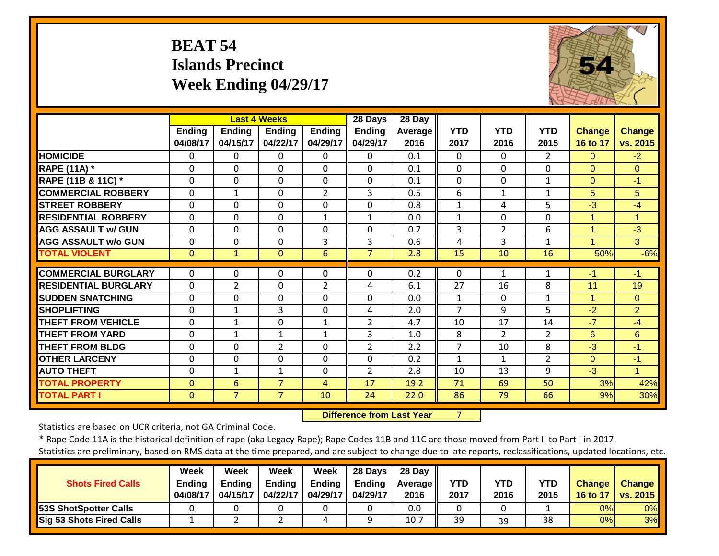## **BEAT 54 Islands Precinct Week Ending 04/29/17**



|                             |                           |                           | <b>Last 4 Weeks</b>       |                           | 28 Days                   | 28 Day          |                    |                    |                    |                           |                           |
|-----------------------------|---------------------------|---------------------------|---------------------------|---------------------------|---------------------------|-----------------|--------------------|--------------------|--------------------|---------------------------|---------------------------|
|                             | <b>Ending</b><br>04/08/17 | <b>Ending</b><br>04/15/17 | <b>Ending</b><br>04/22/17 | <b>Ending</b><br>04/29/17 | <b>Ending</b><br>04/29/17 | Average<br>2016 | <b>YTD</b><br>2017 | <b>YTD</b><br>2016 | <b>YTD</b><br>2015 | <b>Change</b><br>16 to 17 | <b>Change</b><br>vs. 2015 |
| <b>HOMICIDE</b>             | $\Omega$                  | 0                         | $\Omega$                  | $\Omega$                  | 0                         | 0.1             | $\Omega$           | $\Omega$           | $\overline{2}$     | $\Omega$                  | $-2$                      |
| <b>RAPE (11A)</b> *         | $\Omega$                  | $\Omega$                  | $\Omega$                  | $\Omega$                  | $\Omega$                  | 0.1             | $\Omega$           | $\Omega$           | $\Omega$           | $\Omega$                  | $\Omega$                  |
| RAPE (11B & 11C) *          | $\mathbf 0$               | 0                         | $\mathbf 0$               | $\mathbf 0$               | 0                         | 0.1             | $\mathbf 0$        | $\mathbf 0$        | $\mathbf{1}$       | $\Omega$                  | $-1$                      |
| <b>COMMERCIAL ROBBERY</b>   | $\mathbf 0$               | 1                         | $\Omega$                  | $\overline{2}$            | 3                         | 0.5             | 6                  | 1                  | 1                  | 5                         | 5                         |
| <b>STREET ROBBERY</b>       | 0                         | $\Omega$                  | 0                         | 0                         | $\Omega$                  | 0.8             | $\mathbf{1}$       | 4                  | 5                  | $-3$                      | $-4$                      |
| <b>RESIDENTIAL ROBBERY</b>  | $\Omega$                  | 0                         | $\mathbf{0}$              | $\mathbf{1}$              | $\mathbf{1}$              | 0.0             | $\mathbf{1}$       | $\Omega$           | $\Omega$           | 1                         | $\blacktriangleleft$      |
| <b>AGG ASSAULT w/ GUN</b>   | $\Omega$                  | 0                         | $\mathbf{0}$              | 0                         | $\Omega$                  | 0.7             | 3                  | $\overline{2}$     | 6                  | 1                         | $-3$                      |
| <b>AGG ASSAULT w/o GUN</b>  | 0                         | 0                         | $\mathbf 0$               | 3                         | 3                         | 0.6             | 4                  | 3                  | 1                  | 1                         | 3                         |
| <b>TOTAL VIOLENT</b>        | $\Omega$                  | 1                         | $\Omega$                  | 6                         | $\overline{7}$            | 2.8             | 15                 | 10                 | 16                 | 50%                       | $-6%$                     |
| <b>COMMERCIAL BURGLARY</b>  | 0                         | 0                         | $\mathbf 0$               | 0                         | 0                         | 0.2             | 0                  |                    |                    | -1                        | $-1$                      |
| <b>RESIDENTIAL BURGLARY</b> | $\mathbf 0$               | $\overline{2}$            | $\Omega$                  | $\overline{2}$            | 4                         | 6.1             | 27                 | 16                 | 8                  | 11                        | 19                        |
| <b>SUDDEN SNATCHING</b>     | 0                         | 0                         | $\mathbf 0$               | $\mathbf 0$               | 0                         | 0.0             | $\mathbf{1}$       | $\mathbf 0$        | $\mathbf{1}$       | 1                         | $\overline{0}$            |
| <b>SHOPLIFTING</b>          | $\Omega$                  | 1                         | 3                         | $\Omega$                  | 4                         | 2.0             | $\overline{7}$     | 9                  | 5.                 | $-2$                      | $\overline{2}$            |
| <b>THEFT FROM VEHICLE</b>   | $\Omega$                  | 1                         | $\overline{0}$            | 1                         | $\overline{2}$            | 4.7             | 10                 | 17                 | 14                 | $-7$                      | $-4$                      |
| <b>THEFT FROM YARD</b>      | $\Omega$                  | 1                         | 1                         | 1                         | 3                         | 1.0             | 8                  | $\overline{2}$     | $\overline{2}$     | 6                         | 6                         |
| <b>THEFT FROM BLDG</b>      | $\Omega$                  | $\Omega$                  | 2                         | 0                         | $\overline{2}$            | 2.2             | 7                  | 10                 | 8                  | $-3$                      | $-1$                      |
| <b>OTHER LARCENY</b>        | $\Omega$                  | 0                         | $\Omega$                  | $\Omega$                  | $\Omega$                  | 0.2             | $\mathbf{1}$       | $\mathbf{1}$       | $\overline{2}$     | $\Omega$                  | $-1$                      |
| <b>AUTO THEFT</b>           | $\Omega$                  | $\mathbf{1}$              | $\mathbf{1}$              | $\Omega$                  | $\overline{2}$            | 2.8             | 10                 | 13                 | 9                  | $-3$                      | $\blacktriangleleft$      |
| <b>TOTAL PROPERTY</b>       |                           |                           | $\overline{7}$            | 4                         | 17                        | 19.2            | 71                 | 69                 | 50                 | 3%                        | 42%                       |
| <b>TOTAL PART I</b>         | $\mathbf{0}$              | 6<br>$\overline{7}$       | $\overline{7}$            | 10                        | 24                        | 22.0            | 86                 | 79                 | 66                 |                           |                           |
|                             | $\mathbf{0}$              |                           |                           |                           |                           |                 |                    |                    |                    | 9%                        | 30%                       |

 **Difference from Last Year**7

Statistics are based on UCR criteria, not GA Criminal Code.

|                          | Week   | Week          | Week                                                 | <b>Week</b> | $\parallel$ 28 Days $\parallel$ | 28 Day                                |            |            |            |               |                     |
|--------------------------|--------|---------------|------------------------------------------------------|-------------|---------------------------------|---------------------------------------|------------|------------|------------|---------------|---------------------|
| <b>Shots Fired Calls</b> | Endina | <b>Ending</b> | Endina                                               |             |                                 | <b>Ⅰ Ending   Ending   Average   </b> | <b>YTD</b> | <b>YTD</b> | <b>YTD</b> | <b>Change</b> | <b>Change</b>       |
|                          |        |               | 04/08/17   04/15/17   04/22/17   04/29/17   04/29/17 |             |                                 | 2016                                  | 2017       | 2016       | 2015       |               | 16 to 17   ys. 2015 |

| <b>Shots Fired Calls</b> | <b>Ending</b> | Ending   | <b>Ending</b> | <b>Ending</b> | <b>Ending</b>        | <b>Average</b> II | <b>YTD</b> | YTD  | YTD  | <b>Change</b> | <b>Change</b>   |
|--------------------------|---------------|----------|---------------|---------------|----------------------|-------------------|------------|------|------|---------------|-----------------|
|                          | 04/08/17      | 04/15/17 | 04/22/17      | 04/29/17      | $\parallel$ 04/29/17 | 2016              | 2017       | 2016 | 2015 | 16 to 17      | <b>vs. 2015</b> |
| 53S ShotSpotter Calls    |               |          |               |               |                      | 0.0               |            |      |      | 0%            | 0%              |
| Sig 53 Shots Fired Calls |               |          |               |               |                      | 10.7              | 39         | 39   | 38   | 0%            | 3%              |
|                          |               |          |               |               |                      |                   |            |      |      |               |                 |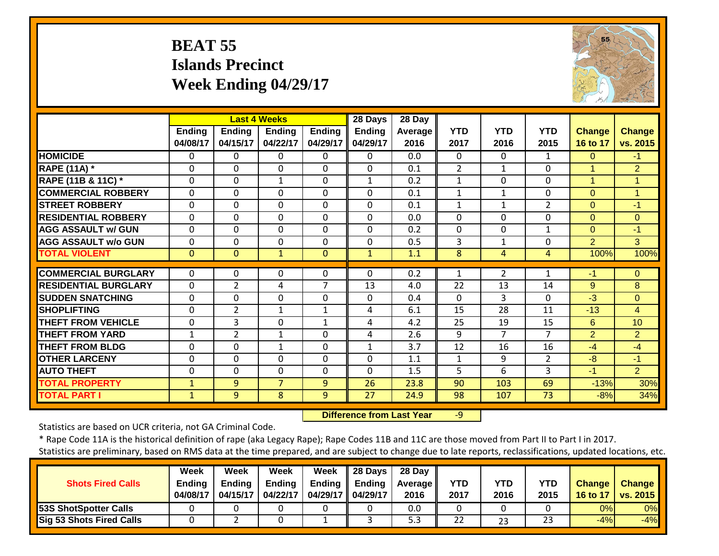## **BEAT 55 Islands Precinct Week Ending 04/29/17**



|                             |                           |                           | <b>Last 4 Weeks</b>       |                           | 28 Days                   | 28 Day          |                    |                    |                    |                           |                           |
|-----------------------------|---------------------------|---------------------------|---------------------------|---------------------------|---------------------------|-----------------|--------------------|--------------------|--------------------|---------------------------|---------------------------|
|                             | <b>Ending</b><br>04/08/17 | <b>Ending</b><br>04/15/17 | <b>Ending</b><br>04/22/17 | <b>Ending</b><br>04/29/17 | <b>Ending</b><br>04/29/17 | Average<br>2016 | <b>YTD</b><br>2017 | <b>YTD</b><br>2016 | <b>YTD</b><br>2015 | <b>Change</b><br>16 to 17 | <b>Change</b><br>vs. 2015 |
| <b>HOMICIDE</b>             | 0                         | 0                         | $\Omega$                  | $\mathbf{0}$              | $\Omega$                  | 0.0             | $\Omega$           | $\Omega$           | $\mathbf{1}$       | $\Omega$                  | $-1$                      |
| <b>RAPE (11A) *</b>         | 0                         | $\Omega$                  | $\Omega$                  | $\Omega$                  | $\mathbf 0$               | 0.1             | $\overline{2}$     | $\mathbf{1}$       | $\Omega$           | 1                         | $\overline{2}$            |
| RAPE (11B & 11C) *          | 0                         | 0                         | $\mathbf{1}$              | 0                         | $\mathbf{1}$              | 0.2             | $\mathbf{1}$       | $\Omega$           | $\Omega$           | 1                         | $\mathbf{1}$              |
| <b>COMMERCIAL ROBBERY</b>   | 0                         | $\Omega$                  | $\Omega$                  | $\Omega$                  | 0                         | 0.1             | $\mathbf{1}$       | 1                  | $\mathbf 0$        | $\Omega$                  | $\mathbf 1$               |
| <b>STREET ROBBERY</b>       | 0                         | 0                         | $\Omega$                  | $\Omega$                  | 0                         | 0.1             | $\mathbf{1}$       | 1                  | 2                  | $\Omega$                  | $-1$                      |
| <b>RESIDENTIAL ROBBERY</b>  | $\Omega$                  | 0                         | $\Omega$                  | $\Omega$                  | $\Omega$                  | 0.0             | 0                  | $\Omega$           | $\Omega$           | $\Omega$                  | $\Omega$                  |
| <b>AGG ASSAULT w/ GUN</b>   | $\Omega$                  | $\Omega$                  | $\Omega$                  | $\Omega$                  | $\mathbf 0$               | 0.2             | $\mathbf{0}$       | 0                  | $\mathbf{1}$       | $\Omega$                  | $-1$                      |
| <b>AGG ASSAULT w/o GUN</b>  | 0                         | 0                         | $\Omega$                  | 0                         | 0                         | 0.5             | 3                  | 1                  | $\Omega$           | 2                         | 3                         |
| <b>TOTAL VIOLENT</b>        | $\mathbf{0}$              | 0                         | $\mathbf{1}$              | $\Omega$                  | $\mathbf{1}$              | 1.1             | 8                  | 4                  | 4                  | 100%                      | 100%                      |
| <b>COMMERCIAL BURGLARY</b>  | 0                         | 0                         | 0                         | 0                         | $\Omega$                  | 0.2             | 1                  | 2                  | 1                  | $-1$                      | $\overline{0}$            |
| <b>RESIDENTIAL BURGLARY</b> | $\Omega$                  | $\overline{2}$            | 4                         | 7                         | 13                        | 4.0             | 22                 | 13                 | 14                 | 9                         | 8                         |
| <b>SUDDEN SNATCHING</b>     | 0                         | 0                         | $\Omega$                  | $\Omega$                  | 0                         | 0.4             | $\Omega$           | 3                  | $\Omega$           | $-3$                      | $\overline{0}$            |
| <b>SHOPLIFTING</b>          | 0                         | 2                         | 1                         | 1                         | 4                         | 6.1             | 15                 | 28                 | 11                 | $-13$                     | $\overline{4}$            |
| <b>THEFT FROM VEHICLE</b>   | 0                         | 3                         | $\Omega$                  | 1                         | 4                         | 4.2             | 25                 | 19                 | 15                 | 6                         | 10                        |
| <b>THEFT FROM YARD</b>      | 1                         | $\overline{2}$            | $\mathbf{1}$              | $\Omega$                  | 4                         | 2.6             | 9                  | $\overline{7}$     | $\overline{7}$     | 2                         | $\overline{2}$            |
| <b>THEFT FROM BLDG</b>      | 0                         | $\mathbf 0$               | $\mathbf{1}$              | $\Omega$                  | $\mathbf{1}$              | 3.7             | 12                 | 16                 | 16                 | $-4$                      | $-4$                      |
| <b>OTHER LARCENY</b>        | $\Omega$                  | $\Omega$                  | $\Omega$                  | $\Omega$                  | $\mathbf 0$               | 1.1             | $\mathbf{1}$       | 9                  | $\overline{2}$     | $-8$                      | $-1$                      |
| <b>AUTO THEFT</b>           | 0                         | 0                         | $\mathbf 0$               | $\mathbf 0$               | 0                         | 1.5             | 5                  | 6                  | 3                  | $-1$                      | $\overline{2}$            |
| <b>TOTAL PROPERTY</b>       | $\mathbf{1}$              | 9                         | $\overline{7}$            | 9                         | 26                        | 23.8            | 90                 | 103                | 69                 | $-13%$                    | 30%                       |
| <b>TOTAL PART I</b>         | $\mathbf{1}$              | 9                         | 8                         | 9                         | 27                        | 24.9            | 98                 | 107                | 73                 | $-8%$                     | 34%                       |

 **Difference from Last Year**‐9

Statistics are based on UCR criteria, not GA Criminal Code.

\* Rape Code 11A is the historical definition of rape (aka Legacy Rape); Rape Codes 11B and 11C are those moved from Part II to Part I in 2017.

|                                 | <b>Week</b>   | Week          | <b>Week</b>   | Week                | 28 Days | 28 Day            |            |      |      |               |                     |
|---------------------------------|---------------|---------------|---------------|---------------------|---------|-------------------|------------|------|------|---------------|---------------------|
| <b>Shots Fired Calls</b>        | <b>Ending</b> | <b>Endina</b> | <b>Ending</b> | Ending              | Ending  | <b>Average</b> II | <b>YTD</b> | YTD  | YTD  | <b>Change</b> | <b>Change</b>       |
|                                 | 04/08/17      | 04/15/17      | 04/22/17      | 04/29/17   04/29/17 |         | 2016              | 2017       | 2016 | 2015 |               | 16 to 17   vs. 2015 |
| <b>53S ShotSpotter Calls</b>    |               |               |               |                     |         | 0.0               |            |      |      | 0%I           | 0%                  |
| <b>Sig 53 Shots Fired Calls</b> |               |               |               |                     |         | 5.3               | 22         | 23   | 23   | $-4%$         | $-4%$               |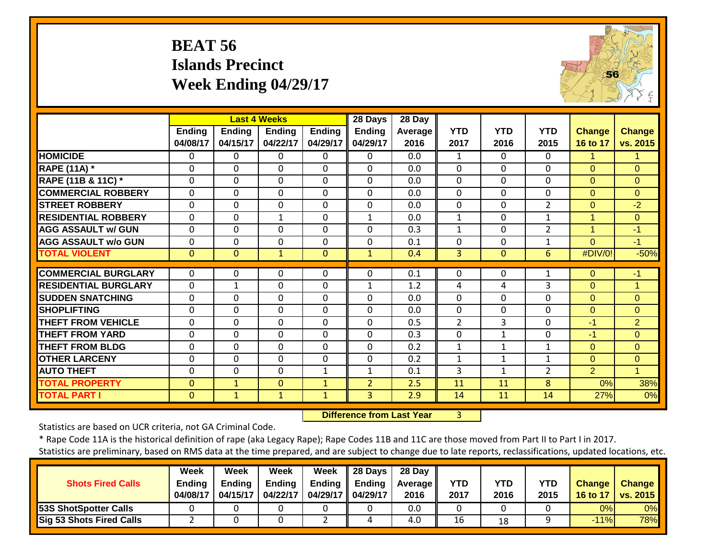## **BEAT 56 Islands Precinct Week Ending 04/29/17**



|                             |                           |                           | <b>Last 4 Weeks</b>       |                           | 28 Days                   | 28 Day          |                    |                    |                    |                           |                           |
|-----------------------------|---------------------------|---------------------------|---------------------------|---------------------------|---------------------------|-----------------|--------------------|--------------------|--------------------|---------------------------|---------------------------|
|                             | <b>Ending</b><br>04/08/17 | <b>Ending</b><br>04/15/17 | <b>Ending</b><br>04/22/17 | <b>Ending</b><br>04/29/17 | <b>Ending</b><br>04/29/17 | Average<br>2016 | <b>YTD</b><br>2017 | <b>YTD</b><br>2016 | <b>YTD</b><br>2015 | <b>Change</b><br>16 to 17 | <b>Change</b><br>vs. 2015 |
| <b>HOMICIDE</b>             | $\Omega$                  | 0                         | $\mathbf{0}$              | $\Omega$                  | 0                         | 0.0             | 1                  | $\Omega$           | $\mathbf{0}$       | $\mathbf{1}$              |                           |
| <b>RAPE (11A) *</b>         | $\mathbf 0$               | $\mathbf 0$               | $\mathbf 0$               | $\mathbf 0$               | 0                         | 0.0             | $\mathbf 0$        | 0                  | $\mathbf{0}$       | $\Omega$                  | $\overline{0}$            |
| RAPE (11B & 11C) *          | $\mathbf 0$               | $\Omega$                  | $\mathbf 0$               | $\Omega$                  | $\Omega$                  | 0.0             | $\mathbf{0}$       | $\Omega$           | $\Omega$           | $\Omega$                  | $\Omega$                  |
| <b>COMMERCIAL ROBBERY</b>   | $\Omega$                  | $\Omega$                  | $\Omega$                  | $\Omega$                  | $\Omega$                  | 0.0             | $\Omega$           | 0                  | 0                  | $\Omega$                  | $\Omega$                  |
| <b>STREET ROBBERY</b>       | $\mathbf 0$               | $\Omega$                  | $\Omega$                  | $\Omega$                  | $\Omega$                  | 0.0             | $\mathbf 0$        | 0                  | $\overline{2}$     | $\Omega$                  | $-2$                      |
| <b>RESIDENTIAL ROBBERY</b>  | $\Omega$                  | $\Omega$                  | $\mathbf{1}$              | $\Omega$                  | 1                         | 0.0             | $\mathbf{1}$       | 0                  | $\mathbf{1}$       | 1                         | $\Omega$                  |
| <b>AGG ASSAULT w/ GUN</b>   | $\Omega$                  | $\Omega$                  | $\Omega$                  | $\Omega$                  | $\Omega$                  | 0.3             | $\mathbf{1}$       | 0                  | $\overline{2}$     | 1                         | $-1$                      |
| <b>AGG ASSAULT w/o GUN</b>  | $\Omega$                  | $\Omega$                  | $\Omega$                  | 0                         | $\Omega$                  | 0.1             | $\Omega$           | 0                  | $\mathbf{1}$       | $\Omega$                  | $-1$                      |
| <b>TOTAL VIOLENT</b>        | $\mathbf{0}$              | 0                         | $\mathbf{1}$              | $\Omega$                  | $\mathbf{1}$              | 0.4             | 3                  | $\Omega$           | 6                  | #DIV/0!                   | $-50%$                    |
| <b>COMMERCIAL BURGLARY</b>  |                           |                           |                           |                           | 0                         |                 |                    |                    |                    |                           |                           |
|                             | 0                         | 0                         | $\mathbf 0$               | 0                         |                           | 0.1             | 0                  | 0                  | 1                  | $\Omega$                  | $-1$                      |
| <b>RESIDENTIAL BURGLARY</b> | $\Omega$                  | 1                         | 0                         | 0                         | 1                         | 1.2             | 4                  | 4                  | 3                  | $\Omega$                  | 1                         |
| <b>SUDDEN SNATCHING</b>     | $\Omega$                  | $\Omega$                  | $\mathbf{0}$              | $\Omega$                  | $\Omega$                  | 0.0             | $\Omega$           | 0                  | $\Omega$           | $\Omega$                  | $\Omega$                  |
| <b>SHOPLIFTING</b>          | $\Omega$                  | $\Omega$                  | $\mathbf 0$               | $\Omega$                  | $\Omega$                  | 0.0             | $\Omega$           | $\mathbf{0}$       | $\mathbf{0}$       | $\Omega$                  | $\Omega$                  |
| <b>THEFT FROM VEHICLE</b>   | 0                         | $\Omega$                  | $\Omega$                  | 0                         | $\Omega$                  | 0.5             | $\overline{2}$     | 3                  | $\Omega$           | $-1$                      | $\overline{2}$            |
| <b>THEFT FROM YARD</b>      | 0                         | $\Omega$                  | $\mathbf 0$               | 0                         | $\Omega$                  | 0.3             | $\Omega$           | 1                  | $\Omega$           | $-1$                      | $\Omega$                  |
| <b>THEFT FROM BLDG</b>      | 0                         | $\Omega$                  | $\Omega$                  | 0                         | $\Omega$                  | 0.2             | 1                  | $\mathbf{1}$       | $\mathbf{1}$       | $\Omega$                  | $\Omega$                  |
| <b>OTHER LARCENY</b>        | 0                         | $\Omega$                  | $\Omega$                  | 0                         | $\Omega$                  | 0.2             | 1                  | $\mathbf{1}$       | 1                  | $\Omega$                  | $\Omega$                  |
| <b>AUTO THEFT</b>           | 0                         | $\Omega$                  | $\Omega$                  | $\mathbf{1}$              | 1                         | 0.1             | 3                  | 1                  | 2                  | $\overline{2}$            | 1                         |
| <b>TOTAL PROPERTY</b>       | $\overline{0}$            | 1                         | $\mathbf{0}$              | $\mathbf{1}$              | $\overline{2}$            | 2.5             | 11                 | 11                 | 8                  | 0%                        | 38%                       |
| <b>TOTAL PART I</b>         | $\mathbf{0}$              | $\mathbf{1}$              | $\mathbf{1}$              | $\mathbf{1}$              | 3                         | 2.9             | 14                 | 11                 | 14                 | 27%                       | 0%                        |

 **Difference from Last Year**3

Statistics are based on UCR criteria, not GA Criminal Code.

| <b>Shots Fired Calls</b>        | Week<br>Ending<br>04/08/17 | Week<br><b>Ending</b><br>04/15/17 | Week<br><b>Ending</b><br>04/22/17 | Week<br><b>Ending</b><br>04/29/17 | 28 Days<br>Ending<br>04/29/17 | 28 Dav<br>Average  <br>2016 | YTD<br>2017 | YTD<br>2016 | YTD<br>2015 | <b>Change</b> | <b>Change</b><br>16 to 17   vs. 2015 |
|---------------------------------|----------------------------|-----------------------------------|-----------------------------------|-----------------------------------|-------------------------------|-----------------------------|-------------|-------------|-------------|---------------|--------------------------------------|
| <b>53S ShotSpotter Calls</b>    |                            |                                   |                                   |                                   |                               | 0.0                         |             |             |             | 0%            | $0\%$                                |
| <b>Sig 53 Shots Fired Calls</b> |                            |                                   |                                   |                                   | $\overline{ }$                | 4.0                         | 16          | 18          |             | $-11%$        | 78%                                  |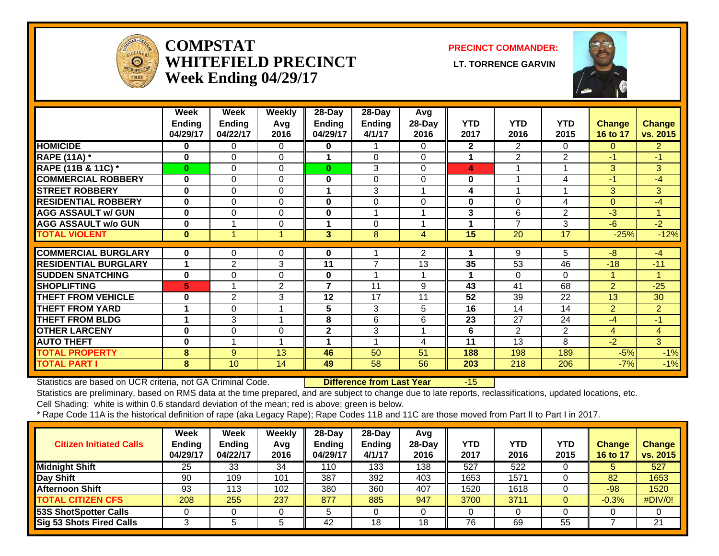

#### **COMPSTATWHITEFIELD PRECINCT LT. TORRENCE GARVINWeek Ending 04/29/17**

**PRECINCT COMMANDER:**



|                             | Week          | Week           | <b>Weekly</b>           | $28 - Day$              | $28 - Day$     | Avg            |                 |                          |                 |                |                      |
|-----------------------------|---------------|----------------|-------------------------|-------------------------|----------------|----------------|-----------------|--------------------------|-----------------|----------------|----------------------|
|                             | <b>Ending</b> | <b>Ending</b>  | Avg                     | Ending                  | <b>Ending</b>  | 28-Day         | <b>YTD</b>      | <b>YTD</b>               | <b>YTD</b>      | <b>Change</b>  | <b>Change</b>        |
|                             | 04/29/17      | 04/22/17       | 2016                    | 04/29/17                | 4/1/17         | 2016           | 2017            | 2016                     | 2015            | 16 to 17       | vs. 2015             |
| <b>HOMICIDE</b>             | $\mathbf{0}$  | 0              | $\Omega$                | 0                       |                | 0              | $\mathbf{2}$    | $\mathbf{2}^{\prime}$    | $\Omega$        | $\Omega$       | $\mathbf{2}^{\circ}$ |
| <b>RAPE (11A) *</b>         | $\bf{0}$      | 0              | $\Omega$                | 1                       | $\Omega$       | $\Omega$       | 1               | $\overline{2}$           | $\overline{2}$  | $-1$           | $-1$                 |
| RAPE (11B & 11C) *          | $\mathbf{0}$  | $\Omega$       | 0                       | $\mathbf{0}$            | 3              | 0              | 4               |                          |                 | 3              | 3                    |
| <b>COMMERCIAL ROBBERY</b>   | $\bf{0}$      | $\Omega$       | $\Omega$                | $\bf{0}$                | $\Omega$       | 0              | $\bf{0}$        |                          | 4               | $-1$           | -4                   |
| <b>STREET ROBBERY</b>       | $\bf{0}$      | $\Omega$       | $\Omega$                | 1                       | 3              |                | 4               |                          |                 | 3              | 3                    |
| <b>RESIDENTIAL ROBBERY</b>  | $\bf{0}$      | $\Omega$       | $\Omega$                | $\bf{0}$                | $\overline{0}$ | 0              | $\bf{0}$        | $\Omega$                 | 4               | $\Omega$       | $-4$                 |
| <b>AGG ASSAULT w/ GUN</b>   | $\bf{0}$      | $\Omega$       | $\Omega$                | $\bf{0}$                | 1              |                | 3               | 6                        | $\overline{2}$  | $-3$           | $\mathbf{1}$         |
| <b>AGG ASSAULT w/o GUN</b>  | $\bf{0}$      |                | $\Omega$                |                         | $\Omega$       |                |                 | $\overline{\phantom{a}}$ | 3               | $-6$           | $-2$                 |
| <b>TOTAL VIOLENT</b>        | $\bf{0}$      |                |                         | 3                       | 8              | 4              | 15              | 20                       | $\overline{17}$ | $-25%$         | $-12%$               |
| <b>COMMERCIAL BURGLARY</b>  | $\mathbf{0}$  | 0              | $\Omega$                | 0                       |                | $\overline{2}$ |                 | 9                        | 5               | $-8$           | $-4$                 |
| <b>RESIDENTIAL BURGLARY</b> |               | $\overline{2}$ | 3                       | 11                      | $\overline{7}$ | 13             | 35              | 53                       | 46              | $-18$          | $-11$                |
| <b>SUDDEN SNATCHING</b>     | $\bf{0}$      | $\Omega$       | $\Omega$                | 0                       | 4              |                |                 | $\Omega$                 | $\Omega$        |                | 1                    |
| <b>SHOPLIFTING</b>          | 5.            |                | 2                       | $\overline{\mathbf{z}}$ | 11             | 9              | 43              | 41                       | 68              | $\overline{2}$ | $-25$                |
| <b>THEFT FROM VEHICLE</b>   | $\bf{0}$      | 2              | 3                       | 12                      | 17             | 11             | 52              | 39                       | 22              | 13             | 30                   |
| <b>THEFT FROM YARD</b>      |               | $\Omega$       | 1                       | 5                       | 3              | 5              | 16              | 14                       | 14              | $\overline{2}$ | $\overline{2}$       |
| <b>THEFT FROM BLDG</b>      |               | 3              | $\overline{\mathbf{A}}$ | 8                       | 6              | 6              | 23              | 27                       | 24              | $-4$           | $-1$                 |
| <b>OTHER LARCENY</b>        | $\bf{0}$      | $\Omega$       | $\Omega$                | $\mathbf{2}$            | 3              |                | 6               | $\overline{2}$           | $\overline{2}$  | 4              | 4                    |
| <b>AUTO THEFT</b>           | $\bf{0}$      |                | $\overline{\mathbf{A}}$ | 1                       | 1              | 4              | $\overline{11}$ | 13                       | 8               | $-2$           | 3                    |
| <b>TOTAL PROPERTY</b>       | 8             | 9              | 13                      | 46                      | 50             | 51             | 188             | 198                      | 189             | $-5%$          | $-1%$                |
|                             |               |                |                         |                         |                |                |                 |                          |                 |                |                      |

Statistics are based on UCR criteria, not GA Criminal Code. **Difference from Last Year** -15

Statistics are preliminary, based on RMS data at the time prepared, and are subject to change due to late reports, reclassifications, updated locations, etc.

Cell Shading: white is within 0.6 standard deviation of the mean; red is above; green is below.

| <b>Citizen Initiated Calls</b> | Week<br>Ending<br>04/29/17 | Week<br><b>Ending</b><br>04/22/17 | Weekly<br>Avg<br>2016 | $28-Dav$<br><b>Ending</b><br>04/29/17 | $28-Dav$<br><b>Ending</b><br>4/1/17 | Avg<br>28-Day<br>2016 | <b>YTD</b><br>2017 | YTD<br>2016 | YTD<br>2015 | <b>Change</b><br>16 to 17 | <b>Change</b><br>vs. 2015 |
|--------------------------------|----------------------------|-----------------------------------|-----------------------|---------------------------------------|-------------------------------------|-----------------------|--------------------|-------------|-------------|---------------------------|---------------------------|
| <b>Midnight Shift</b>          | 25                         | 33                                | 34                    | 110                                   | 133                                 | 138                   | 527                | 522         |             |                           | 527                       |
| Day Shift                      | 90                         | 09 ا                              | 101                   | 387                                   | 392                                 | 403                   | 1653               | 1571        |             | 82                        | 1653                      |
| <b>Afternoon Shift</b>         | 93                         | '13                               | 102                   | 380                                   | 360                                 | 407                   | 1520               | 1618        |             | $-98$                     | 1520                      |
| <b>TOTAL CITIZEN CFS</b>       | 208                        | 255                               | 237                   | 877                                   | 885                                 | 947                   | 3700               | 3711        |             | $-0.3%$                   | #DIV/0!                   |
| <b>53S ShotSpotter Calls</b>   |                            |                                   |                       |                                       |                                     |                       |                    |             |             |                           |                           |
| Sig 53 Shots Fired Calls       |                            |                                   | 5                     | 42                                    | 18                                  | 18                    | 76                 | 69          | 55          |                           | 21                        |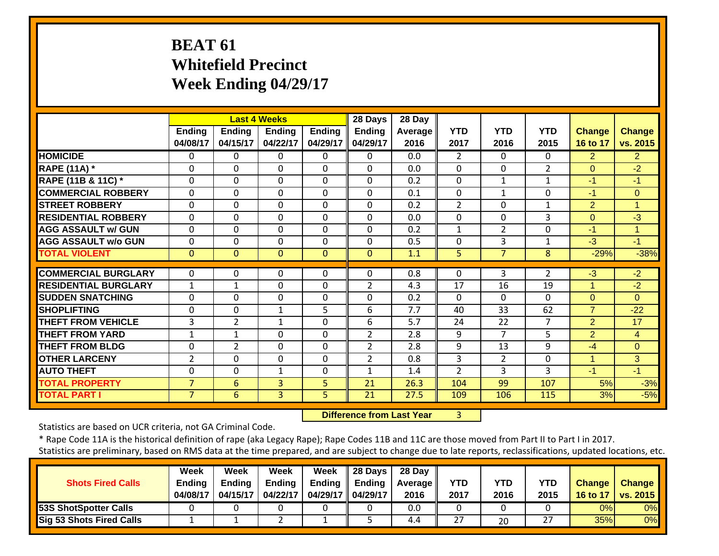## **BEAT 61 Whitefield Precinct Week Ending 04/29/17**

|                               |                    | <b>Last 4 Weeks</b> |                           |                           | 28 Days                   | 28 Day          |                    |                    |                    |                           |                    |
|-------------------------------|--------------------|---------------------|---------------------------|---------------------------|---------------------------|-----------------|--------------------|--------------------|--------------------|---------------------------|--------------------|
|                               | Ending<br>04/08/17 | Ending<br>04/15/17  | <b>Ending</b><br>04/22/17 | <b>Ending</b><br>04/29/17 | <b>Ending</b><br>04/29/17 | Average<br>2016 | <b>YTD</b><br>2017 | <b>YTD</b><br>2016 | <b>YTD</b><br>2015 | <b>Change</b><br>16 to 17 | Change<br>vs. 2015 |
| <b>HOMICIDE</b>               | 0                  | 0                   | 0                         | $\mathbf{0}$              | $\Omega$                  | 0.0             | $\overline{2}$     | $\Omega$           | $\Omega$           | $\overline{2}$            | $\overline{2}$     |
| <b>RAPE (11A)</b> *           | $\Omega$           | 0                   | $\Omega$                  | $\Omega$                  | $\Omega$                  | 0.0             | $\Omega$           | $\Omega$           | $\overline{2}$     | $\Omega$                  | $-2$               |
| <b>RAPE (11B &amp; 11C)</b> * | $\mathbf 0$        | $\Omega$            | 0                         | $\mathbf 0$               | $\Omega$                  | 0.2             | $\mathbf 0$        | $\mathbf{1}$       | $\mathbf 1$        | $-1$                      | $-1$               |
| <b>COMMERCIAL ROBBERY</b>     | $\mathbf 0$        | $\Omega$            | 0                         | $\mathbf 0$               | $\mathbf 0$               | 0.1             | $\mathbf 0$        | 1                  | 0                  | -1                        | $\Omega$           |
| <b>STREET ROBBERY</b>         | $\mathbf 0$        | $\Omega$            | 0                         | $\mathbf 0$               | $\Omega$                  | 0.2             | $\overline{2}$     | 0                  | $\mathbf{1}$       | $\overline{2}$            | $\mathbf{1}$       |
| <b>RESIDENTIAL ROBBERY</b>    | $\Omega$           | 0                   | 0                         | $\Omega$                  | $\Omega$                  | 0.0             | $\Omega$           | 0                  | 3                  | $\Omega$                  | $-3$               |
| <b>AGG ASSAULT w/ GUN</b>     | $\mathbf 0$        | $\Omega$            | 0                         | $\mathbf 0$               | $\Omega$                  | 0.2             | $\mathbf{1}$       | $\overline{2}$     | 0                  | $-1$                      | $\overline{1}$     |
| <b>AGG ASSAULT w/o GUN</b>    | $\Omega$           | 0                   | 0                         | $\Omega$                  | 0                         | 0.5             | $\Omega$           | 3                  | $\mathbf{1}$       | $-3$                      | $-1$               |
| <b>TOTAL VIOLENT</b>          | $\Omega$           | $\Omega$            | $\Omega$                  | $\mathbf{0}$              | $\mathbf{0}$              | 1.1             | 5                  | $\overline{7}$     | 8                  | $-29%$                    | $-38%$             |
|                               |                    |                     |                           |                           |                           |                 |                    |                    |                    |                           |                    |
| <b>COMMERCIAL BURGLARY</b>    | 0                  | $\Omega$            | 0                         | $\Omega$                  | $\Omega$                  | 0.8             | $\Omega$           | 3                  | 2                  | $-3$                      | $-2$               |
| <b>RESIDENTIAL BURGLARY</b>   | $\mathbf{1}$       | $\mathbf{1}$        | 0                         | $\mathbf 0$               | $\overline{2}$            | 4.3             | 17                 | 16                 | 19                 | $\mathbf{1}$              | $-2$               |
| <b>SUDDEN SNATCHING</b>       | $\mathbf 0$        | 0                   | 0                         | $\mathbf 0$               | 0                         | 0.2             | $\Omega$           | 0                  | $\Omega$           | $\Omega$                  | $\Omega$           |
| <b>SHOPLIFTING</b>            | $\Omega$           | $\Omega$            | $\mathbf{1}$              | 5                         | 6                         | 7.7             | 40                 | 33                 | 62                 | $\overline{7}$            | $-22$              |
| <b>THEFT FROM VEHICLE</b>     | 3                  | 2                   | $\mathbf{1}$              | $\mathbf 0$               | 6                         | 5.7             | 24                 | 22                 | 7                  | $\overline{2}$            | 17                 |
| <b>THEFT FROM YARD</b>        | 1                  | $\mathbf{1}$        | 0                         | $\Omega$                  | $\overline{2}$            | 2.8             | 9                  | $\overline{7}$     | 5                  | $\overline{2}$            | 4                  |
| <b>THEFT FROM BLDG</b>        | $\Omega$           | $\overline{2}$      | 0                         | $\Omega$                  | $\overline{2}$            | 2.8             | 9                  | 13                 | 9                  | $-4$                      | $\Omega$           |
| <b>OTHER LARCENY</b>          | $\overline{2}$     | 0                   | 0                         | $\Omega$                  | $\overline{2}$            | 0.8             | 3                  | 2                  | $\Omega$           | $\mathbf{1}$              | 3                  |
| <b>AUTO THEFT</b>             | 0                  | 0                   | 1                         | $\Omega$                  | 1                         | 1.4             | $\overline{2}$     | 3                  | 3                  | $-1$                      | $-1$               |
| <b>TOTAL PROPERTY</b>         | $\overline{7}$     | 6                   | 3                         | 5                         | 21                        | 26.3            | 104                | 99                 | 107                | 5%                        | $-3%$              |
| <b>TOTAL PART I</b>           | 7                  | 6                   | 3                         | 5                         | 21                        | 27.5            | 109                | 106                | 115                | 3%                        | $-5%$              |

 **Difference from Last Year**r 3

Statistics are based on UCR criteria, not GA Criminal Code.

|                                 | <b>Week</b>   | Week          | Week          | Week              | 28 Days | 28 Day     |      |      |            |               |               |
|---------------------------------|---------------|---------------|---------------|-------------------|---------|------------|------|------|------------|---------------|---------------|
| <b>Shots Fired Calls</b>        | <b>Ending</b> | <b>Endina</b> | <b>Ending</b> | <b>Ending</b>     | Endina  | Average II | YTD  | YTD  | <b>YTD</b> | <b>Change</b> | <b>Change</b> |
|                                 | 04/08/17      | 04/15/17      | 04/22/17      | 04/29/17 04/29/17 |         | 2016       | 2017 | 2016 | 2015       | 16 to 17      | vs. 2015      |
| <b>53S ShotSpotter Calls</b>    |               |               |               |                   |         | 0.0        |      |      |            | 0%            | 0%            |
| <b>Sig 53 Shots Fired Calls</b> |               |               |               |                   |         | 4.4        | 27   | 20   | 27         | 35%           | 0%            |